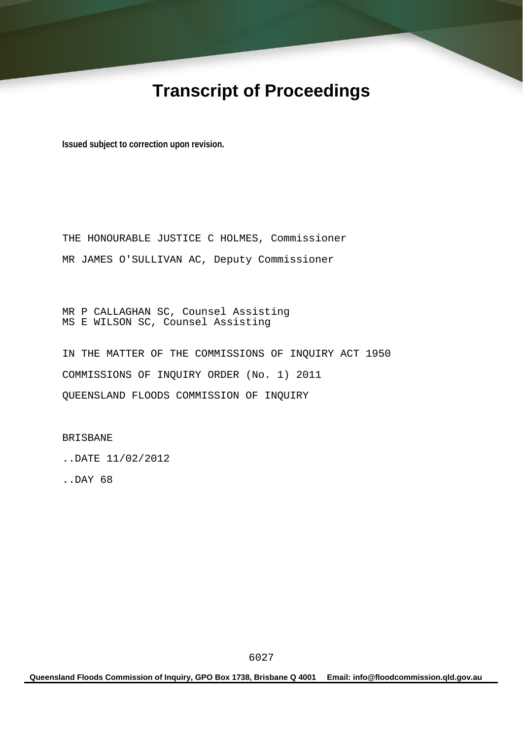# **Transcript of Proceedings**

**Issued subject to correction upon revision.** 

THE HONOURABLE JUSTICE C HOLMES, Commissioner MR JAMES O'SULLIVAN AC, Deputy Commissioner

MR P CALLAGHAN SC, Counsel Assisting MS E WILSON SC, Counsel Assisting

IN THE MATTER OF THE COMMISSIONS OF INQUIRY ACT 1950 COMMISSIONS OF INQUIRY ORDER (No. 1) 2011 QUEENSLAND FLOODS COMMISSION OF INQUIRY

BRISBANE

..DATE 11/02/2012

..DAY 68

**Queensland Floods Commission of Inquiry, GPO Box 1738, Brisbane Q 4001 Email: info@floodcommission.qld.gov.au**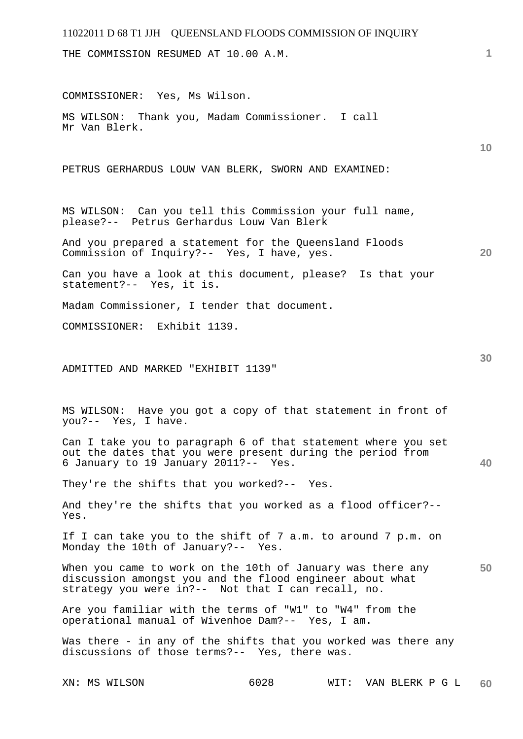| 11022011 D 68 T1 JJH QUEENSLAND FLOODS COMMISSION OF INQUIRY                                                                                                                  |      |                      |    |
|-------------------------------------------------------------------------------------------------------------------------------------------------------------------------------|------|----------------------|----|
| THE COMMISSION RESUMED AT 10.00 A.M.                                                                                                                                          |      |                      | 1  |
| COMMISSIONER: Yes, Ms Wilson.                                                                                                                                                 |      |                      |    |
| Thank you, Madam Commissioner. I call<br>MS WILSON:<br>Mr Van Blerk.                                                                                                          |      |                      | 10 |
| PETRUS GERHARDUS LOUW VAN BLERK, SWORN AND EXAMINED:                                                                                                                          |      |                      |    |
| MS WILSON: Can you tell this Commission your full name,<br>please?-- Petrus Gerhardus Louw Van Blerk                                                                          |      |                      |    |
| And you prepared a statement for the Queensland Floods<br>Commission of Inquiry?-- Yes, I have, yes.                                                                          |      |                      | 20 |
| Can you have a look at this document, please? Is that your<br>statement?-- Yes, it is.                                                                                        |      |                      |    |
| Madam Commissioner, I tender that document.                                                                                                                                   |      |                      |    |
| COMMISSIONER: Exhibit 1139.                                                                                                                                                   |      |                      |    |
| ADMITTED AND MARKED "EXHIBIT 1139"                                                                                                                                            |      |                      | 30 |
| MS WILSON: Have you got a copy of that statement in front of<br>you?-- Yes, I have.                                                                                           |      |                      |    |
| Can I take you to paragraph 6 of that statement where you set<br>out the dates that you were present during the period from<br>6 January to 19 January 2011?-- Yes.           |      |                      | 40 |
| They're the shifts that you worked?-- Yes.                                                                                                                                    |      |                      |    |
| And they're the shifts that you worked as a flood officer?--<br>Yes.                                                                                                          |      |                      |    |
| If I can take you to the shift of 7 a.m. to around 7 p.m. on<br>Monday the 10th of January?-- Yes.                                                                            |      |                      |    |
| When you came to work on the 10th of January was there any<br>discussion amongst you and the flood engineer about what<br>strategy you were in ?-- Not that I can recall, no. |      |                      | 50 |
| Are you familiar with the terms of "W1" to "W4" from the<br>operational manual of Wivenhoe Dam?-- Yes, I am.                                                                  |      |                      |    |
| Was there - in any of the shifts that you worked was there any<br>discussions of those terms?-- Yes, there was.                                                               |      |                      |    |
| XN: MS WILSON                                                                                                                                                                 | 6028 | WIT: VAN BLERK P G L | 60 |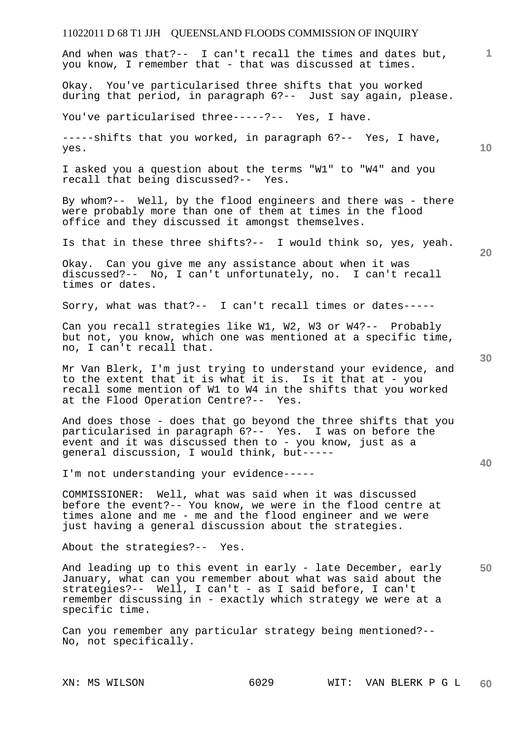# 11022011 D 68 T1 JJH QUEENSLAND FLOODS COMMISSION OF INQUIRY And when was that?-- I can't recall the times and dates but, you know, I remember that - that was discussed at times.

Okay. You've particularised three shifts that you worked during that period, in paragraph 6?-- Just say again, please.

You've particularised three-----?-- Yes, I have.

-----shifts that you worked, in paragraph 6?-- Yes, I have, yes.

I asked you a question about the terms "W1" to "W4" and you recall that being discussed?-- Yes.

By whom?-- Well, by the flood engineers and there was - there were probably more than one of them at times in the flood office and they discussed it amongst themselves.

Is that in these three shifts?-- I would think so, yes, yeah.

Okay. Can you give me any assistance about when it was discussed?-- No, I can't unfortunately, no. I can't recall times or dates.

Sorry, what was that?-- I can't recall times or dates-----

Can you recall strategies like W1, W2, W3 or W4?-- Probably but not, you know, which one was mentioned at a specific time, no, I can't recall that.

Mr Van Blerk, I'm just trying to understand your evidence, and to the extent that it is what it is. Is it that at - you recall some mention of W1 to W4 in the shifts that you worked at the Flood Operation Centre?-- Yes.

And does those - does that go beyond the three shifts that you particularised in paragraph 6?-- Yes. I was on before the event and it was discussed then to - you know, just as a general discussion, I would think, but-----

I'm not understanding your evidence-----

COMMISSIONER: Well, what was said when it was discussed before the event?-- You know, we were in the flood centre at times alone and me - me and the flood engineer and we were just having a general discussion about the strategies.

About the strategies?-- Yes.

**50**  And leading up to this event in early - late December, early January, what can you remember about what was said about the strategies?-- Well, I can't - as I said before, I can't remember discussing in - exactly which strategy we were at a specific time.

Can you remember any particular strategy being mentioned?-- No, not specifically.

**30** 

**20** 

**10**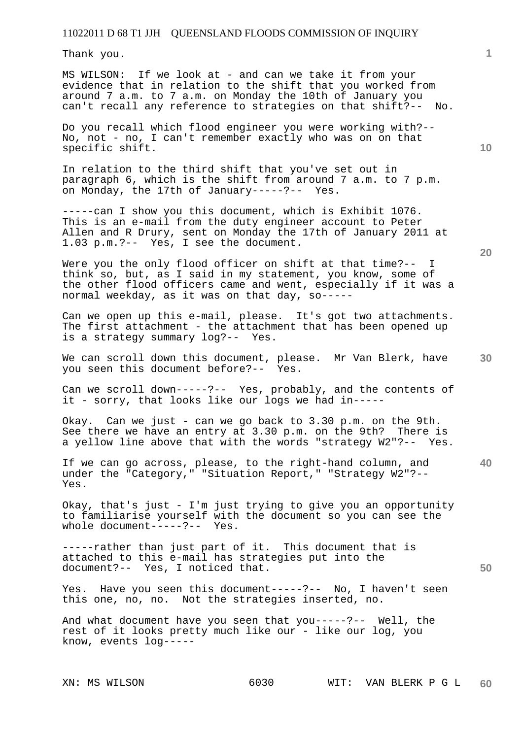Thank you.

MS WILSON: If we look at - and can we take it from your evidence that in relation to the shift that you worked from around 7 a.m. to 7 a.m. on Monday the 10th of January you can't recall any reference to strategies on that shift?-- No.

Do you recall which flood engineer you were working with?-- No, not - no, I can't remember exactly who was on on that specific shift.

In relation to the third shift that you've set out in paragraph 6, which is the shift from around 7 a.m. to 7 p.m. on Monday, the 17th of January-----?-- Yes.

-----can I show you this document, which is Exhibit 1076. This is an e-mail from the duty engineer account to Peter Allen and R Drury, sent on Monday the 17th of January 2011 at 1.03 p.m.?-- Yes, I see the document.

Were you the only flood officer on shift at that time?-- I think so, but, as I said in my statement, you know, some of the other flood officers came and went, especially if it was a normal weekday, as it was on that day, so-----

Can we open up this e-mail, please. It's got two attachments. The first attachment - the attachment that has been opened up is a strategy summary log?-- Yes.

We can scroll down this document, please. Mr Van Blerk, have you seen this document before?-- Yes.

Can we scroll down-----?-- Yes, probably, and the contents of it - sorry, that looks like our logs we had in-----

Okay. Can we just - can we go back to 3.30 p.m. on the 9th. See there we have an entry at 3.30 p.m. on the 9th? There is a yellow line above that with the words "strategy W2"?-- Yes.

If we can go across, please, to the right-hand column, and under the "Category," "Situation Report," "Strategy W2"?-- Yes.

Okay, that's just - I'm just trying to give you an opportunity to familiarise yourself with the document so you can see the whole document-----?-- Yes.

-----rather than just part of it. This document that is attached to this e-mail has strategies put into the document?-- Yes, I noticed that.

Yes. Have you seen this document-----?-- No, I haven't seen this one, no, no. Not the strategies inserted, no.

And what document have you seen that you-----?-- Well, the rest of it looks pretty much like our - like our log, you know, events log-----

**1**

**20** 

**50**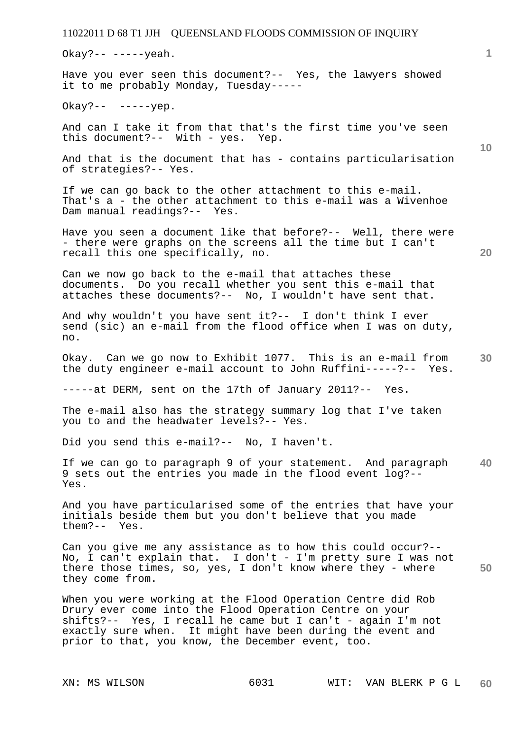Okay?-- -----yeah.

Have you ever seen this document?-- Yes, the lawyers showed it to me probably Monday, Tuesday-----

Okay?-- -----yep.

And can I take it from that that's the first time you've seen this document?-- With - yes. Yep.

And that is the document that has - contains particularisation of strategies?-- Yes.

If we can go back to the other attachment to this e-mail. That's a - the other attachment to this e-mail was a Wivenhoe Dam manual readings?-- Yes.

Have you seen a document like that before?-- Well, there were - there were graphs on the screens all the time but I can't recall this one specifically, no.

Can we now go back to the e-mail that attaches these documents. Do you recall whether you sent this e-mail that attaches these documents?-- No, I wouldn't have sent that.

And why wouldn't you have sent it?-- I don't think I ever send (sic) an e-mail from the flood office when I was on duty, no.

**30**  Okay. Can we go now to Exhibit 1077. This is an e-mail from the duty engineer e-mail account to John Ruffini-----?-- Yes.

-----at DERM, sent on the 17th of January 2011?-- Yes.

The e-mail also has the strategy summary log that I've taken you to and the headwater levels?-- Yes.

Did you send this e-mail?-- No, I haven't.

**40**  If we can go to paragraph 9 of your statement. And paragraph 9 sets out the entries you made in the flood event log?-- Yes.

And you have particularised some of the entries that have your initials beside them but you don't believe that you made them?-- Yes.

**50**  Can you give me any assistance as to how this could occur?-- No, I can't explain that. I don't - I'm pretty sure I was not there those times, so, yes, I don't know where they - where they come from.

When you were working at the Flood Operation Centre did Rob Drury ever come into the Flood Operation Centre on your shifts?-- Yes, I recall he came but I can't - again I'm not exactly sure when. It might have been during the event and prior to that, you know, the December event, too.

**1**

**10**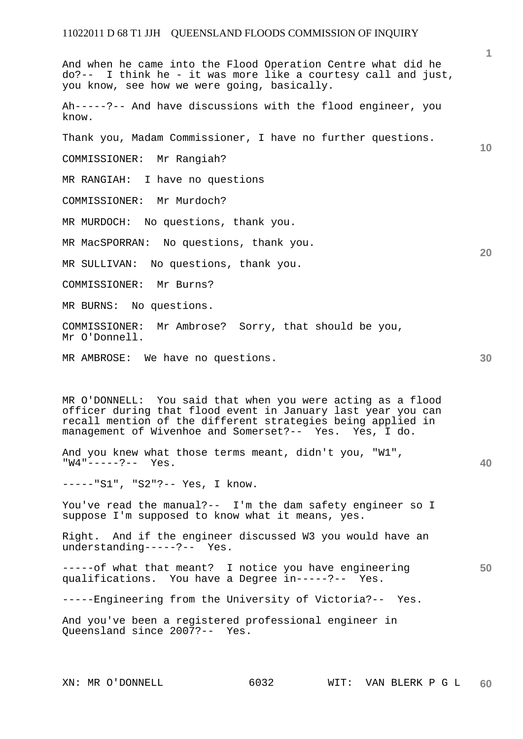**1 10 20 30 40 50**  And when he came into the Flood Operation Centre what did he do?-- I think he - it was more like a courtesy call and just, you know, see how we were going, basically. Ah-----?-- And have discussions with the flood engineer, you know. Thank you, Madam Commissioner, I have no further questions. COMMISSIONER: Mr Rangiah? MR RANGIAH: I have no questions COMMISSIONER: Mr Murdoch? MR MURDOCH: No questions, thank you. MR MacSPORRAN: No questions, thank you. MR SULLIVAN: No questions, thank you. COMMISSIONER: Mr Burns? MR BURNS: No questions. COMMISSIONER: Mr Ambrose? Sorry, that should be you, Mr O'Donnell. MR AMBROSE: We have no questions. MR O'DONNELL: You said that when you were acting as a flood officer during that flood event in January last year you can recall mention of the different strategies being applied in management of Wivenhoe and Somerset?-- Yes. Yes, I do. And you knew what those terms meant, didn't you, "W1", "W4"-----?-- Yes. -----"S1", "S2"?-- Yes, I know. You've read the manual?-- I'm the dam safety engineer so I suppose I'm supposed to know what it means, yes. Right. And if the engineer discussed W3 you would have an understanding-----?-- Yes. -----of what that meant? I notice you have engineering qualifications. You have a Degree in-----?-- Yes. -----Engineering from the University of Victoria?-- Yes. And you've been a registered professional engineer in Queensland since 2007?-- Yes.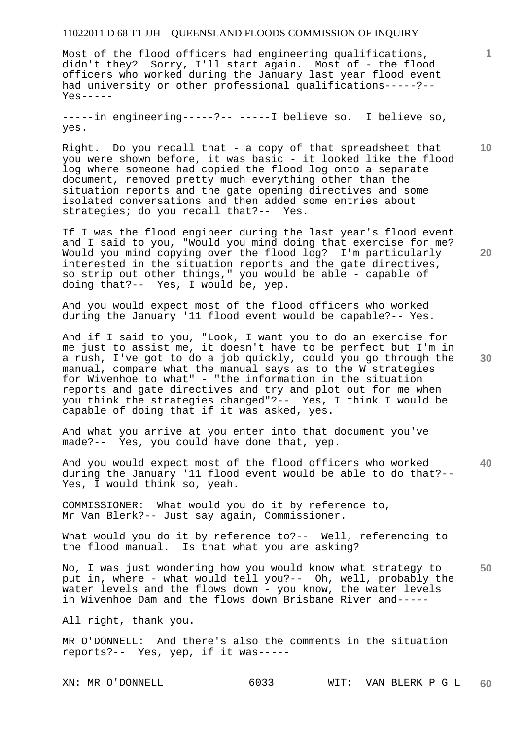Most of the flood officers had engineering qualifications, didn't they? Sorry, I'll start again. Most of - the flood officers who worked during the January last year flood event had university or other professional qualifications-----?--  $Yes---$ 

-----in engineering-----?-- -----I believe so. I believe so, yes.

Right. Do you recall that - a copy of that spreadsheet that you were shown before, it was basic - it looked like the flood log where someone had copied the flood log onto a separate document, removed pretty much everything other than the situation reports and the gate opening directives and some isolated conversations and then added some entries about strategies; do you recall that?-- Yes.

If I was the flood engineer during the last year's flood event and I said to you, "Would you mind doing that exercise for me? Would you mind copying over the flood log? I'm particularly interested in the situation reports and the gate directives, so strip out other things," you would be able - capable of doing that?-- Yes, I would be, yep.

And you would expect most of the flood officers who worked during the January '11 flood event would be capable?-- Yes.

And if I said to you, "Look, I want you to do an exercise for me just to assist me, it doesn't have to be perfect but I'm in a rush, I've got to do a job quickly, could you go through the manual, compare what the manual says as to the W strategies for Wivenhoe to what" - "the information in the situation reports and gate directives and try and plot out for me when you think the strategies changed"?-- Yes, I think I would be capable of doing that if it was asked, yes.

And what you arrive at you enter into that document you've made?-- Yes, you could have done that, yep.

**40**  And you would expect most of the flood officers who worked during the January '11 flood event would be able to do that?-- Yes, I would think so, yeah.

COMMISSIONER: What would you do it by reference to, Mr Van Blerk?-- Just say again, Commissioner.

What would you do it by reference to?-- Well, referencing to the flood manual. Is that what you are asking?

**50**  No, I was just wondering how you would know what strategy to put in, where - what would tell you?-- Oh, well, probably the water levels and the flows down - you know, the water levels in Wivenhoe Dam and the flows down Brisbane River and-----

All right, thank you.

MR O'DONNELL: And there's also the comments in the situation reports?-- Yes, yep, if it was-----

**20** 

**10**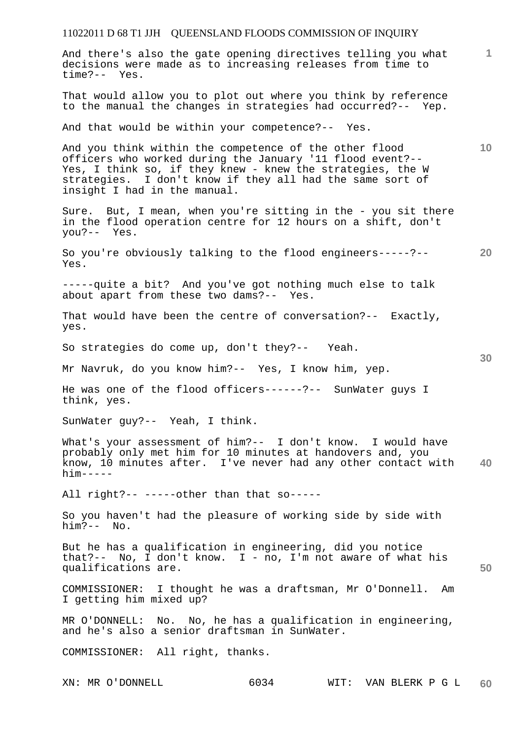# 11022011 D 68 T1 JJH QUEENSLAND FLOODS COMMISSION OF INQUIRY XN: MR O'DONNELL 6034 WIT: VAN BLERK P G L **1 10 20 30 40 50 60**  And there's also the gate opening directives telling you what decisions were made as to increasing releases from time to time?-- Yes. That would allow you to plot out where you think by reference to the manual the changes in strategies had occurred?-- Yep. And that would be within your competence?-- Yes. And you think within the competence of the other flood officers who worked during the January '11 flood event?-- Yes, I think so, if they knew - knew the strategies, the W strategies. I don't know if they all had the same sort of insight I had in the manual. Sure. But, I mean, when you're sitting in the - you sit there in the flood operation centre for 12 hours on a shift, don't you?-- Yes. So you're obviously talking to the flood engineers-----?-- Yes. -----quite a bit? And you've got nothing much else to talk about apart from these two dams?-- Yes. That would have been the centre of conversation?-- Exactly, yes. So strategies do come up, don't they?-- Yeah. Mr Navruk, do you know him?-- Yes, I know him, yep. He was one of the flood officers------?-- SunWater guys I think, yes. SunWater guy?-- Yeah, I think. What's your assessment of him?-- I don't know. I would have probably only met him for 10 minutes at handovers and, you know, 10 minutes after. I've never had any other contact with him----- All right?-- -----other than that so----- So you haven't had the pleasure of working side by side with him?-- No. But he has a qualification in engineering, did you notice that?-- No, I don't know. I - no, I'm not aware of what his qualifications are. COMMISSIONER: I thought he was a draftsman, Mr O'Donnell. Am I getting him mixed up? MR O'DONNELL: No. No, he has a qualification in engineering, and he's also a senior draftsman in SunWater. COMMISSIONER: All right, thanks.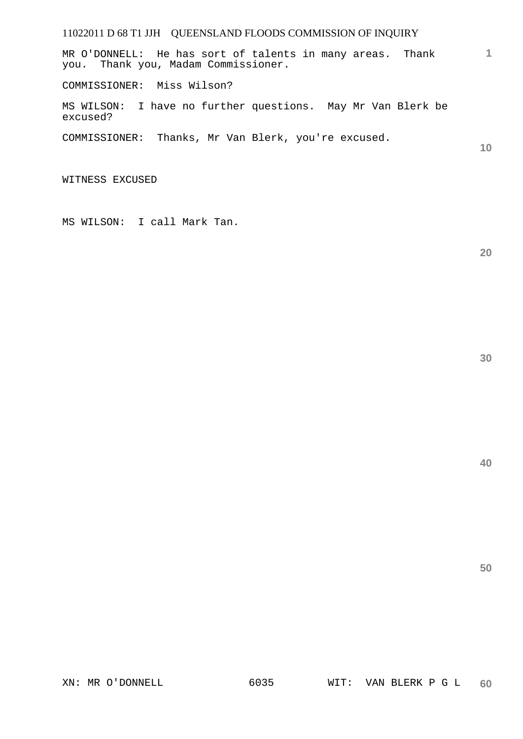MR O'DONNELL: He has sort of talents in many areas. Thank you. Thank you, Madam Commissioner.

COMMISSIONER: Miss Wilson?

MS WILSON: I have no further questions. May Mr Van Blerk be excused?

COMMISSIONER: Thanks, Mr Van Blerk, you're excused.

WITNESS EXCUSED

MS WILSON: I call Mark Tan.

**20** 

**40** 

**50** 

**1**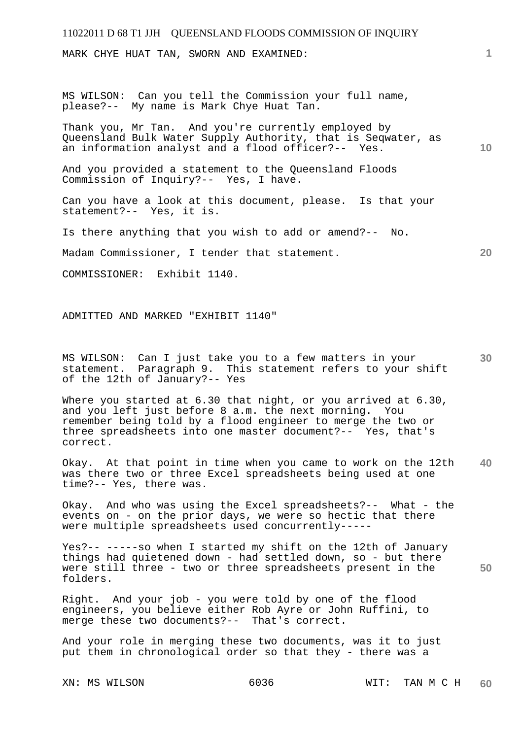MARK CHYE HUAT TAN, SWORN AND EXAMINED:

MS WILSON: Can you tell the Commission your full name, please?-- My name is Mark Chye Huat Tan.

Thank you, Mr Tan. And you're currently employed by Queensland Bulk Water Supply Authority, that is Seqwater, as an information analyst and a flood officer?-- Yes.

And you provided a statement to the Queensland Floods Commission of Inquiry?-- Yes, I have.

Can you have a look at this document, please. Is that your statement?-- Yes, it is.

Is there anything that you wish to add or amend?-- No.

Madam Commissioner, I tender that statement.

COMMISSIONER: Exhibit 1140.

ADMITTED AND MARKED "EXHIBIT 1140"

**30**  MS WILSON: Can I just take you to a few matters in your statement. Paragraph 9. This statement refers to your shift of the 12th of January?-- Yes

Where you started at 6.30 that night, or you arrived at 6.30, and you left just before 8 a.m. the next morning. You remember being told by a flood engineer to merge the two or three spreadsheets into one master document?-- Yes, that's correct.

**40**  Okay. At that point in time when you came to work on the 12th was there two or three Excel spreadsheets being used at one time?-- Yes, there was.

Okay. And who was using the Excel spreadsheets?-- What - the events on - on the prior days, we were so hectic that there were multiple spreadsheets used concurrently-----

Yes?-- -----so when I started my shift on the 12th of January things had quietened down - had settled down, so - but there were still three - two or three spreadsheets present in the folders.

Right. And your job - you were told by one of the flood engineers, you believe either Rob Ayre or John Ruffini, to merge these two documents?-- That's correct.

And your role in merging these two documents, was it to just put them in chronological order so that they - there was a

**1**

**10** 

**50**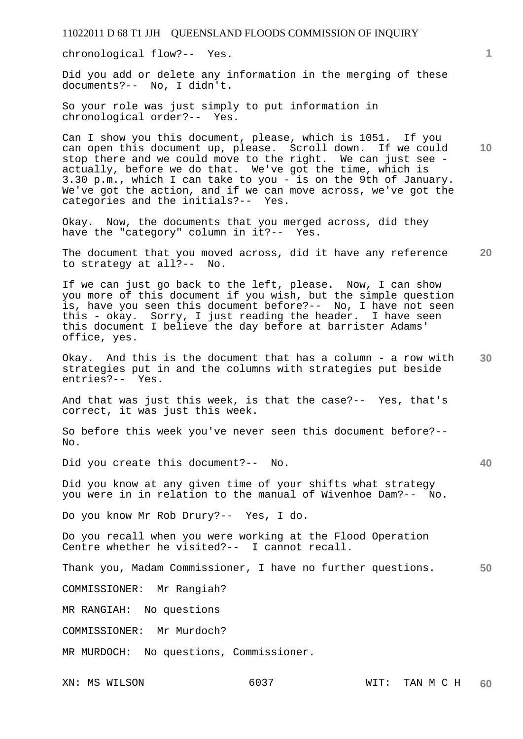chronological flow?-- Yes.

Did you add or delete any information in the merging of these documents?-- No, I didn't.

So your role was just simply to put information in chronological order?-- Yes.

Can I show you this document, please, which is 1051. If you can open this document up, please. Scroll down. If we could stop there and we could move to the right. We can just see actually, before we do that. We've got the time, which is 3.30 p.m., which I can take to you - is on the 9th of January. We've got the action, and if we can move across, we've got the categories and the initials?-- Yes.

Okay. Now, the documents that you merged across, did they have the "category" column in it?-- Yes.

**20**  The document that you moved across, did it have any reference to strategy at all?-- No.

If we can just go back to the left, please. Now, I can show you more of this document if you wish, but the simple question is, have you seen this document before?-- No, I have not seen this - okay. Sorry, I just reading the header. I have seen this document I believe the day before at barrister Adams' office, yes.

**30**  Okay. And this is the document that has a column - a row with strategies put in and the columns with strategies put beside entries?-- Yes.

And that was just this week, is that the case?-- Yes, that's correct, it was just this week.

So before this week you've never seen this document before?-- No.

Did you create this document?-- No.

Did you know at any given time of your shifts what strategy you were in in relation to the manual of Wivenhoe Dam?-- No.

Do you know Mr Rob Drury?-- Yes, I do.

Do you recall when you were working at the Flood Operation Centre whether he visited?-- I cannot recall.

**50**  Thank you, Madam Commissioner, I have no further questions.

COMMISSIONER: Mr Rangiah?

MR RANGIAH: No questions

COMMISSIONER: Mr Murdoch?

MR MURDOCH: No questions, Commissioner.

**1**

**10**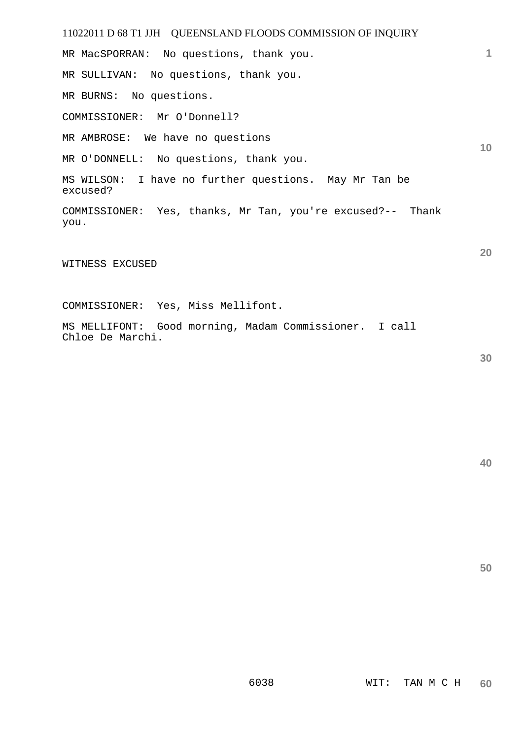# 11022011 D 68 T1 JJH QUEENSLAND FLOODS COMMISSION OF INQUIRY **1 10 20**  MR MacSPORRAN: No questions, thank you. MR SULLIVAN: No questions, thank you. MR O'DONNELL: No questions, thank you. MS WILSON: I have no further questions. May Mr Tan be COMMISSIONER: Yes, thanks, Mr Tan, you're excused?-- Thank you. WITNESS EXCUSED

COMMISSIONER: Yes, Miss Mellifont.

MS MELLIFONT: Good morning, Madam Commissioner. I call Chloe De Marchi.

**30** 

**40** 

**50** 

MR BURNS: No questions.

COMMISSIONER: Mr O'Donnell?

MR AMBROSE: We have no questions

excused?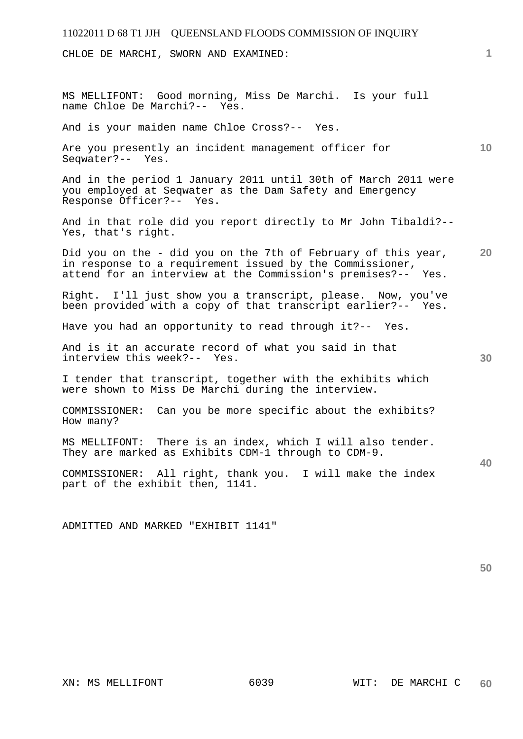CHLOE DE MARCHI, SWORN AND EXAMINED:

MS MELLIFONT: Good morning, Miss De Marchi. Is your full name Chloe De Marchi?-- Yes.

And is your maiden name Chloe Cross?-- Yes.

Are you presently an incident management officer for Seqwater?-- Yes.

And in the period 1 January 2011 until 30th of March 2011 were you employed at Seqwater as the Dam Safety and Emergency Response Officer?-- Yes.

And in that role did you report directly to Mr John Tibaldi?-- Yes, that's right.

**20**  Did you on the - did you on the 7th of February of this year, in response to a requirement issued by the Commissioner, attend for an interview at the Commission's premises?-- Yes.

Right. I'll just show you a transcript, please. Now, you've been provided with a copy of that transcript earlier?-- Yes.

Have you had an opportunity to read through it?-- Yes.

And is it an accurate record of what you said in that interview this week?-- Yes.

I tender that transcript, together with the exhibits which were shown to Miss De Marchi during the interview.

COMMISSIONER: Can you be more specific about the exhibits? How many?

MS MELLIFONT: There is an index, which I will also tender. They are marked as Exhibits CDM-1 through to CDM-9.

COMMISSIONER: All right, thank you. I will make the index part of the exhibit then, 1141.

ADMITTED AND MARKED "EXHIBIT 1141"

**50** 

**30** 

**40** 

**1**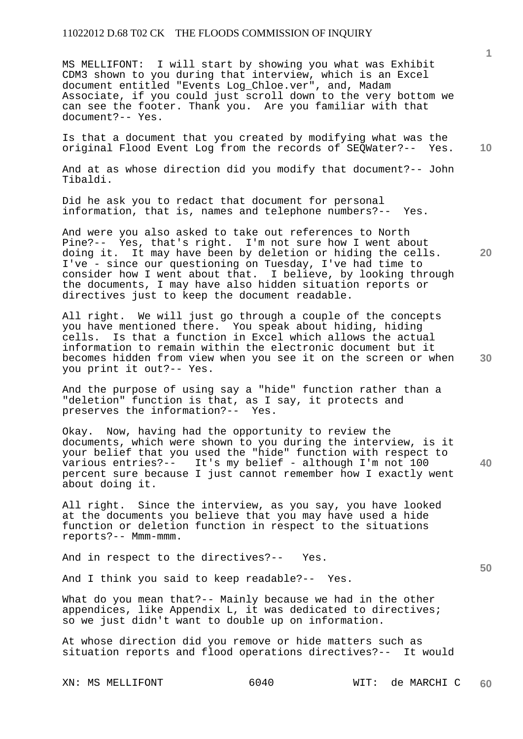MS MELLIFONT: I will start by showing you what was Exhibit CDM3 shown to you during that interview, which is an Excel document entitled "Events Log\_Chloe.ver", and, Madam Associate, if you could just scroll down to the very bottom we can see the footer. Thank you. Are you familiar with that document?-- Yes.

**10**  Is that a document that you created by modifying what was the original Flood Event Log from the records of SEQWater?-- Yes.

And at as whose direction did you modify that document?-- John Tibaldi.

Did he ask you to redact that document for personal information, that is, names and telephone numbers?-- Yes.

And were you also asked to take out references to North Pine?-- Yes, that's right. I'm not sure how I went about doing it. It may have been by deletion or hiding the cells. I've - since our questioning on Tuesday, I've had time to consider how I went about that. I believe, by looking through the documents, I may have also hidden situation reports or directives just to keep the document readable.

**30**  All right. We will just go through a couple of the concepts you have mentioned there. You speak about hiding, hiding cells. Is that a function in Excel which allows the actual information to remain within the electronic document but it becomes hidden from view when you see it on the screen or when you print it out?-- Yes.

And the purpose of using say a "hide" function rather than a "deletion" function is that, as I say, it protects and preserves the information?-- Yes.

Okay. Now, having had the opportunity to review the documents, which were shown to you during the interview, is it your belief that you used the "hide" function with respect to various entries?-- It's my belief - although I'm not 100 percent sure because I just cannot remember how I exactly went about doing it.

All right. Since the interview, as you say, you have looked at the documents you believe that you may have used a hide function or deletion function in respect to the situations reports?-- Mmm-mmm.

And in respect to the directives?-- Yes.

And I think you said to keep readable?-- Yes.

What do you mean that?-- Mainly because we had in the other appendices, like Appendix L, it was dedicated to directives; so we just didn't want to double up on information.

At whose direction did you remove or hide matters such as situation reports and flood operations directives?-- It would

**1**

**20** 

**40**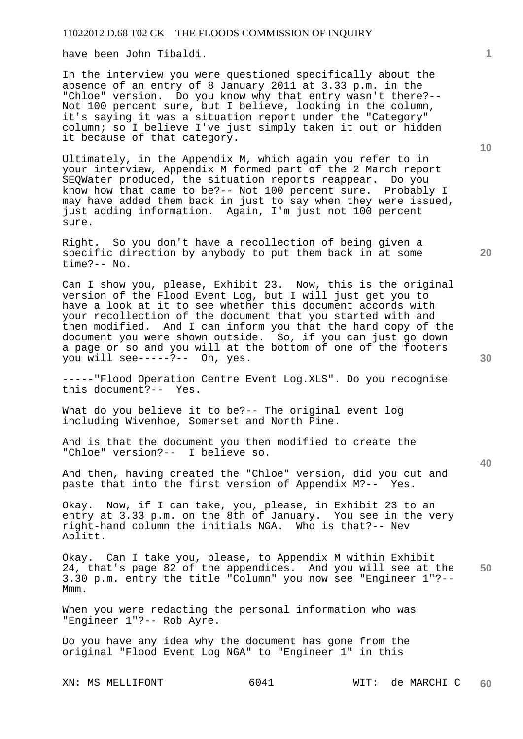have been John Tibaldi.

In the interview you were questioned specifically about the absence of an entry of 8 January 2011 at 3.33 p.m. in the "Chloe" version. Do you know why that entry wasn't there?-- Not 100 percent sure, but I believe, looking in the column, it's saying it was a situation report under the "Category" column; so I believe I've just simply taken it out or hidden it because of that category.

Ultimately, in the Appendix M, which again you refer to in your interview, Appendix M formed part of the 2 March report SEQWater produced, the situation reports reappear. Do you know how that came to be?-- Not 100 percent sure. Probably I may have added them back in just to say when they were issued, just adding information. Again, I'm just not 100 percent sure.

Right. So you don't have a recollection of being given a specific direction by anybody to put them back in at some time?-- No.

Can I show you, please, Exhibit 23. Now, this is the original version of the Flood Event Log, but I will just get you to have a look at it to see whether this document accords with your recollection of the document that you started with and then modified. And I can inform you that the hard copy of the document you were shown outside. So, if you can just go down a page or so and you will at the bottom of one of the footers you will see-----?-- Oh, yes.

-----"Flood Operation Centre Event Log.XLS". Do you recognise this document?-- Yes.

What do you believe it to be?-- The original event log including Wivenhoe, Somerset and North Pine.

And is that the document you then modified to create the "Chloe" version?-- I believe so.

And then, having created the "Chloe" version, did you cut and paste that into the first version of Appendix M?-- Yes.

Okay. Now, if I can take, you, please, in Exhibit 23 to an entry at 3.33 p.m. on the 8th of January. You see in the very right-hand column the initials NGA. Who is that?-- Nev Ablitt.

**50**  Okay. Can I take you, please, to Appendix M within Exhibit 24, that's page 82 of the appendices. And you will see at the 3.30 p.m. entry the title "Column" you now see "Engineer 1"?-- Mmm.

When you were redacting the personal information who was "Engineer 1"?-- Rob Ayre.

Do you have any idea why the document has gone from the original "Flood Event Log NGA" to "Engineer 1" in this

XN: MS MELLIFONT 6041 WIT: de MARCHI C **60** 

**30** 

**40** 

**10** 

**20**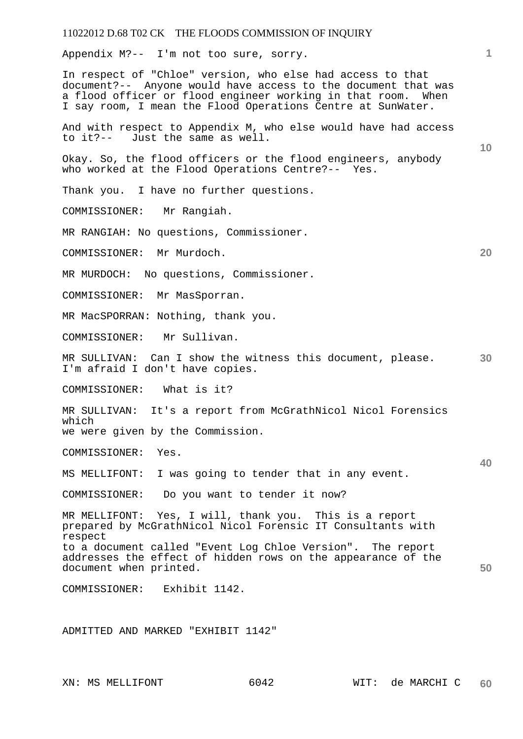Appendix M?-- I'm not too sure, sorry.

In respect of "Chloe" version, who else had access to that document?-- Anyone would have access to the document that was a flood officer or flood engineer working in that room. When I say room, I mean the Flood Operations Centre at SunWater.

And with respect to Appendix M, who else would have had access to it?-- Just the same as well.

Okay. So, the flood officers or the flood engineers, anybody who worked at the Flood Operations Centre?-- Yes.

Thank you. I have no further questions.

COMMISSIONER: Mr Rangiah.

MR RANGIAH: No questions, Commissioner.

COMMISSIONER: Mr Murdoch.

MR MURDOCH: No questions, Commissioner.

COMMISSIONER: Mr MasSporran.

MR MacSPORRAN: Nothing, thank you.

COMMISSIONER: Mr Sullivan.

**30**  MR SULLIVAN: Can I show the witness this document, please. I'm afraid I don't have copies.

COMMISSIONER: What is it?

MR SULLIVAN: It's a report from McGrathNicol Nicol Forensics which we were given by the Commission.

COMMISSIONER: Yes.

MS MELLIFONT: I was going to tender that in any event.

COMMISSIONER: Do you want to tender it now?

MR MELLIFONT: Yes, I will, thank you. This is a report prepared by McGrathNicol Nicol Forensic IT Consultants with respect to a document called "Event Log Chloe Version". The report addresses the effect of hidden rows on the appearance of the document when printed.

COMMISSIONER: Exhibit 1142.

ADMITTED AND MARKED "EXHIBIT 1142"

**10** 

**20** 

**40**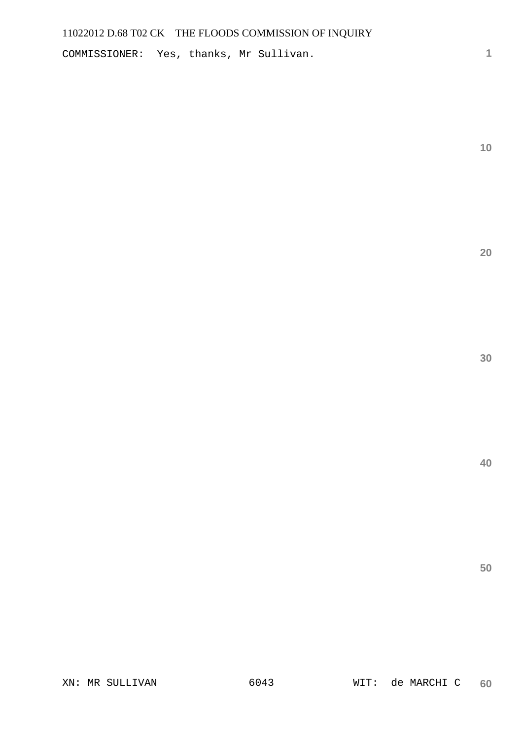COMMISSIONER: Yes, thanks, Mr Sullivan.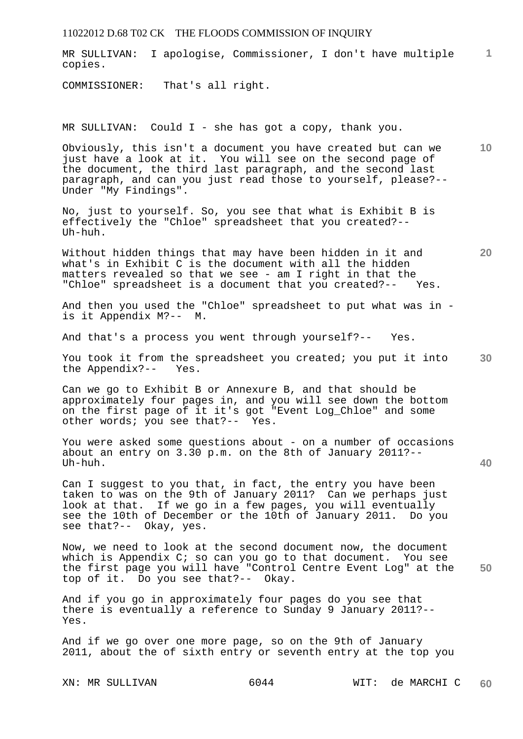**1** MR SULLIVAN: I apologise, Commissioner, I don't have multiple copies.

COMMISSIONER: That's all right.

MR SULLIVAN: Could  $I$  - she has got a copy, thank you.

**10**  Obviously, this isn't a document you have created but can we just have a look at it. You will see on the second page of the document, the third last paragraph, and the second last paragraph, and can you just read those to yourself, please?-- Under "My Findings".

No, just to yourself. So, you see that what is Exhibit B is effectively the "Chloe" spreadsheet that you created?-- Uh-huh.

Without hidden things that may have been hidden in it and what's in Exhibit C is the document with all the hidden matters revealed so that we see - am I right in that the "Chloe" spreadsheet is a document that you created?-- Yes.

And then you used the "Chloe" spreadsheet to put what was in is it Appendix M?-- M.

And that's a process you went through yourself?-- Yes.

**30**  You took it from the spreadsheet you created; you put it into the Appendix?-- Yes.

Can we go to Exhibit B or Annexure B, and that should be approximately four pages in, and you will see down the bottom on the first page of it it's got "Event Log\_Chloe" and some other words; you see that?-- Yes.

You were asked some questions about - on a number of occasions about an entry on 3.30 p.m. on the 8th of January 2011?-- Uh-huh.

Can I suggest to you that, in fact, the entry you have been taken to was on the 9th of January 2011? Can we perhaps just look at that. If we go in a few pages, you will eventually see the 10th of December or the 10th of January 2011. Do you see that?-- Okay, yes.

**50**  Now, we need to look at the second document now, the document which is Appendix C; so can you go to that document. You see the first page you will have "Control Centre Event Log" at the top of it. Do you see that?-- Okay.

And if you go in approximately four pages do you see that there is eventually a reference to Sunday 9 January 2011?-- Yes.

And if we go over one more page, so on the 9th of January 2011, about the of sixth entry or seventh entry at the top you

**20**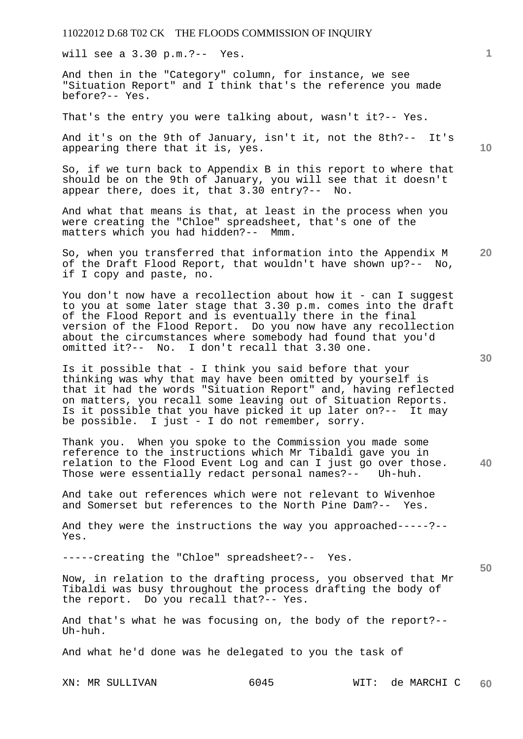will see a 3.30 p.m.?-- Yes.

And then in the "Category" column, for instance, we see "Situation Report" and I think that's the reference you made before?-- Yes.

That's the entry you were talking about, wasn't it?-- Yes.

And it's on the 9th of January, isn't it, not the 8th?-- It's appearing there that it is, yes.

So, if we turn back to Appendix B in this report to where that should be on the 9th of January, you will see that it doesn't appear there, does it, that 3.30 entry?-- No.

And what that means is that, at least in the process when you were creating the "Chloe" spreadsheet, that's one of the matters which you had hidden?-- Mmm.

So, when you transferred that information into the Appendix M of the Draft Flood Report, that wouldn't have shown up?-- No, if I copy and paste, no.

You don't now have a recollection about how it - can I suggest to you at some later stage that 3.30 p.m. comes into the draft of the Flood Report and is eventually there in the final version of the Flood Report. Do you now have any recollection about the circumstances where somebody had found that you'd omitted it?-- No. I don't recall that 3.30 one.

Is it possible that - I think you said before that your thinking was why that may have been omitted by yourself is that it had the words "Situation Report" and, having reflected on matters, you recall some leaving out of Situation Reports. Is it possible that you have picked it up later on?-- It may be possible. I just - I do not remember, sorry.

**40**  Thank you. When you spoke to the Commission you made some reference to the instructions which Mr Tibaldi gave you in relation to the Flood Event Log and can I just go over those.<br>Those were essentially redact personal names?-- Uh-huh. Those were essentially redact personal names?--

And take out references which were not relevant to Wivenhoe and Somerset but references to the North Pine Dam?-- Yes.

And they were the instructions the way you approached-----?-- Yes.

-----creating the "Chloe" spreadsheet?-- Yes.

Now, in relation to the drafting process, you observed that Mr Tibaldi was busy throughout the process drafting the body of the report. Do you recall that?-- Yes.

And that's what he was focusing on, the body of the report?-- Uh-huh.

And what he'd done was he delegated to you the task of

**10** 

**1**

**30** 

**20**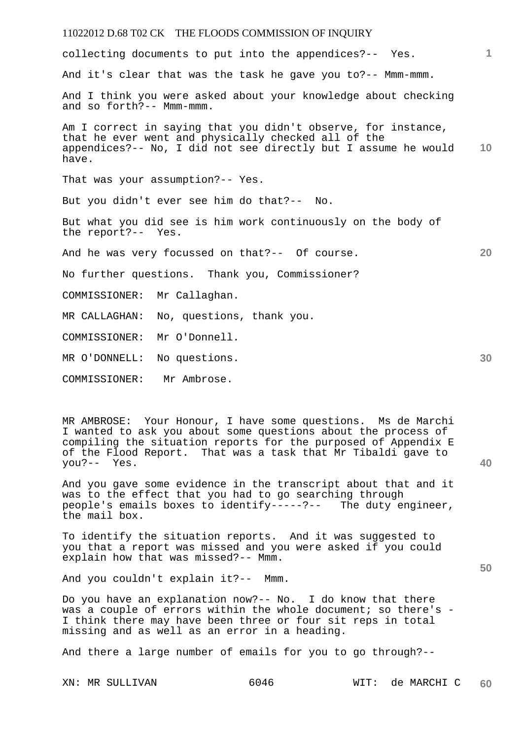MR AMBROSE: Your Honour, I have some questions. Ms de Marchi I wanted to ask you about some questions about the process of compiling the situation reports for the purposed of Appendix E of the Flood Report. That was a task that Mr Tibaldi gave to you?-- Yes.

And you gave some evidence in the transcript about that and it was to the effect that you had to go searching through people's emails boxes to identify-----?-- The duty engineer, the mail box.

To identify the situation reports. And it was suggested to you that a report was missed and you were asked if you could explain how that was missed?-- Mmm.

And you couldn't explain it?-- Mmm.

Do you have an explanation now?-- No. I do know that there was a couple of errors within the whole document; so there's  $-$ I think there may have been three or four sit reps in total missing and as well as an error in a heading.

And there a large number of emails for you to go through?--

**40**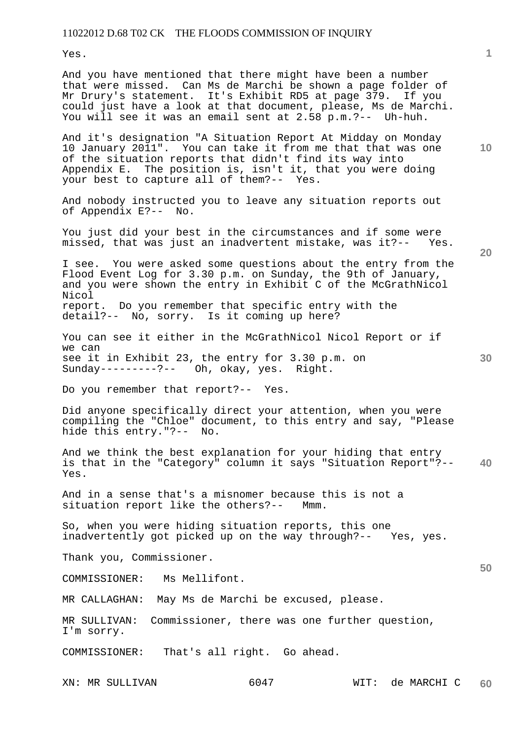Yes.

**10 20 30 40 50**  And you have mentioned that there might have been a number that were missed. Can Ms de Marchi be shown a page folder of Mr Drury's statement. It's Exhibit RD5 at page 379. If you could just have a look at that document, please, Ms de Marchi. You will see it was an email sent at 2.58 p.m.?-- Uh-huh. And it's designation "A Situation Report At Midday on Monday 10 January 2011". You can take it from me that that was one of the situation reports that didn't find its way into Appendix E. The position is, isn't it, that you were doing your best to capture all of them?-- Yes. And nobody instructed you to leave any situation reports out of Appendix E?-- No. You just did your best in the circumstances and if some were missed, that was just an inadvertent mistake, was it?-- Yes. I see. You were asked some questions about the entry from the Flood Event Log for 3.30 p.m. on Sunday, the 9th of January, and you were shown the entry in Exhibit C of the McGrathNicol Nicol report. Do you remember that specific entry with the detail?-- No, sorry. Is it coming up here? You can see it either in the McGrathNicol Nicol Report or if we can see it in Exhibit 23, the entry for 3.30 p.m. on Sunday---------?-- Oh, okay, yes. Right. Do you remember that report?-- Yes. Did anyone specifically direct your attention, when you were compiling the "Chloe" document, to this entry and say, "Please hide this entry."?-- No. And we think the best explanation for your hiding that entry is that in the "Category" column it says "Situation Report"?-- Yes. And in a sense that's a misnomer because this is not a situation report like the others?-- Mmm. So, when you were hiding situation reports, this one inadvertently got picked up on the way through?-- Yes, yes. Thank you, Commissioner. COMMISSIONER: Ms Mellifont. MR CALLAGHAN: May Ms de Marchi be excused, please. MR SULLIVAN: Commissioner, there was one further question, I'm sorry. COMMISSIONER: That's all right. Go ahead.

XN: MR SULLIVAN 6047 WIT: de MARCHI C **60**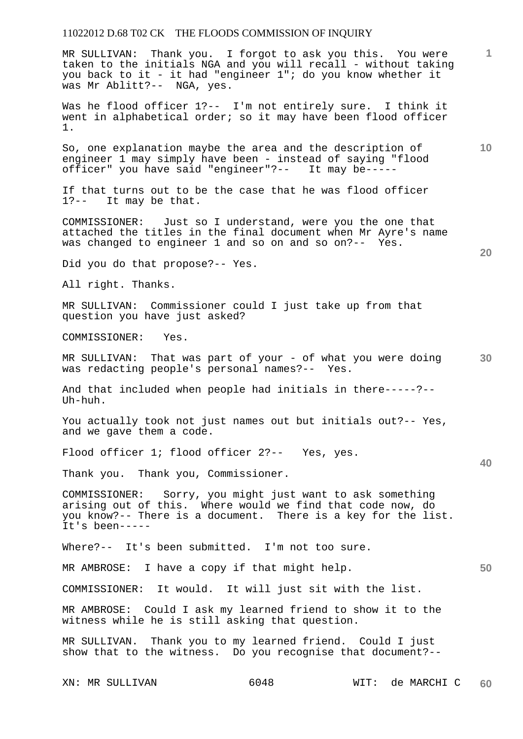MR SULLIVAN: Thank you. I forgot to ask you this. You were taken to the initials NGA and you will recall - without taking you back to it - it had "engineer 1"; do you know whether it was Mr Ablitt?-- NGA, yes.

Was he flood officer 1?-- I'm not entirely sure. I think it went in alphabetical order; so it may have been flood officer 1.

So, one explanation maybe the area and the description of engineer 1 may simply have been - instead of saying "flood officer" you have said "engineer"?-- It may be-----

If that turns out to be the case that he was flood officer 1?-- It may be that.

COMMISSIONER: Just so I understand, were you the one that attached the titles in the final document when Mr Ayre's name was changed to engineer 1 and so on and so on?-- Yes.

Did you do that propose?-- Yes.

All right. Thanks.

MR SULLIVAN: Commissioner could I just take up from that question you have just asked?

COMMISSIONER: Yes.

**30**  MR SULLIVAN: That was part of your - of what you were doing was redacting people's personal names?-- Yes.

And that included when people had initials in there-----?-- Uh-huh.

You actually took not just names out but initials out?-- Yes, and we gave them a code.

Flood officer 1; flood officer 2?-- Yes, yes.

Thank you. Thank you, Commissioner.

COMMISSIONER: Sorry, you might just want to ask something arising out of this. Where would we find that code now, do you know?-- There is a document. There is a key for the list. It's been-----

Where?-- It's been submitted. I'm not too sure.

MR AMBROSE: I have a copy if that might help.

COMMISSIONER: It would. It will just sit with the list.

MR AMBROSE: Could I ask my learned friend to show it to the witness while he is still asking that question.

MR SULLIVAN. Thank you to my learned friend. Could I just show that to the witness. Do you recognise that document?--

**20** 

**10** 

**1**

**40**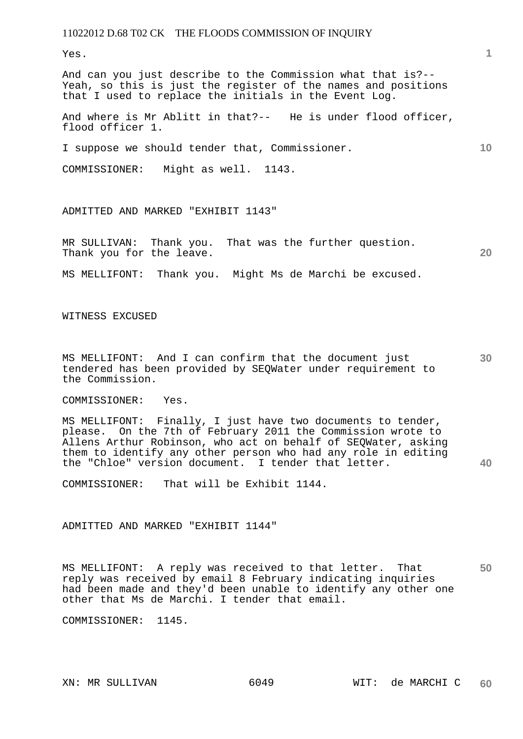Yes.

And can you just describe to the Commission what that is?-- Yeah, so this is just the register of the names and positions that I used to replace the initials in the Event Log.

And where is Mr Ablitt in that?-- He is under flood officer, flood officer 1.

I suppose we should tender that, Commissioner.

COMMISSIONER: Might as well. 1143.

ADMITTED AND MARKED "EXHIBIT 1143"

MR SULLIVAN: Thank you. That was the further question. Thank you for the leave.

MS MELLIFONT: Thank you. Might Ms de Marchi be excused.

WITNESS EXCUSED

MS MELLIFONT: And I can confirm that the document just tendered has been provided by SEQWater under requirement to the Commission.

COMMISSIONER: Yes.

**40**  MS MELLIFONT: Finally, I just have two documents to tender, please. On the 7th of February 2011 the Commission wrote to Allens Arthur Robinson, who act on behalf of SEQWater, asking them to identify any other person who had any role in editing the "Chloe" version document. I tender that letter.

COMMISSIONER: That will be Exhibit 1144.

ADMITTED AND MARKED "EXHIBIT 1144"

**50**  MS MELLIFONT: A reply was received to that letter. That reply was received by email 8 February indicating inquiries had been made and they'd been unable to identify any other one other that Ms de Marchi. I tender that email.

COMMISSIONER: 1145.

**20**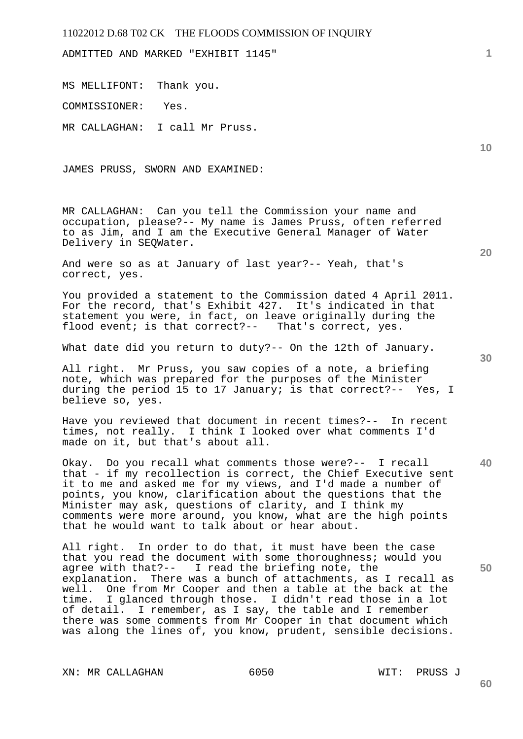ADMITTED AND MARKED "EXHIBIT 1145"

MS MELLIFONT: Thank you.

COMMISSIONER: Yes.

MR CALLAGHAN: I call Mr Pruss.

JAMES PRUSS, SWORN AND EXAMINED:

MR CALLAGHAN: Can you tell the Commission your name and occupation, please?-- My name is James Pruss, often referred to as Jim, and I am the Executive General Manager of Water Delivery in SEQWater.

And were so as at January of last year?-- Yeah, that's correct, yes.

You provided a statement to the Commission dated 4 April 2011. For the record, that's Exhibit 427. It's indicated in that statement you were, in fact, on leave originally during the flood event; is that correct?-- That's correct, yes.

What date did you return to duty?-- On the 12th of January.

All right. Mr Pruss, you saw copies of a note, a briefing note, which was prepared for the purposes of the Minister during the period 15 to 17 January; is that correct?-- Yes, I believe so, yes.

Have you reviewed that document in recent times?-- In recent times, not really. I think I looked over what comments I'd made on it, but that's about all.

Okay. Do you recall what comments those were?-- I recall that - if my recollection is correct, the Chief Executive sent it to me and asked me for my views, and I'd made a number of points, you know, clarification about the questions that the Minister may ask, questions of clarity, and I think my comments were more around, you know, what are the high points that he would want to talk about or hear about.

All right. In order to do that, it must have been the case that you read the document with some thoroughness; would you agree with that?-- I read the briefing note, the explanation. There was a bunch of attachments, as I recall as well. One from Mr Cooper and then a table at the back at the time. I glanced through those. I didn't read those in a lot of detail. I remember, as I say, the table and I remember there was some comments from Mr Cooper in that document which was along the lines of, you know, prudent, sensible decisions.

**30** 

**60** 

**40** 

**10**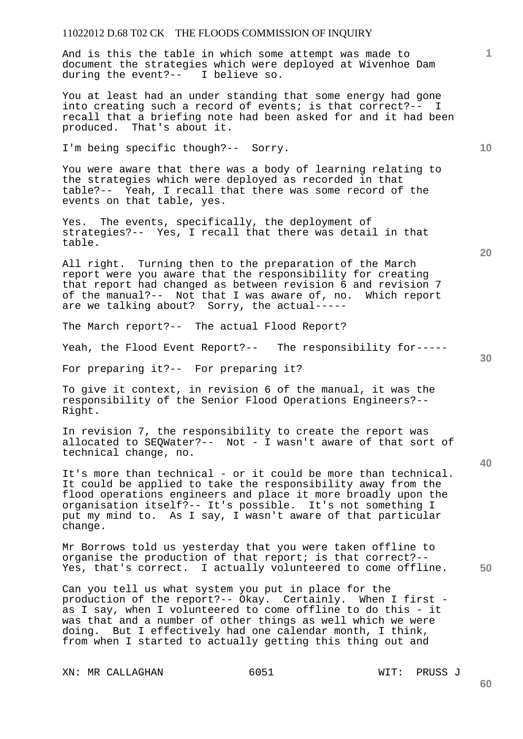And is this the table in which some attempt was made to document the strategies which were deployed at Wivenhoe Dam during the event?-- I believe so.

You at least had an under standing that some energy had gone into creating such a record of events; is that correct?-- I recall that a briefing note had been asked for and it had been produced. That's about it.

I'm being specific though?-- Sorry.

You were aware that there was a body of learning relating to the strategies which were deployed as recorded in that table?-- Yeah, I recall that there was some record of the events on that table, yes.

Yes. The events, specifically, the deployment of strategies?-- Yes, I recall that there was detail in that table.

All right. Turning then to the preparation of the March report were you aware that the responsibility for creating that report had changed as between revision 6 and revision 7 of the manual?-- Not that I was aware of, no. Which report are we talking about? Sorry, the actual-----

The March report?-- The actual Flood Report?

Yeah, the Flood Event Report?-- The responsibility for-----

For preparing it?-- For preparing it?

To give it context, in revision 6 of the manual, it was the responsibility of the Senior Flood Operations Engineers?-- Right.

In revision 7, the responsibility to create the report was allocated to SEQWater?-- Not - I wasn't aware of that sort of technical change, no.

It's more than technical - or it could be more than technical. It could be applied to take the responsibility away from the flood operations engineers and place it more broadly upon the organisation itself?-- It's possible. It's not something I put my mind to. As I say, I wasn't aware of that particular change.

**50**  Mr Borrows told us yesterday that you were taken offline to organise the production of that report; is that correct?-- Yes, that's correct. I actually volunteered to come offline.

Can you tell us what system you put in place for the production of the report?-- Okay. Certainly. When I first as I say, when I volunteered to come offline to do this - it was that and a number of other things as well which we were doing. But I effectively had one calendar month, I think, from when I started to actually getting this thing out and

XN: MR CALLAGHAN 6051 6051 WIT: PRUSS J

**10** 

**40**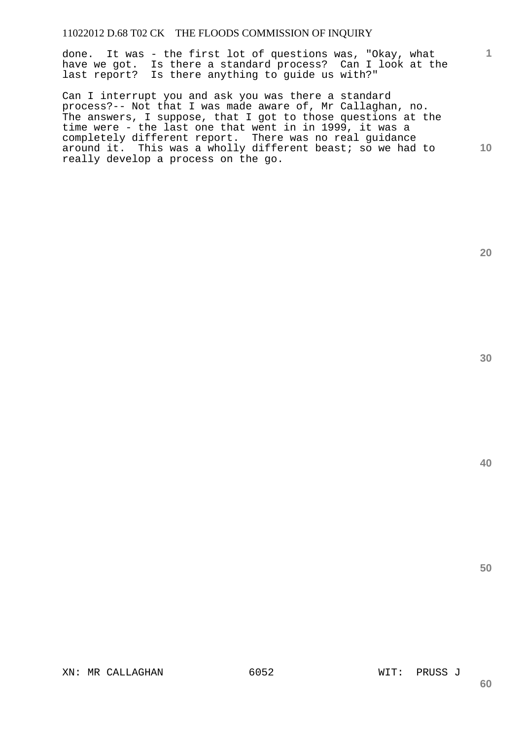done. It was - the first lot of questions was, "Okay, what have we got. Is there a standard process? Can I look at the last report? Is there anything to guide us with?"

Can I interrupt you and ask you was there a standard process?-- Not that I was made aware of, Mr Callaghan, no. The answers, I suppose, that I got to those questions at the time were - the last one that went in in 1999, it was a completely different report. There was no real guidance around it. This was a wholly different beast; so we had to really develop a process on the go.

**20** 

**1**

**10** 

**30**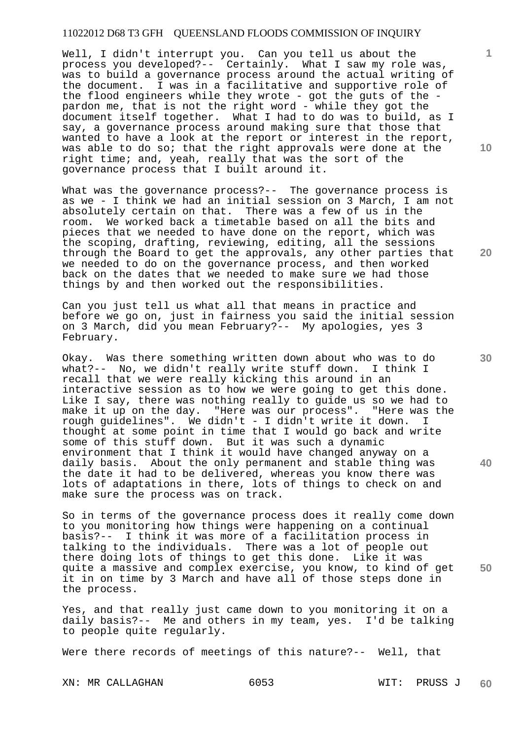Well, I didn't interrupt you. Can you tell us about the process you developed?-- Certainly. What I saw my role was, was to build a governance process around the actual writing of the document. I was in a facilitative and supportive role of the flood engineers while they wrote - got the guts of the pardon me, that is not the right word - while they got the document itself together. What I had to do was to build, as I say, a governance process around making sure that those that wanted to have a look at the report or interest in the report, was able to do so; that the right approvals were done at the right time; and, yeah, really that was the sort of the governance process that I built around it.

What was the governance process?-- The governance process is as we - I think we had an initial session on 3 March, I am not absolutely certain on that. There was a few of us in the room. We worked back a timetable based on all the bits and pieces that we needed to have done on the report, which was the scoping, drafting, reviewing, editing, all the sessions through the Board to get the approvals, any other parties that we needed to do on the governance process, and then worked back on the dates that we needed to make sure we had those things by and then worked out the responsibilities.

Can you just tell us what all that means in practice and before we go on, just in fairness you said the initial session on 3 March, did you mean February?-- My apologies, yes 3 February.

Okay. Was there something written down about who was to do what?-- No, we didn't really write stuff down. I think I recall that we were really kicking this around in an interactive session as to how we were going to get this done. Like I say, there was nothing really to guide us so we had to make it up on the day. "Here was our process". "Here was the rough guidelines". We didn't - I didn't write it down. I thought at some point in time that I would go back and write some of this stuff down. But it was such a dynamic environment that I think it would have changed anyway on a daily basis. About the only permanent and stable thing was the date it had to be delivered, whereas you know there was lots of adaptations in there, lots of things to check on and make sure the process was on track.

So in terms of the governance process does it really come down to you monitoring how things were happening on a continual basis?-- I think it was more of a facilitation process in talking to the individuals. There was a lot of people out there doing lots of things to get this done. Like it was quite a massive and complex exercise, you know, to kind of get it in on time by 3 March and have all of those steps done in the process.

Yes, and that really just came down to you monitoring it on a daily basis?-- Me and others in my team, yes. I'd be talking to people quite regularly.

Were there records of meetings of this nature?-- Well, that

XN: MR CALLAGHAN 6053 WIT: PRUSS J

**60** 

**20** 

**40** 

**50** 

**30** 

**1**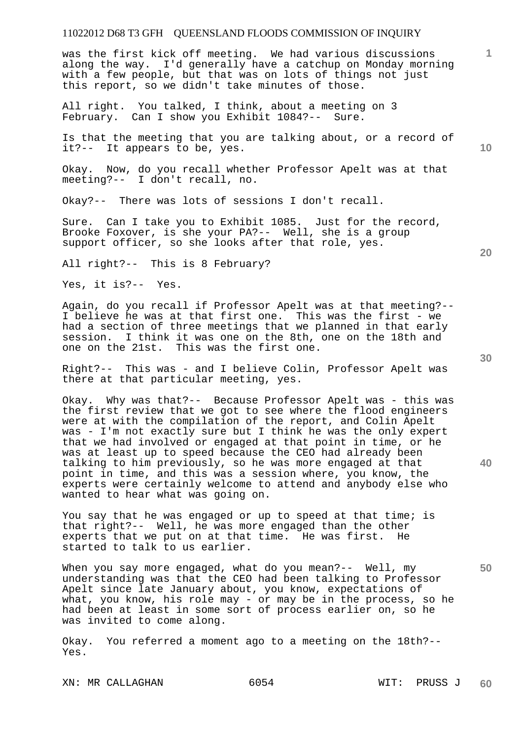was the first kick off meeting. We had various discussions along the way. I'd generally have a catchup on Monday morning with a few people, but that was on lots of things not just this report, so we didn't take minutes of those.

All right. You talked, I think, about a meeting on 3 February. Can I show you Exhibit 1084?-- Sure.

Is that the meeting that you are talking about, or a record of it?-- It appears to be, yes.

Okay. Now, do you recall whether Professor Apelt was at that meeting?-- I don't recall, no.

Okay?-- There was lots of sessions I don't recall.

Sure. Can I take you to Exhibit 1085. Just for the record, Brooke Foxover, is she your PA?-- Well, she is a group support officer, so she looks after that role, yes.

All right?-- This is 8 February?

Yes, it is?-- Yes.

Again, do you recall if Professor Apelt was at that meeting?-- I believe he was at that first one. This was the first - we had a section of three meetings that we planned in that early session. I think it was one on the 8th, one on the 18th and one on the 21st. This was the first one.

Right?-- This was - and I believe Colin, Professor Apelt was there at that particular meeting, yes.

Okay. Why was that?-- Because Professor Apelt was - this was the first review that we got to see where the flood engineers were at with the compilation of the report, and Colin Apelt was - I'm not exactly sure but I think he was the only expert that we had involved or engaged at that point in time, or he was at least up to speed because the CEO had already been talking to him previously, so he was more engaged at that point in time, and this was a session where, you know, the experts were certainly welcome to attend and anybody else who wanted to hear what was going on.

You say that he was engaged or up to speed at that time; is that right?-- Well, he was more engaged than the other experts that we put on at that time. He was first. He started to talk to us earlier.

When you say more engaged, what do you mean?-- Well, my understanding was that the CEO had been talking to Professor Apelt since late January about, you know, expectations of what, you know, his role may - or may be in the process, so he had been at least in some sort of process earlier on, so he was invited to come along.

Okay. You referred a moment ago to a meeting on the 18th?-- Yes.

XN: MR CALLAGHAN 6054 6054 WIT: PRUSS J

**30** 

**40** 

**50** 

**20** 

**10**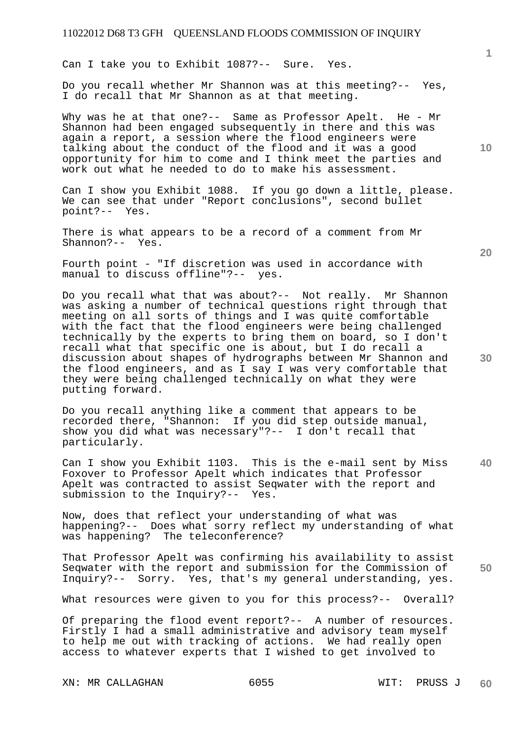Can I take you to Exhibit 1087?-- Sure. Yes.

Do you recall whether Mr Shannon was at this meeting?-- Yes, I do recall that Mr Shannon as at that meeting.

Why was he at that one?-- Same as Professor Apelt. He - Mr Shannon had been engaged subsequently in there and this was again a report, a session where the flood engineers were talking about the conduct of the flood and it was a good opportunity for him to come and I think meet the parties and work out what he needed to do to make his assessment.

Can I show you Exhibit 1088. If you go down a little, please. We can see that under "Report conclusions", second bullet point?-- Yes.

There is what appears to be a record of a comment from Mr Shannon?-- Yes.

Fourth point - "If discretion was used in accordance with manual to discuss offline"?-- yes. manual to discuss offline"?--

Do you recall what that was about?-- Not really. Mr Shannon was asking a number of technical questions right through that meeting on all sorts of things and I was quite comfortable with the fact that the flood engineers were being challenged technically by the experts to bring them on board, so I don't recall what that specific one is about, but I do recall a discussion about shapes of hydrographs between Mr Shannon and the flood engineers, and as I say I was very comfortable that they were being challenged technically on what they were putting forward.

Do you recall anything like a comment that appears to be recorded there, "Shannon: If you did step outside manual, show you did what was necessary"?-- I don't recall that particularly.

**40**  Can I show you Exhibit 1103. This is the e-mail sent by Miss Foxover to Professor Apelt which indicates that Professor Apelt was contracted to assist Seqwater with the report and submission to the Inquiry?-- Yes.

Now, does that reflect your understanding of what was happening?-- Does what sorry reflect my understanding of what was happening? The teleconference?

**50**  That Professor Apelt was confirming his availability to assist Seqwater with the report and submission for the Commission of Inquiry?-- Sorry. Yes, that's my general understanding, yes.

What resources were given to you for this process?-- Overall?

Of preparing the flood event report?-- A number of resources. Firstly I had a small administrative and advisory team myself to help me out with tracking of actions. We had really open access to whatever experts that I wished to get involved to

XN: MR CALLAGHAN 6055 6055 WIT: PRUSS J

**20** 

**30** 

**10**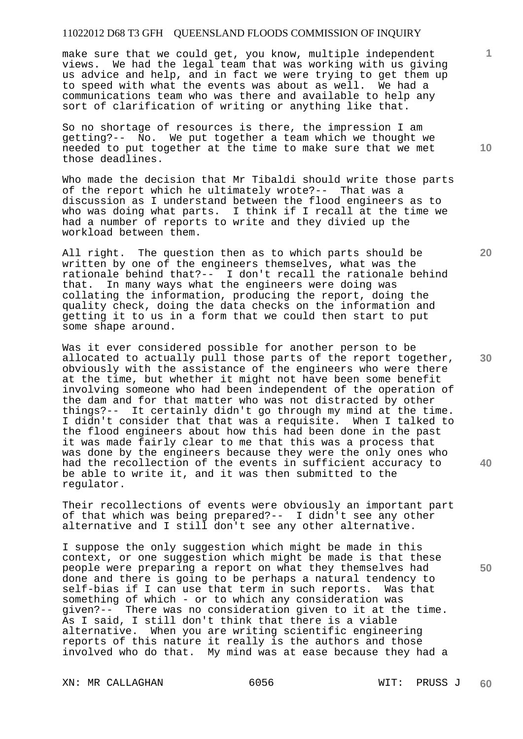make sure that we could get, you know, multiple independent views. We had the legal team that was working with us giving us advice and help, and in fact we were trying to get them up to speed with what the events was about as well. We had a communications team who was there and available to help any sort of clarification of writing or anything like that.

So no shortage of resources is there, the impression I am getting?-- No. We put together a team which we thought we needed to put together at the time to make sure that we met those deadlines.

Who made the decision that Mr Tibaldi should write those parts of the report which he ultimately wrote?-- That was a discussion as I understand between the flood engineers as to who was doing what parts. I think if I recall at the time we had a number of reports to write and they divied up the workload between them.

All right. The question then as to which parts should be written by one of the engineers themselves, what was the rationale behind that?-- I don't recall the rationale behind that. In many ways what the engineers were doing was collating the information, producing the report, doing the quality check, doing the data checks on the information and getting it to us in a form that we could then start to put some shape around.

Was it ever considered possible for another person to be allocated to actually pull those parts of the report together, obviously with the assistance of the engineers who were there at the time, but whether it might not have been some benefit involving someone who had been independent of the operation of the dam and for that matter who was not distracted by other things?-- It certainly didn't go through my mind at the time. I didn't consider that that was a requisite. When I talked to the flood engineers about how this had been done in the past it was made fairly clear to me that this was a process that was done by the engineers because they were the only ones who had the recollection of the events in sufficient accuracy to be able to write it, and it was then submitted to the regulator.

Their recollections of events were obviously an important part of that which was being prepared?-- I didn't see any other alternative and I still don't see any other alternative.

I suppose the only suggestion which might be made in this context, or one suggestion which might be made is that these people were preparing a report on what they themselves had done and there is going to be perhaps a natural tendency to self-bias if I can use that term in such reports. Was that something of which - or to which any consideration was given?-- There was no consideration given to it at the time. As I said, I still don't think that there is a viable alternative. When you are writing scientific engineering reports of this nature it really is the authors and those involved who do that. My mind was at ease because they had a

XN: MR CALLAGHAN 6056 6056 WIT: PRUSS J

**20** 

**10** 

**40**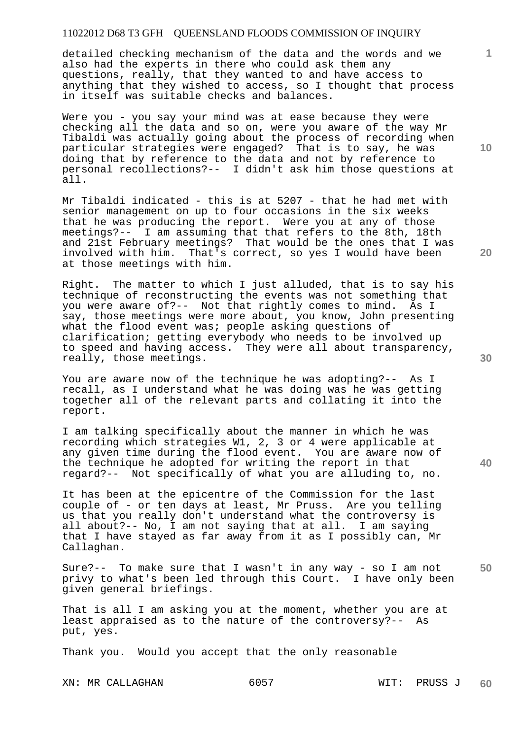detailed checking mechanism of the data and the words and we also had the experts in there who could ask them any questions, really, that they wanted to and have access to anything that they wished to access, so I thought that process in itself was suitable checks and balances.

Were you - you say your mind was at ease because they were checking all the data and so on, were you aware of the way Mr Tibaldi was actually going about the process of recording when particular strategies were engaged? That is to say, he was doing that by reference to the data and not by reference to personal recollections?-- I didn't ask him those questions at all.

Mr Tibaldi indicated - this is at 5207 - that he had met with senior management on up to four occasions in the six weeks that he was producing the report. Were you at any of those meetings?-- I am assuming that that refers to the 8th, 18th and 21st February meetings? That would be the ones that I was involved with him. That's correct, so yes I would have been at those meetings with him.

Right. The matter to which I just alluded, that is to say his technique of reconstructing the events was not something that you were aware of?-- Not that rightly comes to mind. As I say, those meetings were more about, you know, John presenting what the flood event was; people asking questions of clarification; getting everybody who needs to be involved up to speed and having access. They were all about transparency, really, those meetings.

You are aware now of the technique he was adopting?-- As I recall, as I understand what he was doing was he was getting together all of the relevant parts and collating it into the report.

I am talking specifically about the manner in which he was recording which strategies W1, 2, 3 or 4 were applicable at any given time during the flood event. You are aware now of the technique he adopted for writing the report in that regard?-- Not specifically of what you are alluding to, no.

It has been at the epicentre of the Commission for the last couple of - or ten days at least, Mr Pruss. Are you telling us that you really don't understand what the controversy is all about?-- No, I am not saying that at all. I am saying that I have stayed as far away from it as I possibly can, Mr Callaghan.

**50**  Sure?-- To make sure that I wasn't in any way - so I am not privy to what's been led through this Court. I have only been given general briefings.

That is all I am asking you at the moment, whether you are at least appraised as to the nature of the controversy?-- As put, yes.

Thank you. Would you accept that the only reasonable

XN: MR CALLAGHAN 6057 6057 WIT: PRUSS J

**10** 

**1**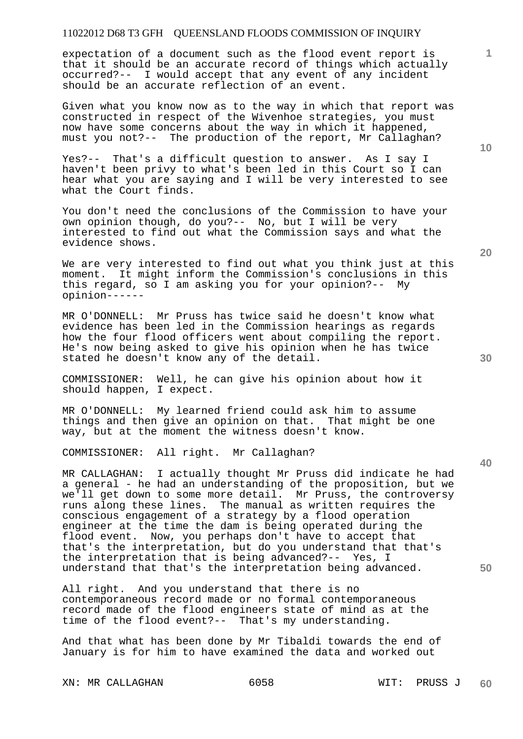expectation of a document such as the flood event report is that it should be an accurate record of things which actually occurred?-- I would accept that any event of any incident should be an accurate reflection of an event.

Given what you know now as to the way in which that report was constructed in respect of the Wivenhoe strategies, you must now have some concerns about the way in which it happened, must you not?-- The production of the report, Mr Callaghan?

Yes?-- That's a difficult question to answer. As I say I haven't been privy to what's been led in this Court so I can hear what you are saying and I will be very interested to see what the Court finds.

You don't need the conclusions of the Commission to have your own opinion though, do you?-- No, but I will be very interested to find out what the Commission says and what the evidence shows.

We are very interested to find out what you think just at this moment. It might inform the Commission's conclusions in this this regard, so I am asking you for your opinion?-- My opinion------

MR O'DONNELL: Mr Pruss has twice said he doesn't know what evidence has been led in the Commission hearings as regards how the four flood officers went about compiling the report. He's now being asked to give his opinion when he has twice stated he doesn't know any of the detail.

COMMISSIONER: Well, he can give his opinion about how it should happen, I expect.

MR O'DONNELL: My learned friend could ask him to assume things and then give an opinion on that. That might be one way, but at the moment the witness doesn't know.

COMMISSIONER: All right. Mr Callaghan?

MR CALLAGHAN: I actually thought Mr Pruss did indicate he had a general - he had an understanding of the proposition, but we we'll get down to some more detail. Mr Pruss, the controversy runs along these lines. The manual as written requires the conscious engagement of a strategy by a flood operation engineer at the time the dam is being operated during the flood event. Now, you perhaps don't have to accept that that's the interpretation, but do you understand that that's the interpretation that is being advanced?-- Yes, I understand that that's the interpretation being advanced.

All right. And you understand that there is no contemporaneous record made or no formal contemporaneous record made of the flood engineers state of mind as at the time of the flood event?-- That's my understanding.

And that what has been done by Mr Tibaldi towards the end of January is for him to have examined the data and worked out

XN: MR CALLAGHAN 6058 WIT: PRUSS J

**10** 

**1**

**20** 

**40** 

**30**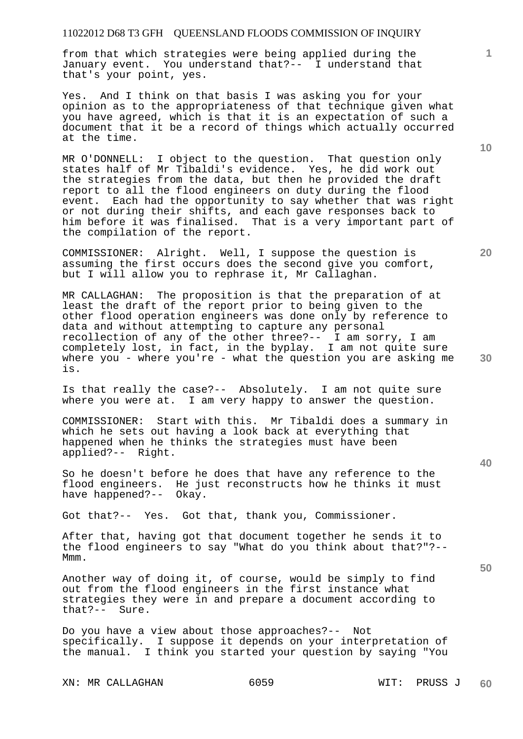from that which strategies were being applied during the January event. You understand that?-- I understand that that's your point, yes.

Yes. And I think on that basis I was asking you for your opinion as to the appropriateness of that technique given what you have agreed, which is that it is an expectation of such a document that it be a record of things which actually occurred at the time.

MR O'DONNELL: I object to the question. That question only states half of Mr Tibaldi's evidence. Yes, he did work out the strategies from the data, but then he provided the draft report to all the flood engineers on duty during the flood event. Each had the opportunity to say whether that was right or not during their shifts, and each gave responses back to him before it was finalised. That is a very important part of the compilation of the report.

COMMISSIONER: Alright. Well, I suppose the question is assuming the first occurs does the second give you comfort, but I will allow you to rephrase it, Mr Callaghan.

MR CALLAGHAN: The proposition is that the preparation of at least the draft of the report prior to being given to the other flood operation engineers was done only by reference to data and without attempting to capture any personal recollection of any of the other three?-- I am sorry, I am completely lost, in fact, in the byplay. I am not quite sure where you - where you're - what the question you are asking me is.

Is that really the case?-- Absolutely. I am not quite sure where you were at. I am very happy to answer the question.

COMMISSIONER: Start with this. Mr Tibaldi does a summary in which he sets out having a look back at everything that happened when he thinks the strategies must have been applied?-- Right.

So he doesn't before he does that have any reference to the flood engineers. He just reconstructs how he thinks it must have happened?-- Okay.

Got that?-- Yes. Got that, thank you, Commissioner.

After that, having got that document together he sends it to the flood engineers to say "What do you think about that?"?-- Mmm.

Another way of doing it, of course, would be simply to find out from the flood engineers in the first instance what strategies they were in and prepare a document according to that?-- Sure.

Do you have a view about those approaches?-- Not specifically. I suppose it depends on your interpretation of the manual. I think you started your question by saying "You

XN: MR CALLAGHAN 6059 6059 WIT: PRUSS J

**10** 

**1**

**20** 



**30** 

**50**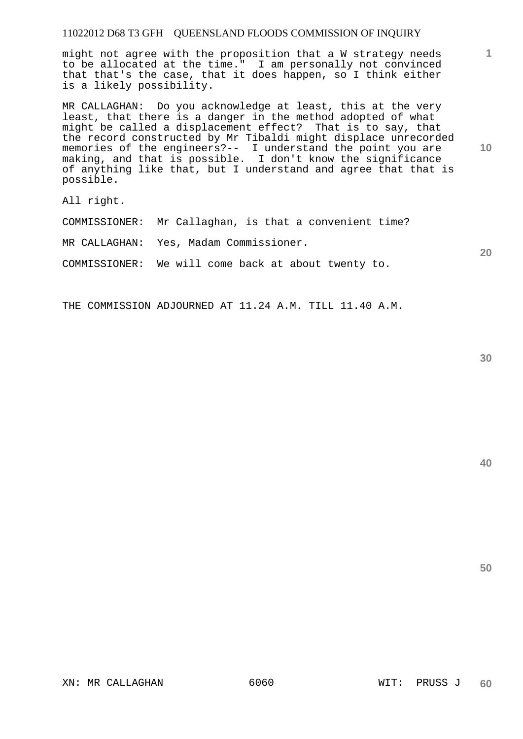might not agree with the proposition that a W strategy needs to be allocated at the time." I am personally not convinced that that's the case, that it does happen, so I think either is a likely possibility.

MR CALLAGHAN: Do you acknowledge at least, this at the very least, that there is a danger in the method adopted of what might be called a displacement effect? That is to say, that the record constructed by Mr Tibaldi might displace unrecorded memories of the engineers?-- I understand the point you are making, and that is possible. I don't know the significance of anything like that, but I understand and agree that that is possible.

All right.

COMMISSIONER: Mr Callaghan, is that a convenient time?

MR CALLAGHAN: Yes, Madam Commissioner.

COMMISSIONER: We will come back at about twenty to.

THE COMMISSION ADJOURNED AT 11.24 A.M. TILL 11.40 A.M.

**1**

**10** 

**20** 

**40**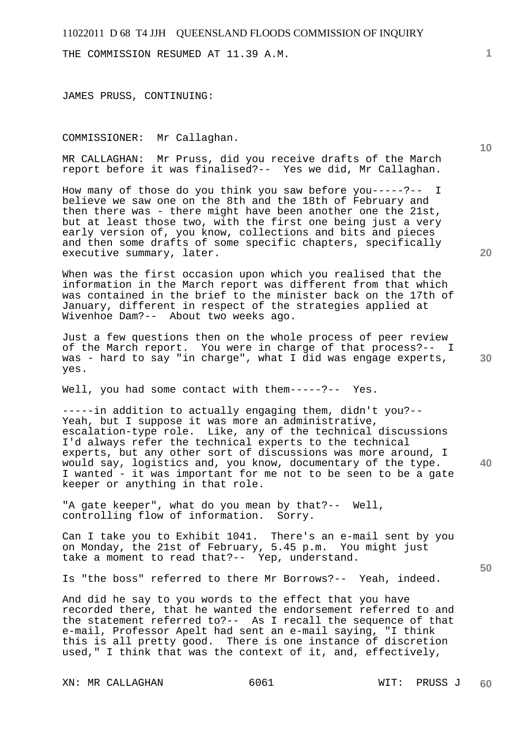THE COMMISSION RESUMED AT 11.39 A.M.

JAMES PRUSS, CONTINUING:

COMMISSIONER: Mr Callaghan.

MR CALLAGHAN: Mr Pruss, did you receive drafts of the March report before it was finalised?-- Yes we did, Mr Callaghan.

How many of those do you think you saw before you-----?-- I believe we saw one on the 8th and the 18th of February and then there was - there might have been another one the 21st, but at least those two, with the first one being just a very early version of, you know, collections and bits and pieces and then some drafts of some specific chapters, specifically executive summary, later.

When was the first occasion upon which you realised that the information in the March report was different from that which was contained in the brief to the minister back on the 17th of January, different in respect of the strategies applied at Wivenhoe Dam?-- About two weeks ago.

Just a few questions then on the whole process of peer review of the March report. You were in charge of that process?-- I was - hard to say "in charge", what I did was engage experts, yes.

Well, you had some contact with them-----?-- Yes.

-----in addition to actually engaging them, didn't you?-- Yeah, but I suppose it was more an administrative, escalation-type role. Like, any of the technical discussions I'd always refer the technical experts to the technical experts, but any other sort of discussions was more around, I would say, logistics and, you know, documentary of the type. I wanted - it was important for me not to be seen to be a gate keeper or anything in that role.

"A gate keeper", what do you mean by that?-- Well, controlling flow of information. Sorry.

Can I take you to Exhibit 1041. There's an e-mail sent by you on Monday, the 21st of February, 5.45 p.m. You might just take a moment to read that?-- Yep, understand.

Is "the boss" referred to there Mr Borrows?-- Yeah, indeed.

And did he say to you words to the effect that you have recorded there, that he wanted the endorsement referred to and the statement referred to?-- As I recall the sequence of that e-mail, Professor Apelt had sent an e-mail saying, "I think this is all pretty good. There is one instance of discretion used," I think that was the context of it, and, effectively,

XN: MR CALLAGHAN 6061 6061 WIT: PRUSS J

**40** 

**10** 

**1**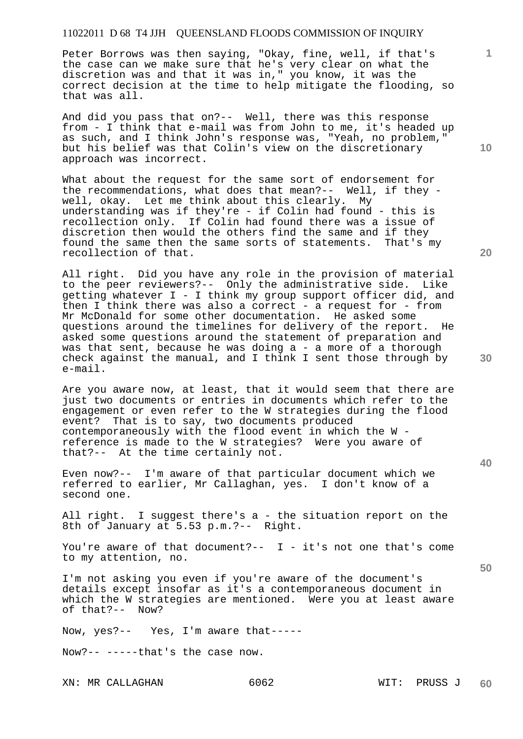Peter Borrows was then saying, "Okay, fine, well, if that's the case can we make sure that he's very clear on what the discretion was and that it was in," you know, it was the correct decision at the time to help mitigate the flooding, so that was all.

And did you pass that on?-- Well, there was this response from - I think that e-mail was from John to me, it's headed up as such, and I think John's response was, "Yeah, no problem," but his belief was that Colin's view on the discretionary approach was incorrect.

What about the request for the same sort of endorsement for the recommendations, what does that mean?-- Well, if they well, okay. Let me think about this clearly. My understanding was if they're - if Colin had found - this is recollection only. If Colin had found there was a issue of discretion then would the others find the same and if they found the same then the same sorts of statements. That's my recollection of that.

All right. Did you have any role in the provision of material to the peer reviewers?-- Only the administrative side. Like getting whatever I - I think my group support officer did, and then I think there was also a correct - a request for - from Mr McDonald for some other documentation. He asked some questions around the timelines for delivery of the report. He asked some questions around the statement of preparation and was that sent, because he was doing a - a more of a thorough check against the manual, and I think I sent those through by e-mail.

Are you aware now, at least, that it would seem that there are just two documents or entries in documents which refer to the engagement or even refer to the W strategies during the flood event? That is to say, two documents produced contemporaneously with the flood event in which the W reference is made to the W strategies? Were you aware of that?-- At the time certainly not.

Even now?-- I'm aware of that particular document which we referred to earlier, Mr Callaghan, yes. I don't know of a second one.

All right. I suggest there's a - the situation report on the 8th of January at 5.53 p.m.?-- Right.

You're aware of that document?-- I - it's not one that's come to my attention, no.

I'm not asking you even if you're aware of the document's details except insofar as it's a contemporaneous document in which the W strategies are mentioned. Were you at least aware of that?-- Now?

Now, yes?-- Yes, I'm aware that-----

Now?-- -----that's the case now.

XN: MR CALLAGHAN 6062 6062 WIT: PRUSS J

**10** 

**1**

**20** 

**30** 

**40**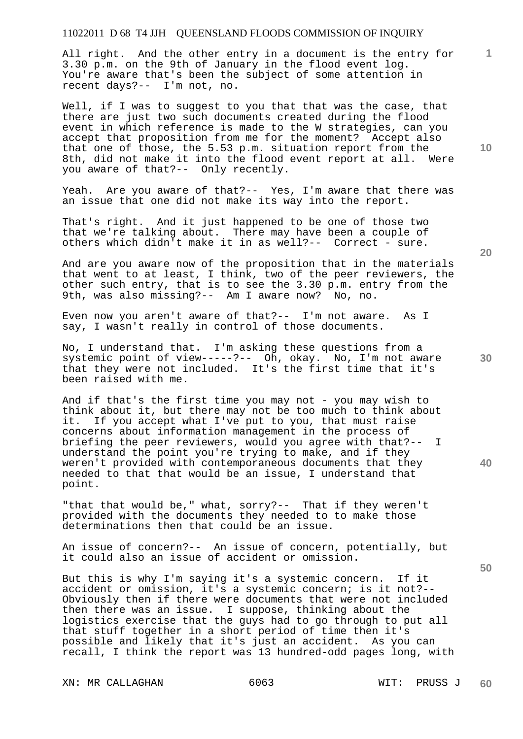All right. And the other entry in a document is the entry for 3.30 p.m. on the 9th of January in the flood event log. You're aware that's been the subject of some attention in recent days?-- I'm not, no.

Well, if I was to suggest to you that that was the case, that there are just two such documents created during the flood event in which reference is made to the W strategies, can you accept that proposition from me for the moment? Accept also that one of those, the 5.53 p.m. situation report from the 8th, did not make it into the flood event report at all. Were you aware of that?-- Only recently.

Yeah. Are you aware of that?-- Yes, I'm aware that there was an issue that one did not make its way into the report.

That's right. And it just happened to be one of those two that we're talking about. There may have been a couple of others which didn't make it in as well?-- Correct - sure.

And are you aware now of the proposition that in the materials that went to at least, I think, two of the peer reviewers, the other such entry, that is to see the 3.30 p.m. entry from the 9th, was also missing?-- Am I aware now? No, no.

Even now you aren't aware of that?-- I'm not aware. As I say, I wasn't really in control of those documents.

No, I understand that. I'm asking these questions from a systemic point of view-----?-- Oh, okay. No, I'm not aware that they were not included. It's the first time that it's been raised with me.

And if that's the first time you may not - you may wish to think about it, but there may not be too much to think about it. If you accept what I've put to you, that must raise concerns about information management in the process of briefing the peer reviewers, would you agree with that?-- I understand the point you're trying to make, and if they weren't provided with contemporaneous documents that they needed to that that would be an issue, I understand that point.

"that that would be," what, sorry?-- That if they weren't provided with the documents they needed to to make those determinations then that could be an issue.

An issue of concern?-- An issue of concern, potentially, but it could also an issue of accident or omission.

But this is why I'm saying it's a systemic concern. If it accident or omission, it's a systemic concern; is it not?-- Obviously then if there were documents that were not included then there was an issue. I suppose, thinking about the logistics exercise that the guys had to go through to put all that stuff together in a short period of time then it's possible and likely that it's just an accident. As you can recall, I think the report was 13 hundred-odd pages long, with

XN: MR CALLAGHAN 6063 WIT: PRUSS J

**20** 

**10** 

**1**

**40** 

**30**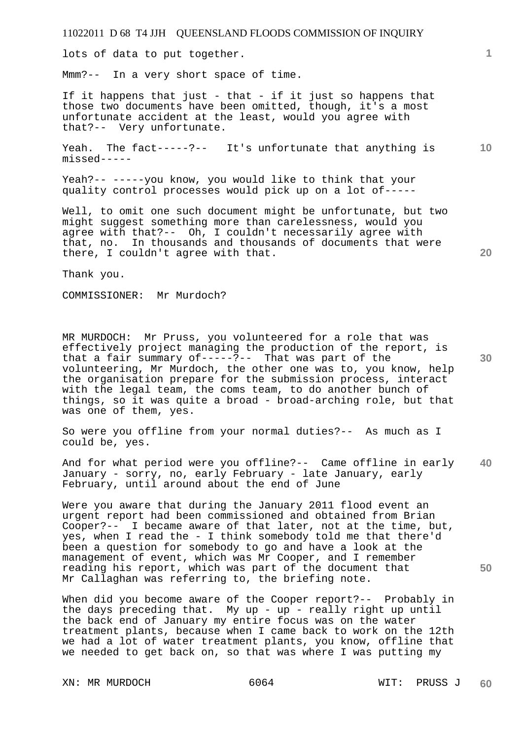lots of data to put together.

Mmm?-- In a very short space of time.

If it happens that just - that - if it just so happens that those two documents have been omitted, though, it's a most unfortunate accident at the least, would you agree with that?-- Very unfortunate.

**10**  Yeah. The fact-----?-- It's unfortunate that anything is missed-----

Yeah?-- -----you know, you would like to think that your quality control processes would pick up on a lot of-----

Well, to omit one such document might be unfortunate, but two might suggest something more than carelessness, would you agree with that?-- Oh, I couldn't necessarily agree with that, no. In thousands and thousands of documents that were there, I couldn't agree with that.

Thank you.

COMMISSIONER: Mr Murdoch?

**30**  MR MURDOCH: Mr Pruss, you volunteered for a role that was effectively project managing the production of the report, is that a fair summary of-----?-- That was part of the volunteering, Mr Murdoch, the other one was to, you know, help the organisation prepare for the submission process, interact with the legal team, the coms team, to do another bunch of things, so it was quite a broad - broad-arching role, but that was one of them, yes.

So were you offline from your normal duties?-- As much as I could be, yes.

**40**  And for what period were you offline?-- Came offline in early January - sorry, no, early February - late January, early February, until around about the end of June

Were you aware that during the January 2011 flood event an urgent report had been commissioned and obtained from Brian Cooper?-- I became aware of that later, not at the time, but, yes, when I read the - I think somebody told me that there'd been a question for somebody to go and have a look at the management of event, which was Mr Cooper, and I remember reading his report, which was part of the document that Mr Callaghan was referring to, the briefing note.

When did you become aware of the Cooper report?-- Probably in the days preceding that. My up - up - really right up until the back end of January my entire focus was on the water treatment plants, because when I came back to work on the 12th we had a lot of water treatment plants, you know, offline that we needed to get back on, so that was where I was putting my

XN: MR MURDOCH 6064 WIT: PRUSS J

**1**

**50**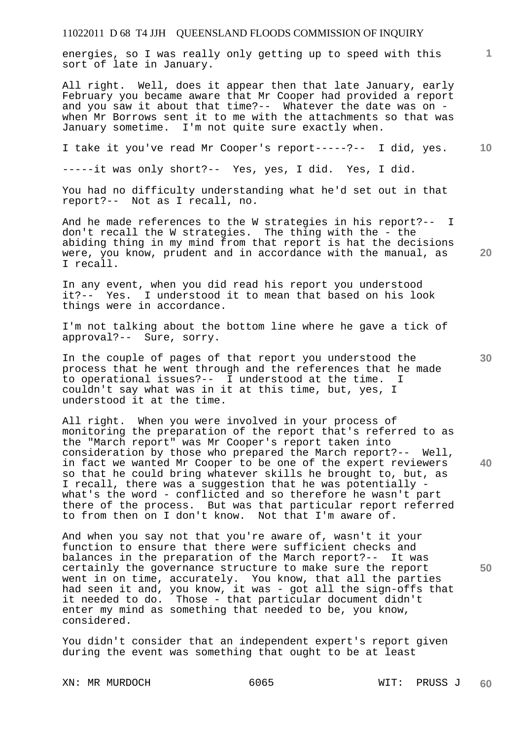energies, so I was really only getting up to speed with this sort of late in January.

All right. Well, does it appear then that late January, early February you became aware that Mr Cooper had provided a report and you saw it about that time?-- Whatever the date was on when Mr Borrows sent it to me with the attachments so that was January sometime. I'm not quite sure exactly when.

**10**  I take it you've read Mr Cooper's report-----?-- I did, yes.

-----it was only short?-- Yes, yes, I did. Yes, I did.

You had no difficulty understanding what he'd set out in that report?-- Not as I recall, no.

And he made references to the W strategies in his report?-- I don't recall the W strategies. The thing with the - the abiding thing in my mind from that report is hat the decisions were, you know, prudent and in accordance with the manual, as I recall.

In any event, when you did read his report you understood it?-- Yes. I understood it to mean that based on his look things were in accordance.

I'm not talking about the bottom line where he gave a tick of approval?-- Sure, sorry.

In the couple of pages of that report you understood the process that he went through and the references that he made to operational issues?-- I understood at the time. I couldn't say what was in it at this time, but, yes, I understood it at the time.

All right. When you were involved in your process of monitoring the preparation of the report that's referred to as the "March report" was Mr Cooper's report taken into consideration by those who prepared the March report?-- Well, in fact we wanted Mr Cooper to be one of the expert reviewers so that he could bring whatever skills he brought to, but, as I recall, there was a suggestion that he was potentially what's the word - conflicted and so therefore he wasn't part there of the process. But was that particular report referred to from then on I don't know. Not that I'm aware of.

And when you say not that you're aware of, wasn't it your function to ensure that there were sufficient checks and balances in the preparation of the March report?-- It was certainly the governance structure to make sure the report went in on time, accurately. You know, that all the parties had seen it and, you know, it was - got all the sign-offs that<br>it needed to do. Those - that particular document didn't Those - that particular document didn't enter my mind as something that needed to be, you know, considered.

You didn't consider that an independent expert's report given during the event was something that ought to be at least

XN: MR MURDOCH 6065 WIT: PRUSS J

**30** 

**20** 

**50** 

**40**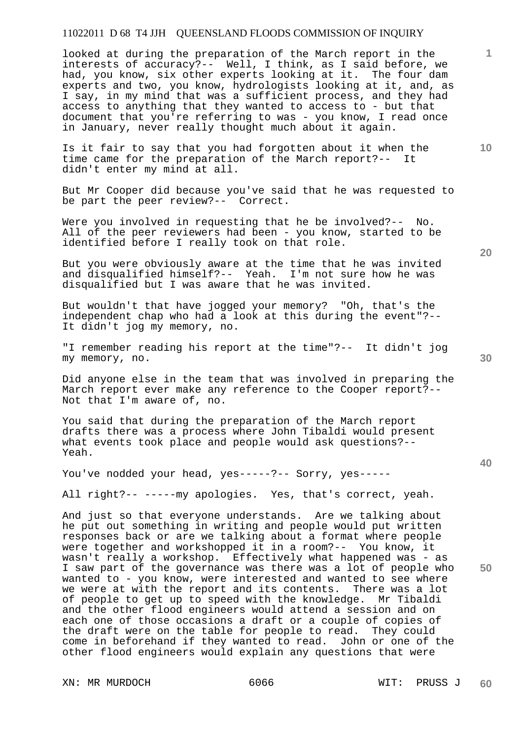looked at during the preparation of the March report in the interests of accuracy?-- Well, I think, as I said before, we had, you know, six other experts looking at it. The four dam experts and two, you know, hydrologists looking at it, and, as I say, in my mind that was a sufficient process, and they had access to anything that they wanted to access to - but that document that you're referring to was - you know, I read once in January, never really thought much about it again.

Is it fair to say that you had forgotten about it when the time came for the preparation of the March report?-- It didn't enter my mind at all.

But Mr Cooper did because you've said that he was requested to be part the peer review?-- Correct.

Were you involved in requesting that he be involved?-- No. All of the peer reviewers had been - you know, started to be identified before I really took on that role.

But you were obviously aware at the time that he was invited and disqualified himself?-- Yeah. I'm not sure how he was disqualified but I was aware that he was invited.

But wouldn't that have jogged your memory? "Oh, that's the independent chap who had a look at this during the event"?-- It didn't jog my memory, no.

"I remember reading his report at the time"?-- It didn't jog my memory, no.

Did anyone else in the team that was involved in preparing the March report ever make any reference to the Cooper report?-- Not that I'm aware of, no.

You said that during the preparation of the March report drafts there was a process where John Tibaldi would present what events took place and people would ask questions?-- Yeah.

You've nodded your head, yes-----?-- Sorry, yes-----

All right?-- -----my apologies. Yes, that's correct, yeah.

And just so that everyone understands. Are we talking about he put out something in writing and people would put written responses back or are we talking about a format where people were together and workshopped it in a room?-- You know, it wasn't really a workshop. Effectively what happened was - as I saw part of the governance was there was a lot of people who wanted to - you know, were interested and wanted to see where we were at with the report and its contents. There was a lot of people to get up to speed with the knowledge. Mr Tibaldi and the other flood engineers would attend a session and on each one of those occasions a draft or a couple of copies of the draft were on the table for people to read. They could come in beforehand if they wanted to read. John or one of the other flood engineers would explain any questions that were

XN: MR MURDOCH 6066 WIT: PRUSS J

**20** 

**10** 

**50** 

**40**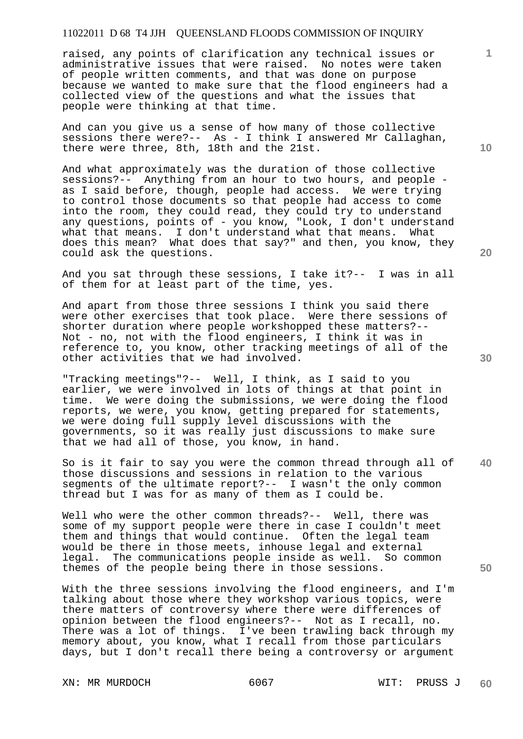raised, any points of clarification any technical issues or administrative issues that were raised. No notes were taken of people written comments, and that was done on purpose because we wanted to make sure that the flood engineers had a collected view of the questions and what the issues that people were thinking at that time.

And can you give us a sense of how many of those collective sessions there were?-- As - I think I answered Mr Callaghan, there were three, 8th, 18th and the 21st.

And what approximately was the duration of those collective sessions?-- Anything from an hour to two hours, and people as I said before, though, people had access. We were trying to control those documents so that people had access to come into the room, they could read, they could try to understand any questions, points of - you know, "Look, I don't understand what that means. I don't understand what that means. What does this mean? What does that say?" and then, you know, they could ask the questions.

And you sat through these sessions, I take it?-- I was in all of them for at least part of the time, yes.

And apart from those three sessions I think you said there were other exercises that took place. Were there sessions of shorter duration where people workshopped these matters?-- Not - no, not with the flood engineers, I think it was in reference to, you know, other tracking meetings of all of the other activities that we had involved.

"Tracking meetings"?-- Well, I think, as I said to you earlier, we were involved in lots of things at that point in time. We were doing the submissions, we were doing the flood reports, we were, you know, getting prepared for statements, we were doing full supply level discussions with the governments, so it was really just discussions to make sure that we had all of those, you know, in hand.

**40**  So is it fair to say you were the common thread through all of those discussions and sessions in relation to the various segments of the ultimate report?-- I wasn't the only common thread but I was for as many of them as I could be.

Well who were the other common threads?-- Well, there was some of my support people were there in case I couldn't meet them and things that would continue. Often the legal team would be there in those meets, inhouse legal and external legal. The communications people inside as well. So common themes of the people being there in those sessions.

With the three sessions involving the flood engineers, and I'm talking about those where they workshop various topics, were there matters of controversy where there were differences of opinion between the flood engineers?-- Not as I recall, no. There was a lot of things. I've been trawling back through my memory about, you know, what I recall from those particulars days, but I don't recall there being a controversy or argument

XN: MR MURDOCH 6067 6067 WIT: PRUSS J

**10** 

**1**

**20**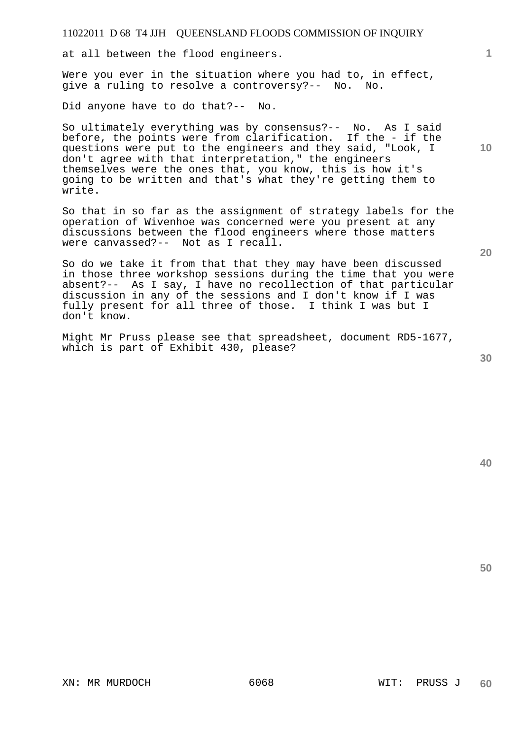at all between the flood engineers.

Were you ever in the situation where you had to, in effect, give a ruling to resolve a controversy?-- No. No.

Did anyone have to do that?-- No.

So ultimately everything was by consensus?-- No. As I said before, the points were from clarification. If the - if the questions were put to the engineers and they said, "Look, I don't agree with that interpretation," the engineers themselves were the ones that, you know, this is how it's going to be written and that's what they're getting them to write.

So that in so far as the assignment of strategy labels for the operation of Wivenhoe was concerned were you present at any discussions between the flood engineers where those matters were canvassed?-- Not as I recall.

So do we take it from that that they may have been discussed in those three workshop sessions during the time that you were absent?-- As I say, I have no recollection of that particular discussion in any of the sessions and I don't know if I was fully present for all three of those. I think I was but I don't know.

Might Mr Pruss please see that spreadsheet, document RD5-1677, which is part of Exhibit 430, please?

**30** 

**1**

**10** 

**20**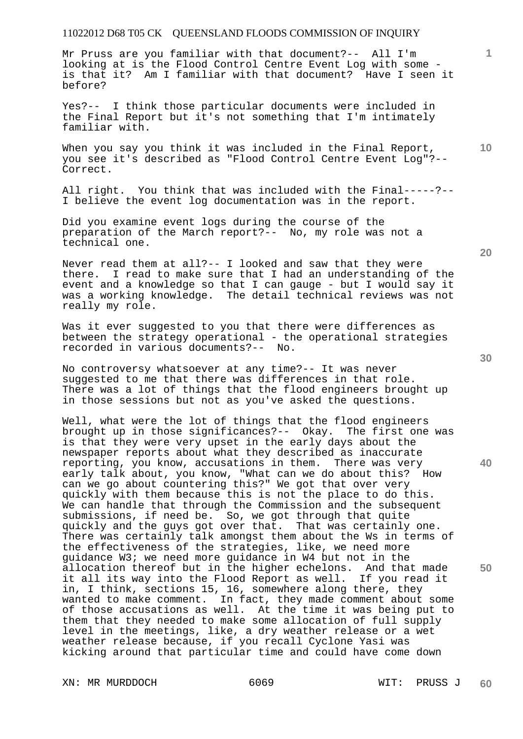Mr Pruss are you familiar with that document?-- All I'm looking at is the Flood Control Centre Event Log with some is that it? Am I familiar with that document? Have I seen it before?

Yes?-- I think those particular documents were included in the Final Report but it's not something that I'm intimately familiar with.

When you say you think it was included in the Final Report, you see it's described as "Flood Control Centre Event Log"?-- Correct.

All right. You think that was included with the Final-----?-- I believe the event log documentation was in the report.

Did you examine event logs during the course of the preparation of the March report?-- No, my role was not a technical one.

Never read them at all?-- I looked and saw that they were there. I read to make sure that I had an understanding of the event and a knowledge so that I can gauge - but I would say it was a working knowledge. The detail technical reviews was not really my role.

Was it ever suggested to you that there were differences as between the strategy operational - the operational strategies recorded in various documents?-- No.

No controversy whatsoever at any time?-- It was never suggested to me that there was differences in that role. There was a lot of things that the flood engineers brought up in those sessions but not as you've asked the questions.

Well, what were the lot of things that the flood engineers brought up in those significances?-- Okay. The first one was is that they were very upset in the early days about the newspaper reports about what they described as inaccurate reporting, you know, accusations in them. There was very early talk about, you know, "What can we do about this? How can we go about countering this?" We got that over very quickly with them because this is not the place to do this. We can handle that through the Commission and the subsequent submissions, if need be. So, we got through that quite quickly and the guys got over that. That was certainly one. There was certainly talk amongst them about the Ws in terms of the effectiveness of the strategies, like, we need more guidance W3; we need more guidance in W4 but not in the allocation thereof but in the higher echelons. And that made it all its way into the Flood Report as well. If you read it in, I think, sections 15, 16, somewhere along there, they wanted to make comment. In fact, they made comment about some of those accusations as well. At the time it was being put to them that they needed to make some allocation of full supply level in the meetings, like, a dry weather release or a wet weather release because, if you recall Cyclone Yasi was kicking around that particular time and could have come down

XN: MR MURDDOCH 6069 WIT: PRUSS J

**20** 

**10** 

**1**

**40** 

**50**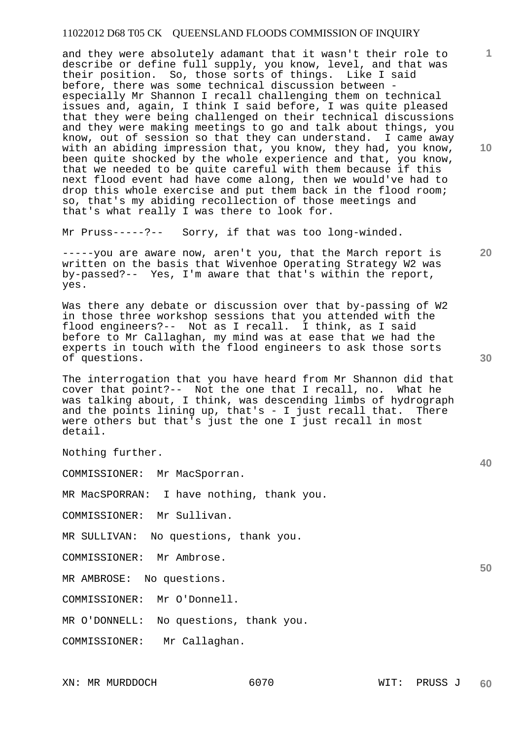and they were absolutely adamant that it wasn't their role to describe or define full supply, you know, level, and that was their position. So, those sorts of things. Like I said before, there was some technical discussion between especially Mr Shannon I recall challenging them on technical issues and, again, I think I said before, I was quite pleased that they were being challenged on their technical discussions and they were making meetings to go and talk about things, you know, out of session so that they can understand. I came away with an abiding impression that, you know, they had, you know, been quite shocked by the whole experience and that, you know, that we needed to be quite careful with them because if this next flood event had have come along, then we would've had to drop this whole exercise and put them back in the flood room; so, that's my abiding recollection of those meetings and that's what really I was there to look for.

Mr Pruss-----?-- Sorry, if that was too long-winded.

-----you are aware now, aren't you, that the March report is written on the basis that Wivenhoe Operating Strategy W2 was by-passed?-- Yes, I'm aware that that's within the report, yes.

Was there any debate or discussion over that by-passing of W2 in those three workshop sessions that you attended with the flood engineers?-- Not as I recall. I think, as I said before to Mr Callaghan, my mind was at ease that we had the experts in touch with the flood engineers to ask those sorts of questions.

The interrogation that you have heard from Mr Shannon did that cover that point?-- Not the one that I recall, no. What he was talking about, I think, was descending limbs of hydrograph and the points lining up, that's  $-$  I just recall that. There were others but that's just the one I just recall in most detail.

Nothing further.

COMMISSIONER: Mr MacSporran.

MR MacSPORRAN: I have nothing, thank you.

COMMISSIONER: Mr Sullivan.

MR SULLIVAN: No questions, thank you.

COMMISSIONER: Mr Ambrose.

MR AMBROSE: No questions.

COMMISSIONER: Mr O'Donnell.

MR O'DONNELL: No questions, thank you.

COMMISSIONER: Mr Callaghan.

**30** 

**20** 

**50** 

**10**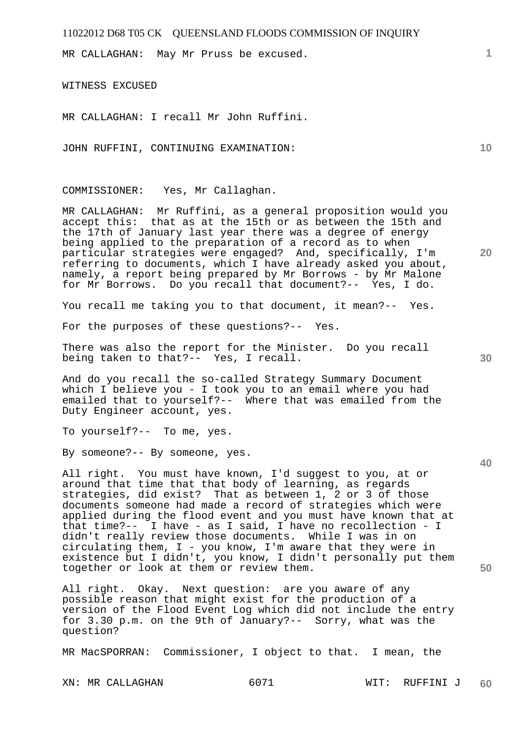MR CALLAGHAN: May Mr Pruss be excused.

WITNESS EXCUSED

MR CALLAGHAN: I recall Mr John Ruffini.

JOHN RUFFINI, CONTINUING EXAMINATION:

COMMISSIONER: Yes, Mr Callaghan.

MR CALLAGHAN: Mr Ruffini, as a general proposition would you accept this: that as at the 15th or as between the 15th and the 17th of January last year there was a degree of energy being applied to the preparation of a record as to when particular strategies were engaged? And, specifically, I'm referring to documents, which I have already asked you about, namely, a report being prepared by Mr Borrows - by Mr Malone for Mr Borrows. Do you recall that document?-- Yes, I do.

You recall me taking you to that document, it mean?-- Yes.

For the purposes of these questions?-- Yes.

There was also the report for the Minister. Do you recall being taken to that?-- Yes, I recall.

And do you recall the so-called Strategy Summary Document which I believe you - I took you to an email where you had emailed that to yourself?-- Where that was emailed from the Duty Engineer account, yes.

To yourself?-- To me, yes.

By someone?-- By someone, yes.

All right. You must have known, I'd suggest to you, at or around that time that that body of learning, as regards strategies, did exist? That as between 1, 2 or 3 of those documents someone had made a record of strategies which were applied during the flood event and you must have known that at that time?-- I have - as I said, I have no recollection - I didn't really review those documents. While I was in on circulating them, I - you know, I'm aware that they were in existence but I didn't, you know, I didn't personally put them together or look at them or review them.

All right. Okay. Next question: are you aware of any possible reason that might exist for the production of a version of the Flood Event Log which did not include the entry for 3.30 p.m. on the 9th of January?-- Sorry, what was the question?

MR MacSPORRAN: Commissioner, I object to that. I mean, the

**1**

**10** 

**20** 

**40**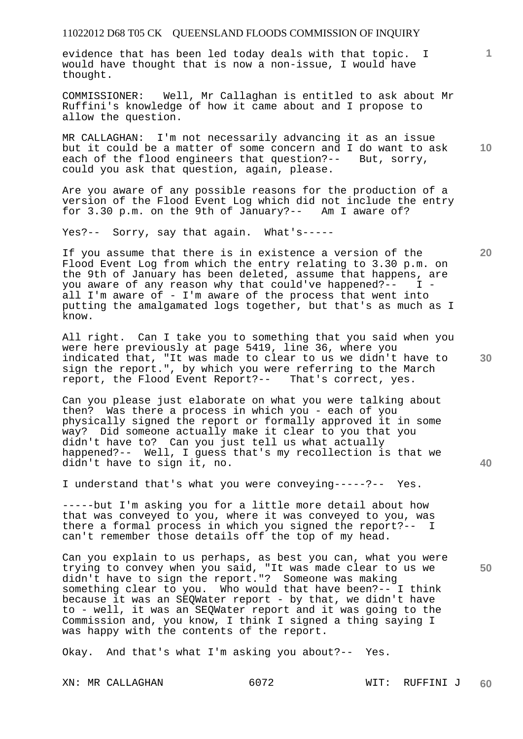evidence that has been led today deals with that topic. I would have thought that is now a non-issue, I would have thought.

COMMISSIONER: Well, Mr Callaghan is entitled to ask about Mr Ruffini's knowledge of how it came about and I propose to allow the question.

**10**  MR CALLAGHAN: I'm not necessarily advancing it as an issue but it could be a matter of some concern and I do want to ask each of the flood engineers that question?-- But, sorry, could you ask that question, again, please.

Are you aware of any possible reasons for the production of a version of the Flood Event Log which did not include the entry for 3.30 p.m. on the 9th of January?-- Am I aware of?

Yes?-- Sorry, say that again. What's-----

If you assume that there is in existence a version of the Flood Event Log from which the entry relating to 3.30 p.m. on the 9th of January has been deleted, assume that happens, are you aware of any reason why that could've happened?-- I all I'm aware of - I'm aware of the process that went into putting the amalgamated logs together, but that's as much as I know.

All right. Can I take you to something that you said when you were here previously at page 5419, line 36, where you indicated that, "It was made to clear to us we didn't have to sign the report.", by which you were referring to the March report, the Flood Event Report?-- That's correct, yes.

Can you please just elaborate on what you were talking about then? Was there a process in which you - each of you physically signed the report or formally approved it in some way? Did someone actually make it clear to you that you didn't have to? Can you just tell us what actually happened?-- Well, I guess that's my recollection is that we didn't have to sign it, no.

I understand that's what you were conveying-----?-- Yes.

-----but I'm asking you for a little more detail about how that was conveyed to you, where it was conveyed to you, was there a formal process in which you signed the report?-- I can't remember those details off the top of my head.

Can you explain to us perhaps, as best you can, what you were trying to convey when you said, "It was made clear to us we didn't have to sign the report."? Someone was making something clear to you. Who would that have been?-- I think because it was an SEQWater report - by that, we didn't have to - well, it was an SEQWater report and it was going to the Commission and, you know, I think I signed a thing saying I was happy with the contents of the report.

Okay. And that's what I'm asking you about?-- Yes.

**20** 

**1**

**30** 

**40**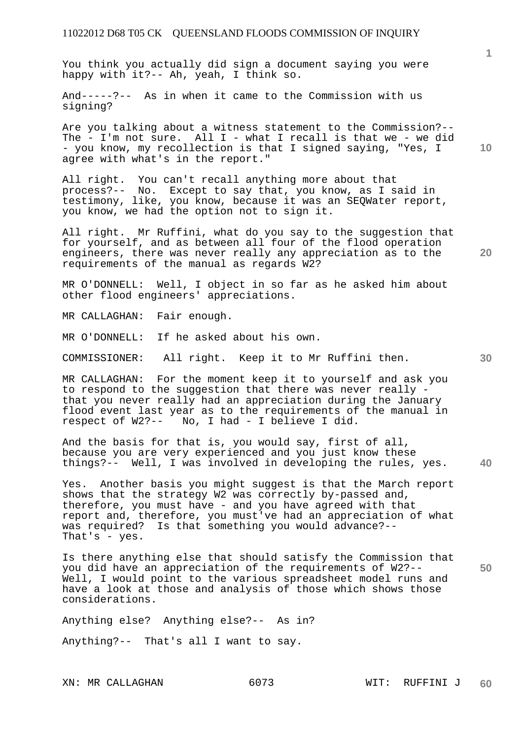You think you actually did sign a document saying you were happy with it?-- Ah, yeah, I think so.

And-----?-- As in when it came to the Commission with us signing?

Are you talking about a witness statement to the Commission?-- The - I'm not sure. All  $I$  - what I recall is that we - we did - you know, my recollection is that I signed saying, "Yes, I agree with what's in the report."

All right. You can't recall anything more about that process?-- No. Except to say that, you know, as I said in testimony, like, you know, because it was an SEQWater report, you know, we had the option not to sign it.

All right. Mr Ruffini, what do you say to the suggestion that for yourself, and as between all four of the flood operation engineers, there was never really any appreciation as to the requirements of the manual as regards W2?

MR O'DONNELL: Well, I object in so far as he asked him about other flood engineers' appreciations.

MR CALLAGHAN: Fair enough.

MR O'DONNELL: If he asked about his own.

COMMISSIONER: All right. Keep it to Mr Ruffini then.

MR CALLAGHAN: For the moment keep it to yourself and ask you to respond to the suggestion that there was never really that you never really had an appreciation during the January flood event last year as to the requirements of the manual in respect of W2?-- No, I had - I believe I did.

**40**  And the basis for that is, you would say, first of all, because you are very experienced and you just know these things?-- Well, I was involved in developing the rules, yes.

Yes. Another basis you might suggest is that the March report shows that the strategy W2 was correctly by-passed and, therefore, you must have - and you have agreed with that report and, therefore, you must've had an appreciation of what was required? Is that something you would advance?-- That's - yes.

**50**  Is there anything else that should satisfy the Commission that you did have an appreciation of the requirements of W2?-- Well, I would point to the various spreadsheet model runs and have a look at those and analysis of those which shows those considerations.

Anything else? Anything else?-- As in?

Anything?-- That's all I want to say.

XN: MR CALLAGHAN 6073 WIT: RUFFINI J

**10** 

**20**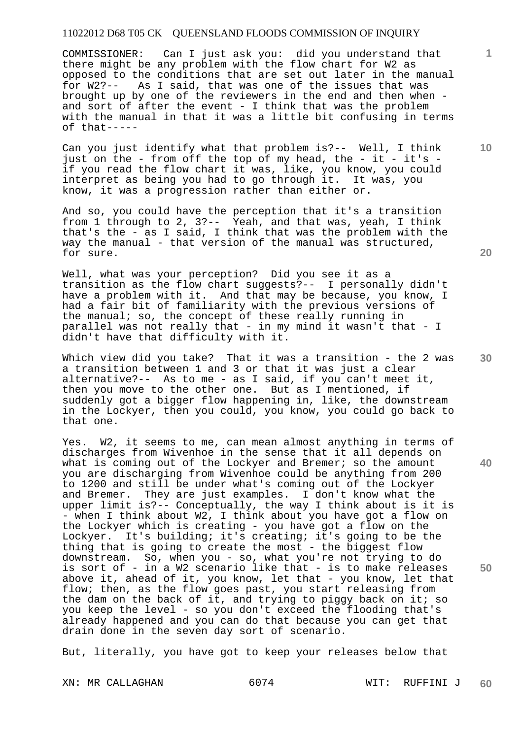COMMISSIONER: Can I just ask you: did you understand that there might be any problem with the flow chart for W2 as opposed to the conditions that are set out later in the manual for W2?-- As I said, that was one of the issues that was brought up by one of the reviewers in the end and then when and sort of after the event - I think that was the problem with the manual in that it was a little bit confusing in terms of that-----

Can you just identify what that problem is?-- Well, I think just on the - from off the top of my head, the - it - it's if you read the flow chart it was, like, you know, you could interpret as being you had to go through it. It was, you know, it was a progression rather than either or.

And so, you could have the perception that it's a transition from 1 through to 2, 3?-- Yeah, and that was, yeah, I think that's the - as I said, I think that was the problem with the way the manual - that version of the manual was structured, for sure.

Well, what was your perception? Did you see it as a transition as the flow chart suggests?-- I personally didn't have a problem with it. And that may be because, you know, I had a fair bit of familiarity with the previous versions of the manual; so, the concept of these really running in parallel was not really that - in my mind it wasn't that - I didn't have that difficulty with it.

Which view did you take? That it was a transition - the 2 was a transition between 1 and 3 or that it was just a clear alternative?-- As to me - as I said, if you can't meet it, then you move to the other one. But as I mentioned, if suddenly got a bigger flow happening in, like, the downstream in the Lockyer, then you could, you know, you could go back to that one.

Yes. W2, it seems to me, can mean almost anything in terms of discharges from Wivenhoe in the sense that it all depends on what is coming out of the Lockyer and Bremer; so the amount you are discharging from Wivenhoe could be anything from 200 to 1200 and still be under what's coming out of the Lockyer and Bremer. They are just examples. I don't know what the upper limit is?-- Conceptually, the way I think about is it is - when I think about W2, I think about you have got a flow on the Lockyer which is creating - you have got a flow on the Lockyer. It's building; it's creating; it's going to be the thing that is going to create the most - the biggest flow downstream. So, when you - so, what you're not trying to do is sort of - in a W2 scenario like that - is to make releases above it, ahead of it, you know, let that - you know, let that flow; then, as the flow goes past, you start releasing from the dam on the back of it, and trying to piggy back on it; so you keep the level - so you don't exceed the flooding that's already happened and you can do that because you can get that drain done in the seven day sort of scenario.

But, literally, you have got to keep your releases below that

**20** 

**10** 

**1**

**40** 

**30**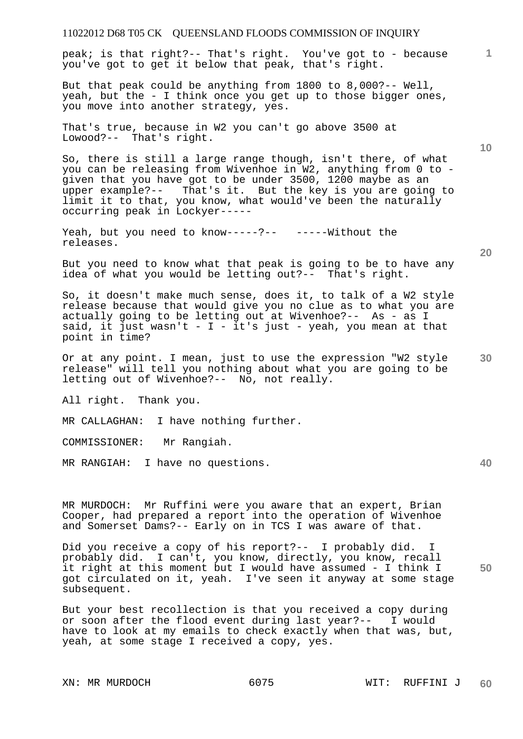| 11022012 D68 T05 CK QUEENSLAND FLOODS COMMISSION OF INQUIRY                                                                                                                                                                                                                                                                                                    |    |
|----------------------------------------------------------------------------------------------------------------------------------------------------------------------------------------------------------------------------------------------------------------------------------------------------------------------------------------------------------------|----|
| peak; is that right?-- That's right. You've got to - because<br>you've got to get it below that peak, that's right.                                                                                                                                                                                                                                            | 1  |
| But that peak could be anything from 1800 to 8,000?-- Well,<br>yeah, but the - I think once you get up to those bigger ones,<br>you move into another strategy, yes.                                                                                                                                                                                           |    |
| That's true, because in W2 you can't go above 3500 at<br>Lowood?-- That's right.                                                                                                                                                                                                                                                                               | 10 |
| So, there is still a large range though, isn't there, of what<br>you can be releasing from Wivenhoe in W2, anything from 0 to -<br>given that you have got to be under 3500, 1200 maybe as an<br>upper example?-- That's it. But the key is you are going to<br>limit it to that, you know, what would've been the naturally<br>occurring peak in Lockyer----- |    |
| Yeah, but you need to know-----?-- ------Without the<br>releases.                                                                                                                                                                                                                                                                                              | 20 |
| But you need to know what that peak is going to be to have any<br>idea of what you would be letting out?-- That's right.                                                                                                                                                                                                                                       |    |
| So, it doesn't make much sense, does it, to talk of a W2 style<br>release because that would give you no clue as to what you are<br>actually going to be letting out at Wivenhoe?-- As - as I<br>said, it just wasn't - I - it's just - yeah, you mean at that<br>point in time?                                                                               |    |
| Or at any point. I mean, just to use the expression "W2 style<br>release" will tell you nothing about what you are going to be<br>letting out of Wivenhoe?-- No, not really.                                                                                                                                                                                   | 30 |
| All right. Thank you.                                                                                                                                                                                                                                                                                                                                          |    |
| MR CALLAGHAN: I have nothing further.                                                                                                                                                                                                                                                                                                                          |    |
| COMMISSIONER: Mr Rangiah.                                                                                                                                                                                                                                                                                                                                      |    |
| MR RANGIAH: I have no questions.                                                                                                                                                                                                                                                                                                                               | 40 |
| MR MURDOCH: Mr Ruffini were you aware that an expert, Brian<br>Cooper, had prepared a report into the operation of Wivenhoe<br>and Somerset Dams?-- Early on in TCS I was aware of that.                                                                                                                                                                       |    |
| Did you receive a copy of his report?-- I probably did. I<br>probably did. I can't, you know, directly, you know, recall<br>it right at this moment but I would have assumed - I think I<br>got circulated on it, yeah. I've seen it anyway at some stage<br>subsequent.                                                                                       | 50 |
| But your best recollection is that you received a copy during<br>or soon after the flood event during last year?-- I would<br>have to look at my emails to check exactly when that was, but,                                                                                                                                                                   |    |

yeah, at some stage I received a copy, yes.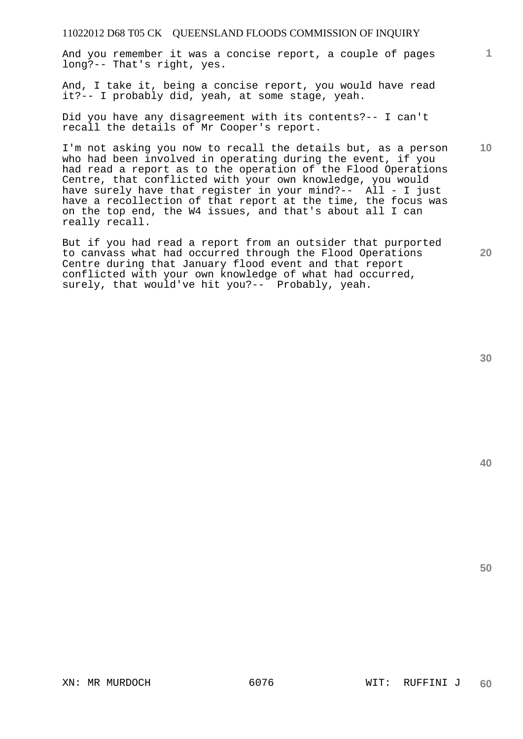And you remember it was a concise report, a couple of pages long?-- That's right, yes.

And, I take it, being a concise report, you would have read it?-- I probably did, yeah, at some stage, yeah.

Did you have any disagreement with its contents?-- I can't recall the details of Mr Cooper's report.

I'm not asking you now to recall the details but, as a person who had been involved in operating during the event, if you had read a report as to the operation of the Flood Operations Centre, that conflicted with your own knowledge, you would have surely have that register in your mind?-- All - I just have a recollection of that report at the time, the focus was on the top end, the W4 issues, and that's about all I can really recall.

But if you had read a report from an outsider that purported to canvass what had occurred through the Flood Operations Centre during that January flood event and that report conflicted with your own knowledge of what had occurred, surely, that would've hit you?-- Probably, yeah.

**40** 

**50** 

**20** 

**1**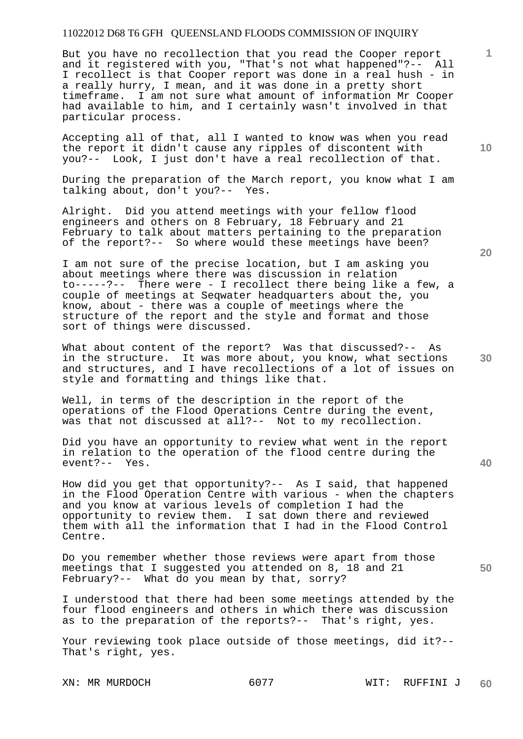But you have no recollection that you read the Cooper report and it registered with you, "That's not what happened"?-- All I recollect is that Cooper report was done in a real hush - in a really hurry, I mean, and it was done in a pretty short timeframe. I am not sure what amount of information Mr Cooper had available to him, and I certainly wasn't involved in that particular process.

Accepting all of that, all I wanted to know was when you read the report it didn't cause any ripples of discontent with you?-- Look, I just don't have a real recollection of that.

During the preparation of the March report, you know what I am talking about, don't you?-- Yes.

Alright. Did you attend meetings with your fellow flood engineers and others on 8 February, 18 February and 21 February to talk about matters pertaining to the preparation of the report?-- So where would these meetings have been?

I am not sure of the precise location, but I am asking you about meetings where there was discussion in relation to-----?-- There were - I recollect there being like a few, a couple of meetings at Seqwater headquarters about the, you know, about - there was a couple of meetings where the structure of the report and the style and format and those sort of things were discussed.

What about content of the report? Was that discussed?-- As in the structure. It was more about, you know, what sections and structures, and I have recollections of a lot of issues on style and formatting and things like that.

Well, in terms of the description in the report of the operations of the Flood Operations Centre during the event, was that not discussed at all?-- Not to my recollection.

Did you have an opportunity to review what went in the report in relation to the operation of the flood centre during the event?-- Yes.

How did you get that opportunity?-- As I said, that happened in the Flood Operation Centre with various - when the chapters and you know at various levels of completion I had the opportunity to review them. I sat down there and reviewed them with all the information that I had in the Flood Control Centre.

Do you remember whether those reviews were apart from those meetings that I suggested you attended on 8, 18 and 21 February?-- What do you mean by that, sorry?

I understood that there had been some meetings attended by the four flood engineers and others in which there was discussion as to the preparation of the reports?-- That's right, yes.

Your reviewing took place outside of those meetings, did it?-- That's right, yes.

**20** 

**40** 

**50** 

**10**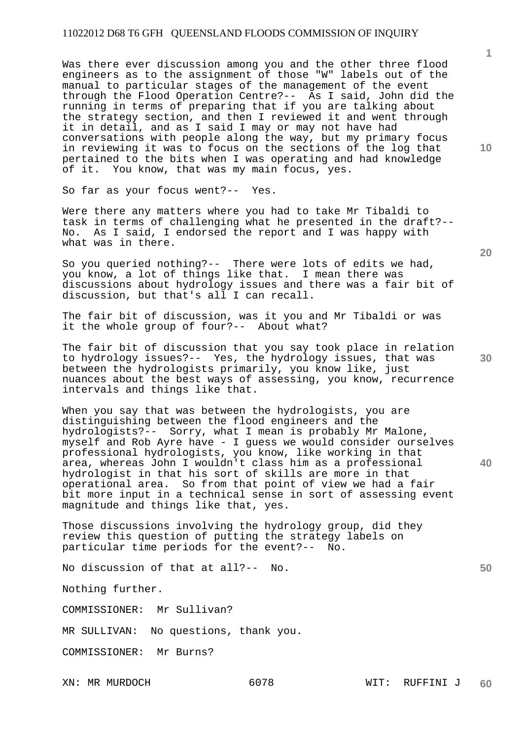Was there ever discussion among you and the other three flood engineers as to the assignment of those "W" labels out of the manual to particular stages of the management of the event through the Flood Operation Centre?-- As I said, John did the running in terms of preparing that if you are talking about the strategy section, and then I reviewed it and went through it in detail, and as I said I may or may not have had conversations with people along the way, but my primary focus in reviewing it was to focus on the sections of the log that pertained to the bits when I was operating and had knowledge of it. You know, that was my main focus, yes.

So far as your focus went?-- Yes.

Were there any matters where you had to take Mr Tibaldi to task in terms of challenging what he presented in the draft?-- No. As I said, I endorsed the report and I was happy with what was in there.

So you queried nothing?-- There were lots of edits we had, you know, a lot of things like that. I mean there was discussions about hydrology issues and there was a fair bit of discussion, but that's all I can recall.

The fair bit of discussion, was it you and Mr Tibaldi or was it the whole group of four?-- About what?

The fair bit of discussion that you say took place in relation to hydrology issues?-- Yes, the hydrology issues, that was between the hydrologists primarily, you know like, just nuances about the best ways of assessing, you know, recurrence intervals and things like that.

When you say that was between the hydrologists, you are distinguishing between the flood engineers and the hydrologists?-- Sorry, what I mean is probably Mr Malone, myself and Rob Ayre have - I guess we would consider ourselves professional hydrologists, you know, like working in that area, whereas John I wouldn't class him as a professional hydrologist in that his sort of skills are more in that operational area. So from that point of view we had a fair bit more input in a technical sense in sort of assessing event magnitude and things like that, yes.

Those discussions involving the hydrology group, did they review this question of putting the strategy labels on particular time periods for the event?-- No.

No discussion of that at all?-- No.

Nothing further.

COMMISSIONER: Mr Sullivan?

MR SULLIVAN: No questions, thank you.

COMMISSIONER: Mr Burns?

**10** 

**1**

**20** 

**30** 

**40**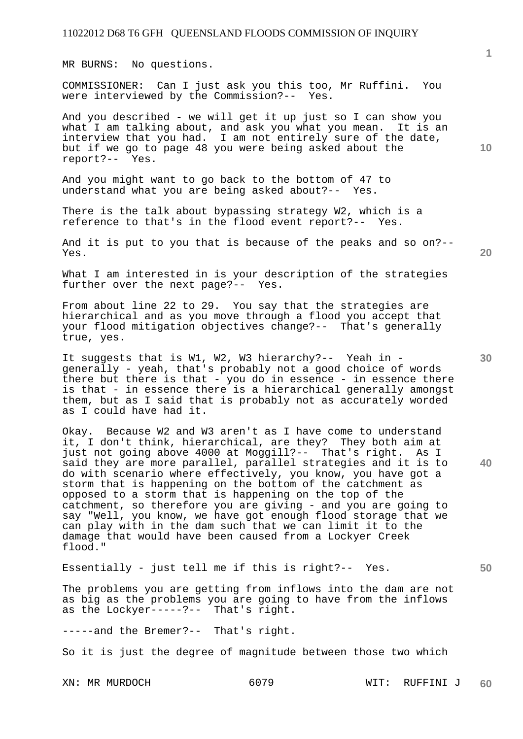MR BURNS: No questions.

COMMISSIONER: Can I just ask you this too, Mr Ruffini. You were interviewed by the Commission?-- Yes.

And you described - we will get it up just so I can show you what I am talking about, and ask you what you mean. It is an interview that you had. I am not entirely sure of the date, but if we go to page 48 you were being asked about the report?-- Yes.

And you might want to go back to the bottom of 47 to understand what you are being asked about?-- Yes.

There is the talk about bypassing strategy W2, which is a reference to that's in the flood event report?-- Yes.

And it is put to you that is because of the peaks and so on?-- Yes.

What I am interested in is your description of the strategies further over the next page?-- Yes.

From about line 22 to 29. You say that the strategies are hierarchical and as you move through a flood you accept that your flood mitigation objectives change?-- That's generally true, yes.

It suggests that is W1, W2, W3 hierarchy?-- Yeah in generally - yeah, that's probably not a good choice of words there but there is that - you do in essence - in essence there is that - in essence there is a hierarchical generally amongst them, but as I said that is probably not as accurately worded as I could have had it.

Okay. Because W2 and W3 aren't as I have come to understand it, I don't think, hierarchical, are they? They both aim at just not going above 4000 at Moggill?-- That's right. As I said they are more parallel, parallel strategies and it is to do with scenario where effectively, you know, you have got a storm that is happening on the bottom of the catchment as opposed to a storm that is happening on the top of the catchment, so therefore you are giving - and you are going to say "Well, you know, we have got enough flood storage that we can play with in the dam such that we can limit it to the damage that would have been caused from a Lockyer Creek flood."

Essentially - just tell me if this is right?-- Yes.

The problems you are getting from inflows into the dam are not as big as the problems you are going to have from the inflows as the Lockyer-----?-- That's right.

-----and the Bremer?-- That's right.

So it is just the degree of magnitude between those two which

**1**

**20** 

**40**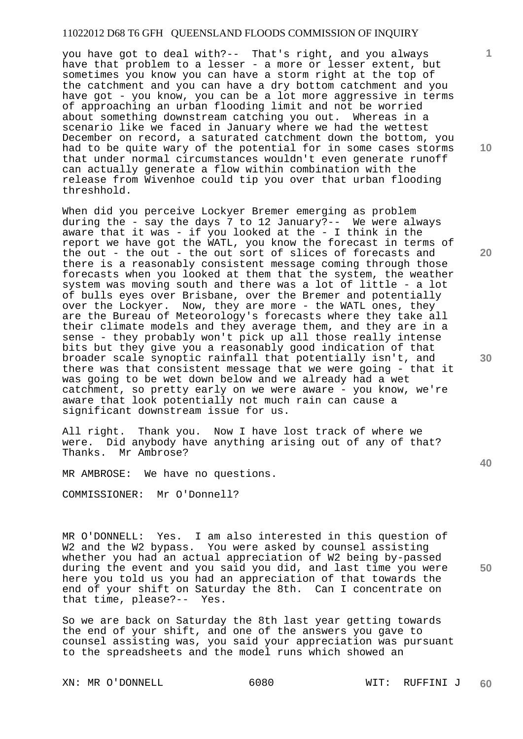you have got to deal with?-- That's right, and you always have that problem to a lesser - a more or lesser extent, but sometimes you know you can have a storm right at the top of the catchment and you can have a dry bottom catchment and you have got - you know, you can be a lot more aggressive in terms of approaching an urban flooding limit and not be worried about something downstream catching you out. Whereas in a scenario like we faced in January where we had the wettest December on record, a saturated catchment down the bottom, you had to be quite wary of the potential for in some cases storms that under normal circumstances wouldn't even generate runoff can actually generate a flow within combination with the release from Wivenhoe could tip you over that urban flooding threshhold.

When did you perceive Lockyer Bremer emerging as problem during the - say the days 7 to 12 January?-- We were always aware that it was - if you looked at the - I think in the report we have got the WATL, you know the forecast in terms of the out - the out - the out sort of slices of forecasts and there is a reasonably consistent message coming through those forecasts when you looked at them that the system, the weather system was moving south and there was a lot of little - a lot of bulls eyes over Brisbane, over the Bremer and potentially over the Lockyer. Now, they are more - the WATL ones, they are the Bureau of Meteorology's forecasts where they take all their climate models and they average them, and they are in a sense - they probably won't pick up all those really intense bits but they give you a reasonably good indication of that broader scale synoptic rainfall that potentially isn't, and there was that consistent message that we were going - that it was going to be wet down below and we already had a wet catchment, so pretty early on we were aware - you know, we're aware that look potentially not much rain can cause a significant downstream issue for us.

All right. Thank you. Now I have lost track of where we were. Did anybody have anything arising out of any of that?<br>Thanks. Mr Ambrose? Mr Ambrose?

MR AMBROSE: We have no questions.

COMMISSIONER: Mr O'Donnell?

MR O'DONNELL: Yes. I am also interested in this question of W2 and the W2 bypass. You were asked by counsel assisting whether you had an actual appreciation of W2 being by-passed during the event and you said you did, and last time you were here you told us you had an appreciation of that towards the end of your shift on Saturday the 8th. Can I concentrate on that time, please?-- Yes. that time, please?--

So we are back on Saturday the 8th last year getting towards the end of your shift, and one of the answers you gave to counsel assisting was, you said your appreciation was pursuant to the spreadsheets and the model runs which showed an

XN: MR O'DONNELL 6080 WIT: RUFFINI J

**10** 

**1**

**20** 

**30** 

**40**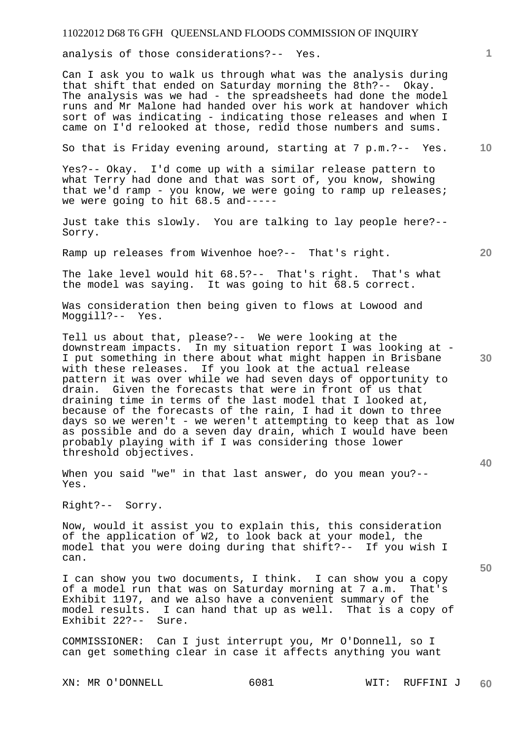analysis of those considerations?-- Yes.

Can I ask you to walk us through what was the analysis during that shift that ended on Saturday morning the 8th?-- Okay. The analysis was we had - the spreadsheets had done the model runs and Mr Malone had handed over his work at handover which sort of was indicating - indicating those releases and when I came on I'd relooked at those, redid those numbers and sums.

So that is Friday evening around, starting at 7 p.m.?-- Yes.

Yes?-- Okay. I'd come up with a similar release pattern to what Terry had done and that was sort of, you know, showing that we'd ramp - you know, we were going to ramp up releases; we were going to hit 68.5 and-----

Just take this slowly. You are talking to lay people here?-- Sorry.

Ramp up releases from Wivenhoe hoe?-- That's right.

The lake level would hit 68.5?-- That's right. That's what the model was saying. It was going to hit 68.5 correct.

Was consideration then being given to flows at Lowood and Moggill?-- Yes.

Tell us about that, please?-- We were looking at the downstream impacts. In my situation report I was looking at - I put something in there about what might happen in Brisbane with these releases. If you look at the actual release pattern it was over while we had seven days of opportunity to drain. Given the forecasts that were in front of us that draining time in terms of the last model that I looked at, because of the forecasts of the rain, I had it down to three days so we weren't - we weren't attempting to keep that as low as possible and do a seven day drain, which I would have been probably playing with if I was considering those lower threshold objectives.

When you said "we" in that last answer, do you mean you?--Yes.

Right?-- Sorry.

Now, would it assist you to explain this, this consideration of the application of W2, to look back at your model, the model that you were doing during that shift?-- If you wish I can.

I can show you two documents, I think. I can show you a copy of a model run that was on Saturday morning at 7 a.m. That's Exhibit 1197, and we also have a convenient summary of the model results. I can hand that up as well. That is a copy of Exhibit 22?-- Sure.

COMMISSIONER: Can I just interrupt you, Mr O'Donnell, so I can get something clear in case it affects anything you want

XN: MR O'DONNELL 6081 WIT: RUFFINI J

**30** 

**20** 

**50** 

**10**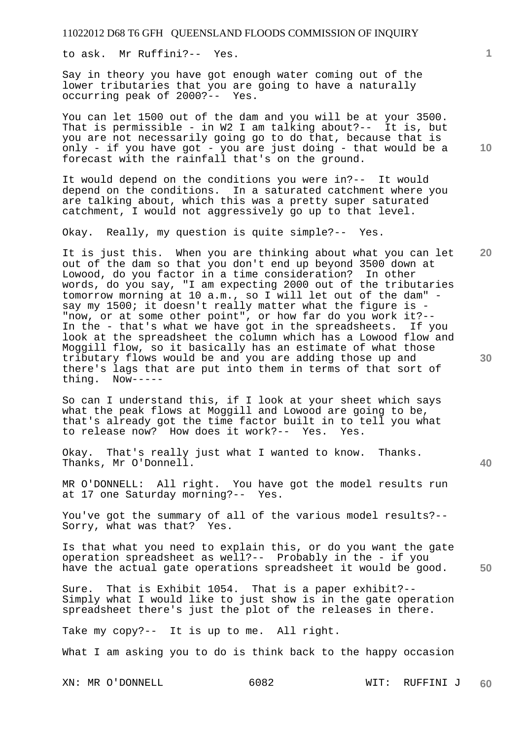to ask. Mr Ruffini?-- Yes.

Say in theory you have got enough water coming out of the lower tributaries that you are going to have a naturally occurring peak of 2000?-- Yes.

You can let 1500 out of the dam and you will be at your 3500. That is permissible - in W2 I am talking about?-- It is, but you are not necessarily going go to do that, because that is only - if you have got - you are just doing - that would be a forecast with the rainfall that's on the ground.

It would depend on the conditions you were in?-- It would depend on the conditions. In a saturated catchment where you are talking about, which this was a pretty super saturated catchment, I would not aggressively go up to that level.

Okay. Really, my question is quite simple?-- Yes.

**20 30**  It is just this. When you are thinking about what you can let out of the dam so that you don't end up beyond 3500 down at<br>Lowood, do you factor in a time consideration? In other Lowood, do you factor in a time consideration? words, do you say, "I am expecting 2000 out of the tributaries tomorrow morning at 10 a.m., so I will let out of the dam" say my 1500; it doesn't really matter what the figure is -"now, or at some other point", or how far do you work it?-- In the - that's what we have got in the spreadsheets. If you look at the spreadsheet the column which has a Lowood flow and Moggill flow, so it basically has an estimate of what those tributary flows would be and you are adding those up and there's lags that are put into them in terms of that sort of thing. Now-----

So can I understand this, if I look at your sheet which says what the peak flows at Moggill and Lowood are going to be, that's already got the time factor built in to tell you what<br>to release now? How does it work?-- Yes. Yes. to release now? How does it work?-- Yes.

Okay. That's really just what I wanted to know. Thanks. Thanks, Mr O'Donnell.

MR O'DONNELL: All right. You have got the model results run at 17 one Saturday morning?-- Yes.

You've got the summary of all of the various model results?-- Sorry, what was that? Yes.

Is that what you need to explain this, or do you want the gate operation spreadsheet as well?-- Probably in the - if you have the actual gate operations spreadsheet it would be good.

Sure. That is Exhibit 1054. That is a paper exhibit?-- Simply what I would like to just show is in the gate operation spreadsheet there's just the plot of the releases in there.

Take my copy?-- It is up to me. All right.

What I am asking you to do is think back to the happy occasion

XN: MR O'DONNELL 6082 WIT: RUFFINI J

**10** 

**1**

**40**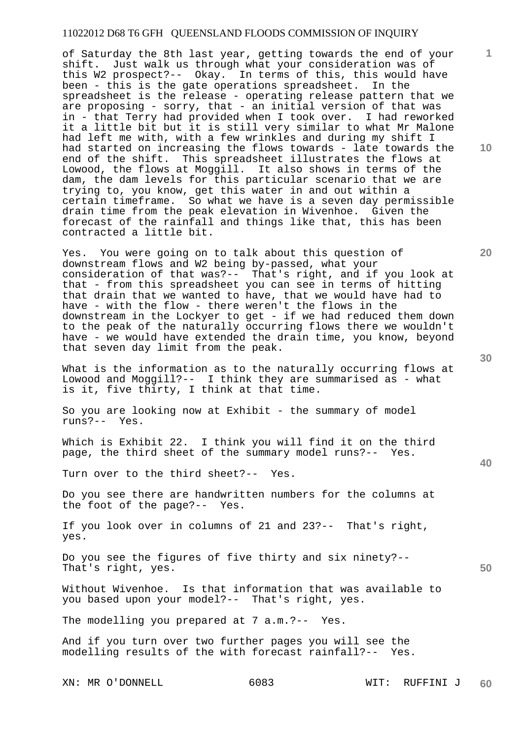of Saturday the 8th last year, getting towards the end of your shift. Just walk us through what your consideration was of this W2 prospect?-- Okay. In terms of this, this would have been - this is the gate operations spreadsheet. In the spreadsheet is the release - operating release pattern that we are proposing - sorry, that - an initial version of that was in - that Terry had provided when I took over. I had reworked it a little bit but it is still very similar to what Mr Malone had left me with, with a few wrinkles and during my shift I had started on increasing the flows towards - late towards the end of the shift. This spreadsheet illustrates the flows at Lowood, the flows at Moggill. It also shows in terms of the dam, the dam levels for this particular scenario that we are trying to, you know, get this water in and out within a certain timeframe. So what we have is a seven day permissible drain time from the peak elevation in Wivenhoe. Given the forecast of the rainfall and things like that, this has been contracted a little bit.

Yes. You were going on to talk about this question of downstream flows and W2 being by-passed, what your consideration of that was?-- That's right, and if you look at that - from this spreadsheet you can see in terms of hitting that drain that we wanted to have, that we would have had to have - with the flow - there weren't the flows in the downstream in the Lockyer to get - if we had reduced them down to the peak of the naturally occurring flows there we wouldn't have - we would have extended the drain time, you know, beyond that seven day limit from the peak.

What is the information as to the naturally occurring flows at Lowood and Moggill?-- I think they are summarised as - what is it, five thirty, I think at that time.

So you are looking now at Exhibit - the summary of model runs?-- Yes.

Which is Exhibit 22. I think you will find it on the third page, the third sheet of the summary model runs?-- Yes.

Turn over to the third sheet?-- Yes.

Do you see there are handwritten numbers for the columns at the foot of the page?-- Yes.

If you look over in columns of 21 and 23?-- That's right, yes.

Do you see the figures of five thirty and six ninety?-- That's right, yes.

Without Wivenhoe. Is that information that was available to you based upon your model?-- That's right, yes.

The modelling you prepared at 7 a.m.?-- Yes.

And if you turn over two further pages you will see the modelling results of the with forecast rainfall?-- Yes.

**10** 

**1**

**30** 

**20** 

**50**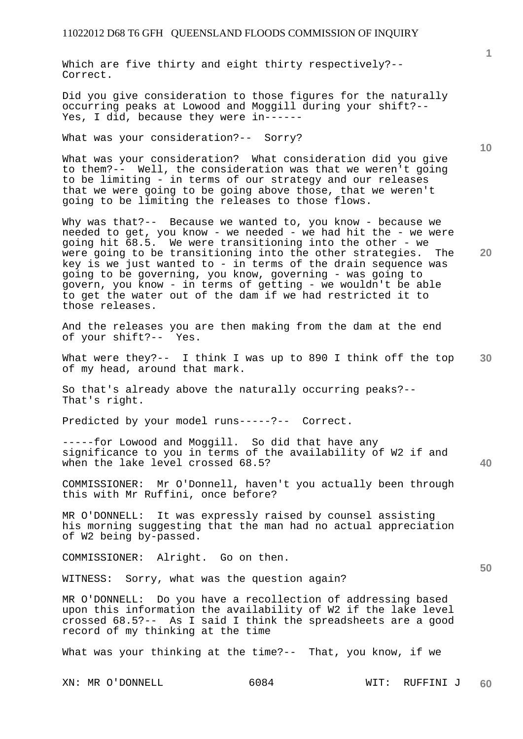Which are five thirty and eight thirty respectively?-- Correct.

Did you give consideration to those figures for the naturally occurring peaks at Lowood and Moggill during your shift?-- Yes, I did, because they were in------

What was your consideration?-- Sorry?

What was your consideration? What consideration did you give to them?-- Well, the consideration was that we weren't going to be limiting - in terms of our strategy and our releases that we were going to be going above those, that we weren't going to be limiting the releases to those flows.

**20**  Why was that?-- Because we wanted to, you know - because we needed to get, you know - we needed - we had hit the - we were going hit 68.5. We were transitioning into the other - we were going to be transitioning into the other strategies. The key is we just wanted to - in terms of the drain sequence was going to be governing, you know, governing - was going to govern, you know - in terms of getting - we wouldn't be able to get the water out of the dam if we had restricted it to those releases.

And the releases you are then making from the dam at the end of your shift?-- Yes.

**30**  What were they?-- I think I was up to 890 I think off the top of my head, around that mark.

So that's already above the naturally occurring peaks?-- That's right.

Predicted by your model runs-----?-- Correct.

-----for Lowood and Moggill. So did that have any significance to you in terms of the availability of W2 if and when the lake level crossed 68.5?

COMMISSIONER: Mr O'Donnell, haven't you actually been through this with Mr Ruffini, once before?

MR O'DONNELL: It was expressly raised by counsel assisting his morning suggesting that the man had no actual appreciation of W2 being by-passed.

COMMISSIONER: Alright. Go on then.

WITNESS: Sorry, what was the question again?

MR O'DONNELL: Do you have a recollection of addressing based upon this information the availability of W2 if the lake level crossed 68.5?-- As I said I think the spreadsheets are a good record of my thinking at the time

What was your thinking at the time?-- That, you know, if we

XN: MR O'DONNELL 6084 WIT: RUFFINI J

**10** 

**50**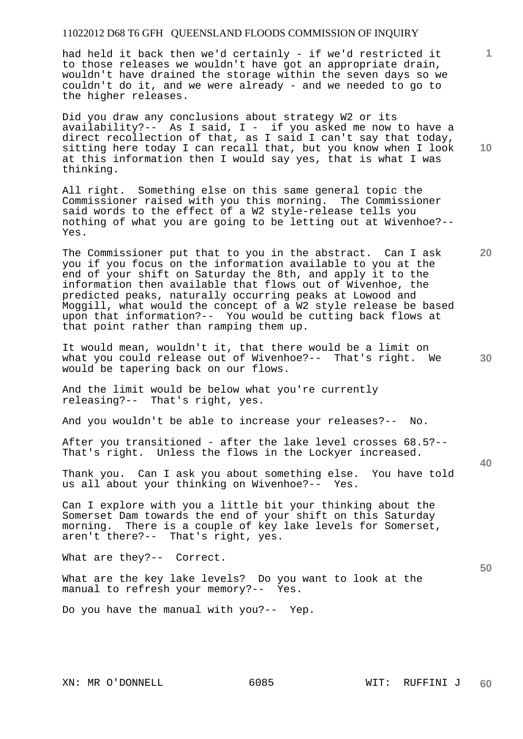had held it back then we'd certainly - if we'd restricted it to those releases we wouldn't have got an appropriate drain, wouldn't have drained the storage within the seven days so we couldn't do it, and we were already - and we needed to go to the higher releases.

Did you draw any conclusions about strategy W2 or its availability?-- As I said, I - if you asked me now to have a direct recollection of that, as I said I can't say that today, sitting here today I can recall that, but you know when I look at this information then I would say yes, that is what I was thinking.

All right. Something else on this same general topic the Commissioner raised with you this morning. The Commissioner said words to the effect of a W2 style-release tells you nothing of what you are going to be letting out at Wivenhoe?-- Yes.

The Commissioner put that to you in the abstract. Can I ask you if you focus on the information available to you at the end of your shift on Saturday the 8th, and apply it to the information then available that flows out of Wivenhoe, the predicted peaks, naturally occurring peaks at Lowood and Moggill, what would the concept of a W2 style release be based upon that information?-- You would be cutting back flows at that point rather than ramping them up.

It would mean, wouldn't it, that there would be a limit on what you could release out of Wivenhoe?-- That's right. We would be tapering back on our flows.

And the limit would be below what you're currently releasing?-- That's right, yes.

And you wouldn't be able to increase your releases?-- No.

After you transitioned - after the lake level crosses 68.5?-- That's right. Unless the flows in the Lockyer increased.

Thank you. Can I ask you about something else. You have told us all about your thinking on Wivenhoe?-- Yes.

Can I explore with you a little bit your thinking about the Somerset Dam towards the end of your shift on this Saturday morning. There is a couple of key lake levels for Somerset, aren't there?-- That's right, yes.

What are they?-- Correct.

What are the key lake levels? Do you want to look at the manual to refresh your memory?-- Yes.

Do you have the manual with you?-- Yep.

**10** 

**20** 

**1**

**40** 

**50**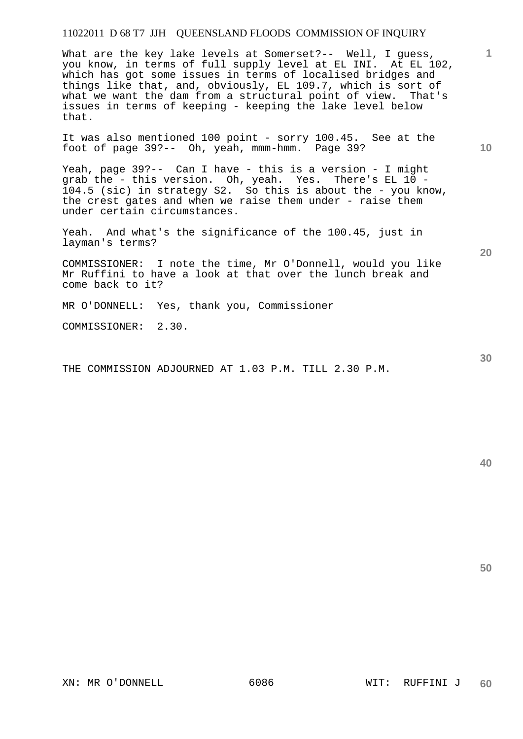What are the key lake levels at Somerset?-- Well, I guess, you know, in terms of full supply level at EL INI. At EL 102, which has got some issues in terms of localised bridges and things like that, and, obviously, EL 109.7, which is sort of what we want the dam from a structural point of view. That's issues in terms of keeping - keeping the lake level below that.

It was also mentioned 100 point - sorry 100.45. See at the foot of page 39?-- Oh, yeah, mmm-hmm. Page 39?

Yeah, page 39?-- Can I have - this is a version - I might grab the - this version. Oh, yeah. Yes. There's EL 10 - 104.5 (sic) in strategy S2. So this is about the - you know, the crest gates and when we raise them under - raise them under certain circumstances.

Yeah. And what's the significance of the 100.45, just in layman's terms?

COMMISSIONER: I note the time, Mr O'Donnell, would you like Mr Ruffini to have a look at that over the lunch break and come back to it?

MR O'DONNELL: Yes, thank you, Commissioner

COMMISSIONER: 2.30.

THE COMMISSION ADJOURNED AT 1.03 P.M. TILL 2.30 P.M.

**30** 

**50** 

**1**

**10**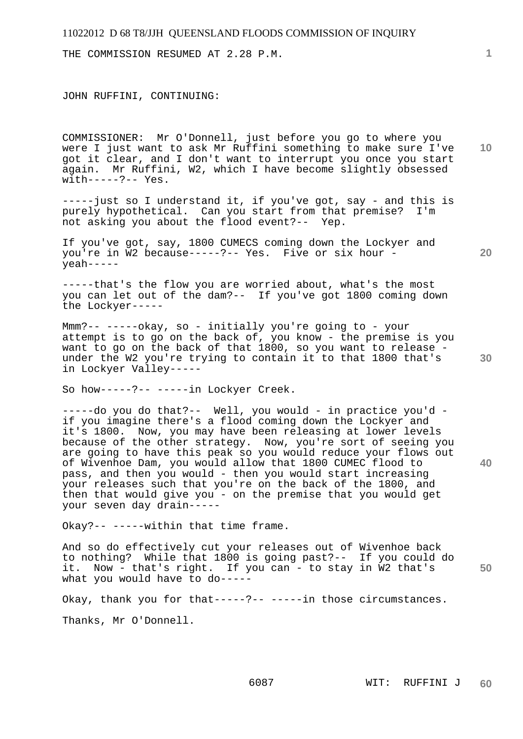THE COMMISSION RESUMED AT 2.28 P.M.

JOHN RUFFINI, CONTINUING:

COMMISSIONER: Mr O'Donnell, just before you go to where you were I just want to ask Mr Ruffini something to make sure I've got it clear, and I don't want to interrupt you once you start again. Mr Ruffini, W2, which I have become slightly obsessed  $with---?-- Yes.$ 

-----just so I understand it, if you've got, say - and this is purely hypothetical. Can you start from that premise? I'm not asking you about the flood event?-- Yep.

If you've got, say, 1800 CUMECS coming down the Lockyer and you're in W2 because-----?-- Yes. Five or six hour yeah-----

-----that's the flow you are worried about, what's the most you can let out of the dam?-- If you've got 1800 coming down the Lockyer-----

Mmm?-- -----okay, so - initially you're going to - your attempt is to go on the back of, you know - the premise is you want to go on the back of that 1800, so you want to release under the W2 you're trying to contain it to that 1800 that's in Lockyer Valley-----

So how-----?-- -----in Lockyer Creek.

-----do you do that?-- Well, you would - in practice you'd if you imagine there's a flood coming down the Lockyer and it's 1800. Now, you may have been releasing at lower levels because of the other strategy. Now, you're sort of seeing you are going to have this peak so you would reduce your flows out of Wivenhoe Dam, you would allow that 1800 CUMEC flood to pass, and then you would - then you would start increasing your releases such that you're on the back of the 1800, and then that would give you - on the premise that you would get your seven day drain-----

Okay?-- -----within that time frame.

**50**  And so do effectively cut your releases out of Wivenhoe back to nothing? While that 1800 is going past?-- If you could do it. Now - that's right. If you can - to stay in W2 that's what you would have to do-----

Okay, thank you for that-----?-- -----in those circumstances.

Thanks, Mr O'Donnell.

**30** 

**40** 

**20** 

**10**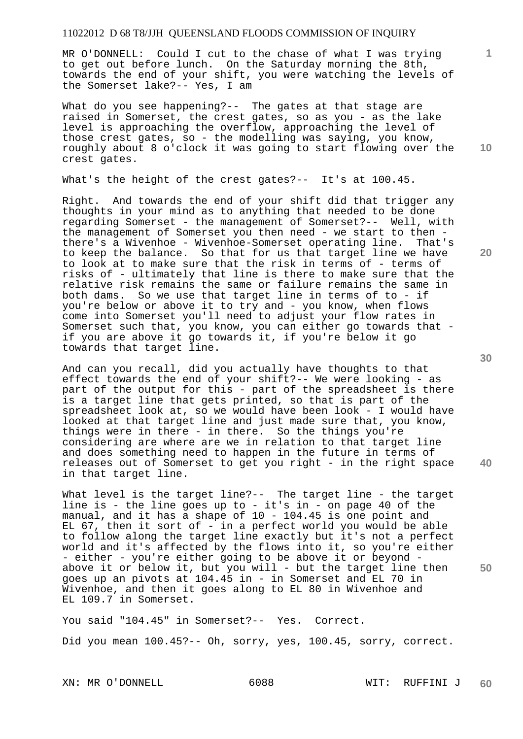MR O'DONNELL: Could I cut to the chase of what I was trying to get out before lunch. On the Saturday morning the 8th, towards the end of your shift, you were watching the levels of the Somerset lake?-- Yes, I am

What do you see happening?-- The gates at that stage are raised in Somerset, the crest gates, so as you - as the lake level is approaching the overflow, approaching the level of those crest gates, so - the modelling was saying, you know, roughly about 8 o'clock it was going to start flowing over the crest gates.

What's the height of the crest gates?-- It's at 100.45.

Right. And towards the end of your shift did that trigger any thoughts in your mind as to anything that needed to be done regarding Somerset - the management of Somerset?-- Well, with the management of Somerset you then need - we start to then there's a Wivenhoe - Wivenhoe-Somerset operating line. That's to keep the balance. So that for us that target line we have to look at to make sure that the risk in terms of - terms of risks of - ultimately that line is there to make sure that the relative risk remains the same or failure remains the same in both dams. So we use that target line in terms of to - if you're below or above it to try and - you know, when flows come into Somerset you'll need to adjust your flow rates in Somerset such that, you know, you can either go towards that if you are above it go towards it, if you're below it go towards that target line.

And can you recall, did you actually have thoughts to that effect towards the end of your shift?-- We were looking - as part of the output for this - part of the spreadsheet is there is a target line that gets printed, so that is part of the spreadsheet look at, so we would have been look - I would have looked at that target line and just made sure that, you know, things were in there - in there. So the things you're considering are where are we in relation to that target line and does something need to happen in the future in terms of releases out of Somerset to get you right - in the right space in that target line.

What level is the target line?-- The target line - the target line is - the line goes up to - it's in - on page 40 of the manual, and it has a shape of 10 - 104.45 is one point and EL 67, then it sort of  $-\bar{i}$ n a perfect world you would be able to follow along the target line exactly but it's not a perfect world and it's affected by the flows into it, so you're either - either - you're either going to be above it or beyond above it or below it, but you will - but the target line then goes up an pivots at 104.45 in - in Somerset and EL 70 in Wivenhoe, and then it goes along to EL 80 in Wivenhoe and EL 109.7 in Somerset.

You said "104.45" in Somerset?-- Yes. Correct. Did you mean 100.45?-- Oh, sorry, yes, 100.45, sorry, correct.

XN: MR O'DONNELL 6088 WIT: RUFFINI J

**30** 

**40** 

**50** 

**20** 

**10**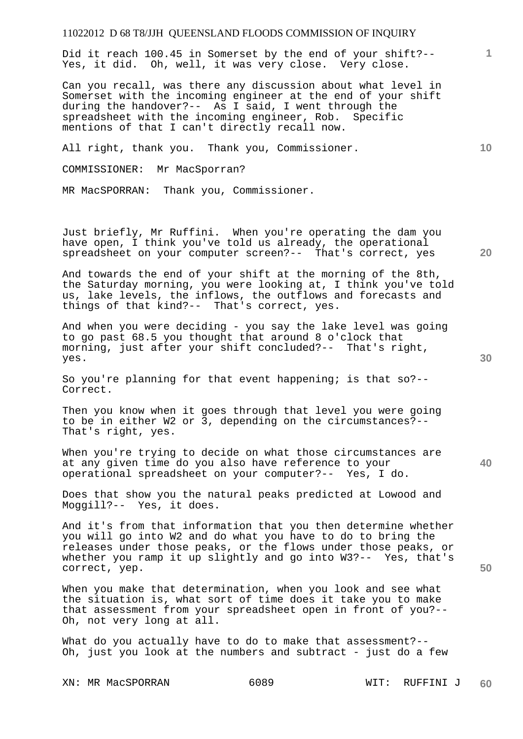Did it reach 100.45 in Somerset by the end of your shift?-- Yes, it did. Oh, well, it was very close. Very close.

Can you recall, was there any discussion about what level in Somerset with the incoming engineer at the end of your shift during the handover?-- As I said, I went through the spreadsheet with the incoming engineer, Rob. Specific mentions of that I can't directly recall now.

All right, thank you. Thank you, Commissioner.

COMMISSIONER: Mr MacSporran?

MR MacSPORRAN: Thank you, Commissioner.

Just briefly, Mr Ruffini. When you're operating the dam you have open, I think you've told us already, the operational spreadsheet on your computer screen?-- That's correct, yes

And towards the end of your shift at the morning of the 8th, the Saturday morning, you were looking at, I think you've told us, lake levels, the inflows, the outflows and forecasts and things of that kind?-- That's correct, yes.

And when you were deciding - you say the lake level was going to go past 68.5 you thought that around 8 o'clock that morning, just after your shift concluded?-- That's right, yes.

So you're planning for that event happening; is that so?-- Correct.

Then you know when it goes through that level you were going to be in either W2 or 3, depending on the circumstances?-- That's right, yes.

When you're trying to decide on what those circumstances are at any given time do you also have reference to your operational spreadsheet on your computer?-- Yes, I do.

Does that show you the natural peaks predicted at Lowood and Moggill?-- Yes, it does.

And it's from that information that you then determine whether you will go into W2 and do what you have to do to bring the releases under those peaks, or the flows under those peaks, or whether you ramp it up slightly and go into W3?-- Yes, that's correct, yep.

When you make that determination, when you look and see what the situation is, what sort of time does it take you to make that assessment from your spreadsheet open in front of you?-- Oh, not very long at all.

What do you actually have to do to make that assessment?-- Oh, just you look at the numbers and subtract - just do a few

XN: MR MacSPORRAN 6089 6089 WIT: RUFFINI J

**20** 

**1**

**10** 

**40**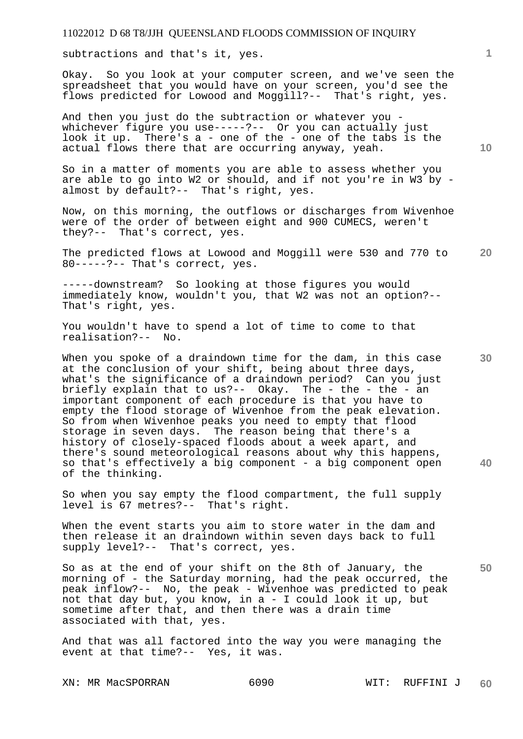subtractions and that's it, yes.

Okay. So you look at your computer screen, and we've seen the spreadsheet that you would have on your screen, you'd see the flows predicted for Lowood and Moggill?-- That's right, yes.

And then you just do the subtraction or whatever you whichever figure you use-----?-- Or you can actually just look it up. There's a - one of the - one of the tabs is the actual flows there that are occurring anyway, yeah.

So in a matter of moments you are able to assess whether you are able to go into W2 or should, and if not you're in W3 by almost by default?-- That's right, yes.

Now, on this morning, the outflows or discharges from Wivenhoe were of the order of between eight and 900 CUMECS, weren't they?-- That's correct, yes.

**20**  The predicted flows at Lowood and Moggill were 530 and 770 to 80-----?-- That's correct, yes.

-----downstream? So looking at those figures you would immediately know, wouldn't you, that W2 was not an option?-- That's right, yes.

You wouldn't have to spend a lot of time to come to that realisation?-- No.

When you spoke of a draindown time for the dam, in this case at the conclusion of your shift, being about three days, what's the significance of a draindown period? Can you just briefly explain that to us?-- Okay. The - the - the - an important component of each procedure is that you have to empty the flood storage of Wivenhoe from the peak elevation. So from when Wivenhoe peaks you need to empty that flood storage in seven days. The reason being that there's a history of closely-spaced floods about a week apart, and there's sound meteorological reasons about why this happens, so that's effectively a big component - a big component open of the thinking.

So when you say empty the flood compartment, the full supply level is 67 metres?-- That's right.

When the event starts you aim to store water in the dam and then release it an draindown within seven days back to full supply level?-- That's correct, yes.

So as at the end of your shift on the 8th of January, the morning of - the Saturday morning, had the peak occurred, the peak inflow?-- No, the peak - Wivenhoe was predicted to peak not that day but, you know, in a - I could look it up, but sometime after that, and then there was a drain time associated with that, yes.

And that was all factored into the way you were managing the event at that time?-- Yes, it was.

XN: MR MacSPORRAN 6090 6090 WIT: RUFFINI J

**10** 

**1**

**30** 

**40**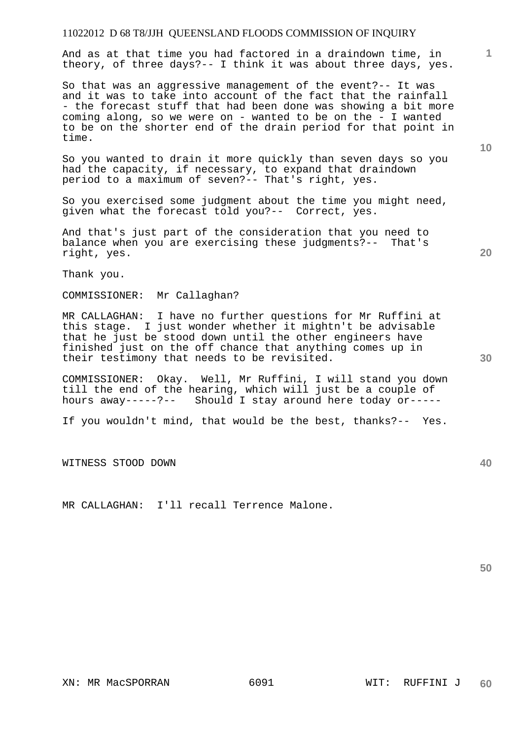And as at that time you had factored in a draindown time, in theory, of three days?-- I think it was about three days, yes.

So that was an aggressive management of the event?-- It was and it was to take into account of the fact that the rainfall - the forecast stuff that had been done was showing a bit more coming along, so we were on - wanted to be on the - I wanted to be on the shorter end of the drain period for that point in time.

So you wanted to drain it more quickly than seven days so you had the capacity, if necessary, to expand that draindown period to a maximum of seven?-- That's right, yes.

So you exercised some judgment about the time you might need, given what the forecast told you?-- Correct, yes.

And that's just part of the consideration that you need to balance when you are exercising these judgments?-- That's right, yes.

Thank you.

COMMISSIONER: Mr Callaghan?

MR CALLAGHAN: I have no further questions for Mr Ruffini at this stage. I just wonder whether it mightn't be advisable that he just be stood down until the other engineers have finished just on the off chance that anything comes up in their testimony that needs to be revisited.

COMMISSIONER: Okay. Well, Mr Ruffini, I will stand you down till the end of the hearing, which will just be a couple of hours away-----?-- Should I stay around here today or-----

If you wouldn't mind, that would be the best, thanks?-- Yes.

WITNESS STOOD DOWN

MR CALLAGHAN: I'll recall Terrence Malone.

**50** 

**20** 

**10** 

**1**

**30**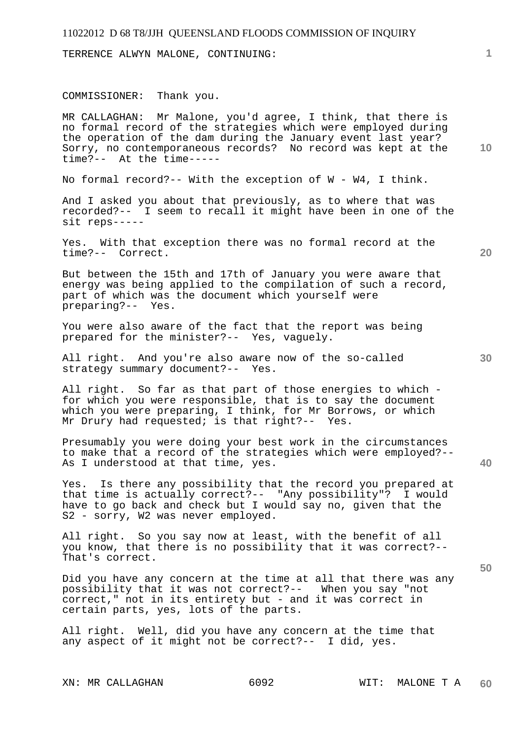TERRENCE ALWYN MALONE, CONTINUING:

# COMMISSIONER: Thank you.

MR CALLAGHAN: Mr Malone, you'd agree, I think, that there is no formal record of the strategies which were employed during the operation of the dam during the January event last year? Sorry, no contemporaneous records? No record was kept at the time?-- At the time-----

No formal record?-- With the exception of W - W4, I think.

And I asked you about that previously, as to where that was recorded?-- I seem to recall it might have been in one of the sit reps-----

Yes. With that exception there was no formal record at the time?-- Correct.

But between the 15th and 17th of January you were aware that energy was being applied to the compilation of such a record, part of which was the document which yourself were preparing?-- Yes.

You were also aware of the fact that the report was being prepared for the minister?-- Yes, vaguely.

All right. And you're also aware now of the so-called strategy summary document?-- Yes.

All right. So far as that part of those energies to which for which you were responsible, that is to say the document which you were preparing, I think, for Mr Borrows, or which Mr Drury had requested; is that right?-- Yes.

Presumably you were doing your best work in the circumstances to make that a record of the strategies which were employed?-- As I understood at that time, yes.

Yes. Is there any possibility that the record you prepared at that time is actually correct?-- "Any possibility"? I would have to go back and check but I would say no, given that the S2 - sorry, W2 was never employed.

All right. So you say now at least, with the benefit of all you know, that there is no possibility that it was correct?-- That's correct.

Did you have any concern at the time at all that there was any possibility that it was not correct?-- When you say "not correct," not in its entirety but - and it was correct in certain parts, yes, lots of the parts.

All right. Well, did you have any concern at the time that any aspect of it might not be correct?-- I did, yes.

XN: MR CALLAGHAN 6092 WIT: MALONE T A

**20** 

**10** 

**1**

**40**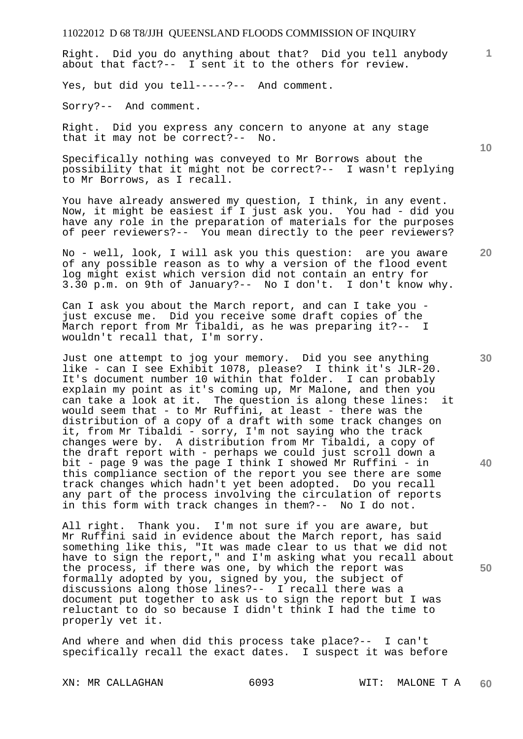Right. Did you do anything about that? Did you tell anybody about that fact?-- I sent it to the others for review.

Yes, but did you tell-----?-- And comment.

Sorry?-- And comment.

Right. Did you express any concern to anyone at any stage that it may not be correct?-- No.

Specifically nothing was conveyed to Mr Borrows about the possibility that it might not be correct?-- I wasn't replying to Mr Borrows, as I recall.

You have already answered my question, I think, in any event. Now, it might be easiest if I just ask you. You had - did you have any role in the preparation of materials for the purposes of peer reviewers?-- You mean directly to the peer reviewers?

No - well, look, I will ask you this question: are you aware of any possible reason as to why a version of the flood event log might exist which version did not contain an entry for 3.30 p.m. on 9th of January?-- No I don't. I don't know why.

Can I ask you about the March report, and can I take you just excuse me. Did you receive some draft copies of the March report from Mr Tibaldi, as he was preparing it?-- I wouldn't recall that, I'm sorry.

Just one attempt to jog your memory. Did you see anything like - can I see Exhibit 1078, please? I think it's JLR-20. It's document number 10 within that folder. I can probably explain my point as it's coming up, Mr Malone, and then you can take a look at it. The question is along these lines: it would seem that - to Mr Ruffini, at least - there was the distribution of a copy of a draft with some track changes on it, from Mr Tibaldi - sorry, I'm not saying who the track changes were by. A distribution from Mr Tibaldi, a copy of the draft report with - perhaps we could just scroll down a bit - page 9 was the page I think I showed Mr Ruffini - in this compliance section of the report you see there are some track changes which hadn't yet been adopted. Do you recall any part of the process involving the circulation of reports in this form with track changes in them?-- No I do not.

All right. Thank you. I'm not sure if you are aware, but Mr Ruffini said in evidence about the March report, has said something like this, "It was made clear to us that we did not have to sign the report," and I'm asking what you recall about the process, if there was one, by which the report was formally adopted by you, signed by you, the subject of discussions along those lines?-- I recall there was a document put together to ask us to sign the report but I was reluctant to do so because I didn't think I had the time to properly vet it.

And where and when did this process take place?-- I can't specifically recall the exact dates. I suspect it was before

XN: MR CALLAGHAN 6093 WIT: MALONE T A

**10** 

**20** 

**1**

**30** 

**40**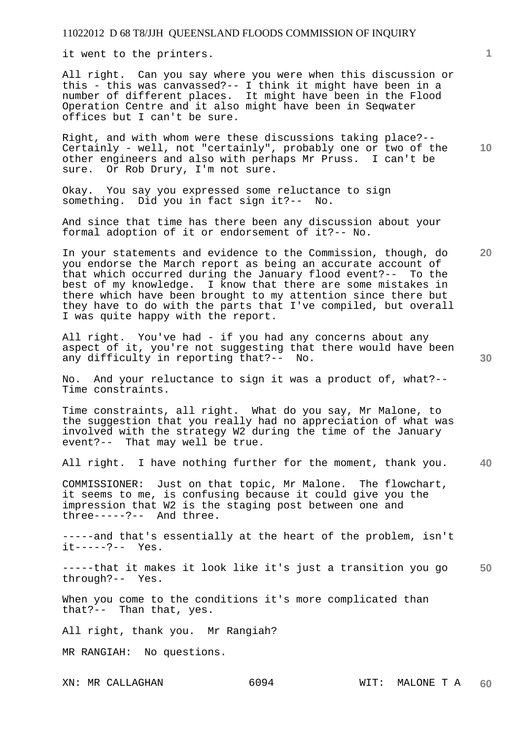it went to the printers.

All right. Can you say where you were when this discussion or this - this was canvassed?-- I think it might have been in a number of different places. It might have been in the Flood Operation Centre and it also might have been in Seqwater offices but I can't be sure.

Right, and with whom were these discussions taking place?-- Certainly - well, not "certainly", probably one or two of the other engineers and also with perhaps Mr Pruss. I can't be sure. Or Rob Drury, I'm not sure.

Okay. You say you expressed some reluctance to sign something. Did you in fact sign it?-- No.

And since that time has there been any discussion about your formal adoption of it or endorsement of it?-- No.

In your statements and evidence to the Commission, though, do you endorse the March report as being an accurate account of that which occurred during the January flood event?-- To the best of my knowledge. I know that there are some mistakes in there which have been brought to my attention since there but they have to do with the parts that I've compiled, but overall I was quite happy with the report.

All right. You've had - if you had any concerns about any aspect of it, you're not suggesting that there would have been<br>any difficulty in reporting that?-- No. any difficulty in reporting that?--

No. And your reluctance to sign it was a product of, what?-- Time constraints.

Time constraints, all right. What do you say, Mr Malone, to the suggestion that you really had no appreciation of what was involved with the strategy W2 during the time of the January event?-- That may well be true.

**40**  All right. I have nothing further for the moment, thank you.

COMMISSIONER: Just on that topic, Mr Malone. The flowchart, it seems to me, is confusing because it could give you the impression that W2 is the staging post between one and three-----?-- And three.

-----and that's essentially at the heart of the problem, isn't it-----?-- Yes.

**50**  -----that it makes it look like it's just a transition you go through?-- Yes.

When you come to the conditions it's more complicated than that?-- Than that, yes.

All right, thank you. Mr Rangiah?

MR RANGIAH: No questions.

**20** 

**30**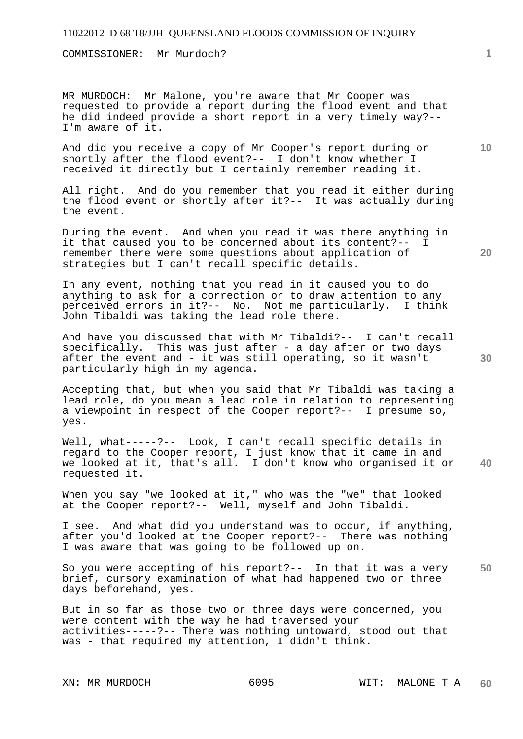COMMISSIONER: Mr Murdoch?

MR MURDOCH: Mr Malone, you're aware that Mr Cooper was requested to provide a report during the flood event and that he did indeed provide a short report in a very timely way?-- I'm aware of it.

And did you receive a copy of Mr Cooper's report during or shortly after the flood event?-- I don't know whether I received it directly but I certainly remember reading it.

All right. And do you remember that you read it either during the flood event or shortly after it?-- It was actually during the event.

During the event. And when you read it was there anything in it that caused you to be concerned about its content?-- I remember there were some questions about application of strategies but I can't recall specific details.

In any event, nothing that you read in it caused you to do anything to ask for a correction or to draw attention to any perceived errors in it?-- No. Not me particularly. I think John Tibaldi was taking the lead role there.

And have you discussed that with Mr Tibaldi?-- I can't recall specifically. This was just after - a day after or two days after the event and - it was still operating, so it wasn't particularly high in my agenda.

Accepting that, but when you said that Mr Tibaldi was taking a lead role, do you mean a lead role in relation to representing a viewpoint in respect of the Cooper report?-- I presume so, yes.

**40**  Well, what-----?-- Look, I can't recall specific details in regard to the Cooper report, I just know that it came in and we looked at it, that's all. I don't know who organised it or requested it.

When you say "we looked at it," who was the "we" that looked at the Cooper report?-- Well, myself and John Tibaldi.

I see. And what did you understand was to occur, if anything, after you'd looked at the Cooper report?-- There was nothing I was aware that was going to be followed up on.

**50**  So you were accepting of his report?-- In that it was a very brief, cursory examination of what had happened two or three days beforehand, yes.

But in so far as those two or three days were concerned, you were content with the way he had traversed your activities-----?-- There was nothing untoward, stood out that was - that required my attention, I didn't think.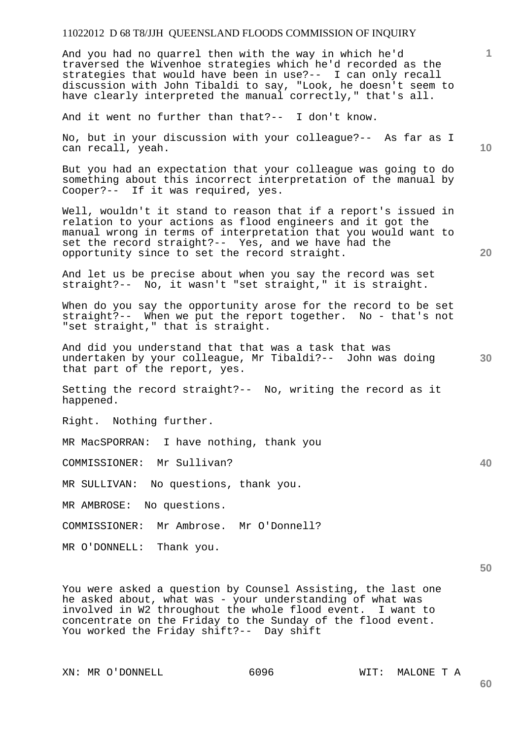And you had no quarrel then with the way in which he'd traversed the Wivenhoe strategies which he'd recorded as the strategies that would have been in use?-- I can only recall discussion with John Tibaldi to say, "Look, he doesn't seem to have clearly interpreted the manual correctly," that's all.

And it went no further than that?-- I don't know.

No, but in your discussion with your colleague?-- As far as I can recall, yeah.

But you had an expectation that your colleague was going to do something about this incorrect interpretation of the manual by Cooper?-- If it was required, yes.

Well, wouldn't it stand to reason that if a report's issued in relation to your actions as flood engineers and it got the manual wrong in terms of interpretation that you would want to set the record straight?-- Yes, and we have had the opportunity since to set the record straight.

And let us be precise about when you say the record was set straight?-- No, it wasn't "set straight," it is straight.

When do you say the opportunity arose for the record to be set straight?-- When we put the report together. No - that's not "set straight," that is straight.

**30**  undertaken by your colleague, Mr Tibaldi?-- John was doing And did you understand that that was a task that was that part of the report, yes.

Setting the record straight?-- No, writing the record as it happened.

Right. Nothing further.

MR MacSPORRAN: I have nothing, thank you

COMMISSIONER: Mr Sullivan?

MR SULLIVAN: No questions, thank you.

MR AMBROSE: No questions.

COMMISSIONER: Mr Ambrose. Mr O'Donnell?

MR O'DONNELL: Thank you.

**50** 

**40** 

**1**

**10** 

**20** 

You were asked a question by Counsel Assisting, the last one he asked about, what was - your understanding of what was involved in W2 throughout the whole flood event. I want to concentrate on the Friday to the Sunday of the flood event. You worked the Friday shift?-- Day shift

XN: MR O'DONNELL 6096 WIT: MALONE T A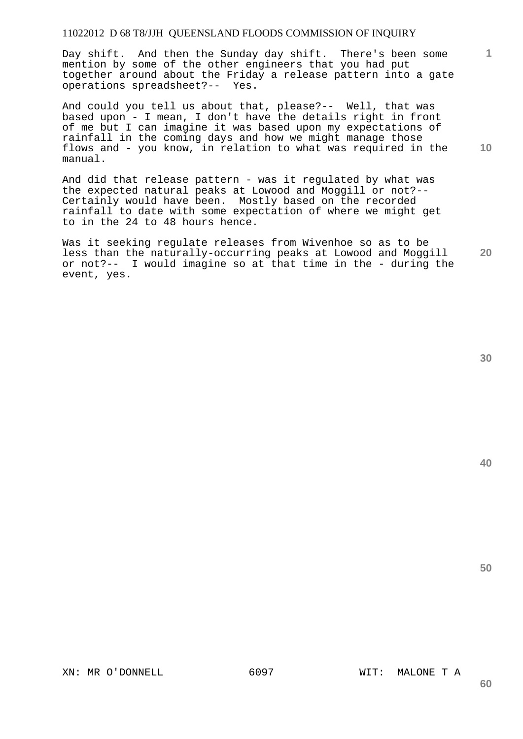Day shift. And then the Sunday day shift. There's been some mention by some of the other engineers that you had put together around about the Friday a release pattern into a gate operations spreadsheet?-- Yes.

And could you tell us about that, please?-- Well, that was based upon - I mean, I don't have the details right in front of me but I can imagine it was based upon my expectations of rainfall in the coming days and how we might manage those flows and - you know, in relation to what was required in the manual.

And did that release pattern - was it regulated by what was the expected natural peaks at Lowood and Moggill or not?-- Certainly would have been. Mostly based on the recorded rainfall to date with some expectation of where we might get to in the 24 to 48 hours hence.

**20**  Was it seeking regulate releases from Wivenhoe so as to be less than the naturally-occurring peaks at Lowood and Moggill or not?-- I would imagine so at that time in the - during the event, yes.

**30** 

**1**

**10**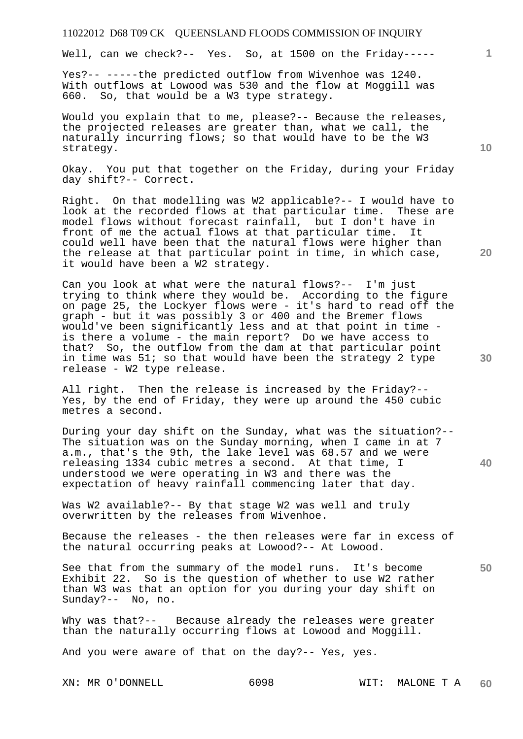Well, can we check?-- Yes. So, at 1500 on the Friday-----

Yes?-- -----the predicted outflow from Wivenhoe was 1240. With outflows at Lowood was 530 and the flow at Moggill was 660. So, that would be a W3 type strategy.

Would you explain that to me, please?-- Because the releases, the projected releases are greater than, what we call, the naturally incurring flows; so that would have to be the W3 strategy.

Okay. You put that together on the Friday, during your Friday day shift?-- Correct.

Right. On that modelling was W2 applicable?-- I would have to look at the recorded flows at that particular time. These are model flows without forecast rainfall, but I don't have in front of me the actual flows at that particular time. It could well have been that the natural flows were higher than the release at that particular point in time, in which case, it would have been a W2 strategy.

Can you look at what were the natural flows?-- I'm just trying to think where they would be. According to the figure on page 25, the Lockyer flows were - it's hard to read off the graph - but it was possibly 3 or 400 and the Bremer flows would've been significantly less and at that point in time is there a volume - the main report? Do we have access to that? So, the outflow from the dam at that particular point in time was 51; so that would have been the strategy 2 type release - W2 type release.

All right. Then the release is increased by the Friday?-- Yes, by the end of Friday, they were up around the 450 cubic metres a second.

During your day shift on the Sunday, what was the situation?-- The situation was on the Sunday morning, when I came in at 7 a.m., that's the 9th, the lake level was 68.57 and we were releasing 1334 cubic metres a second. At that time, I understood we were operating in W3 and there was the expectation of heavy rainfall commencing later that day.

Was W2 available? -- By that stage W2 was well and truly overwritten by the releases from Wivenhoe.

Because the releases - the then releases were far in excess of the natural occurring peaks at Lowood?-- At Lowood.

See that from the summary of the model runs. It's become Exhibit 22. So is the question of whether to use W2 rather than W3 was that an option for you during your day shift on Sunday?-- No, no.

Why was that?-- Because already the releases were greater than the naturally occurring flows at Lowood and Moggill.

And you were aware of that on the day?-- Yes, yes.

**10** 

**20** 

**1**

**30** 

**50**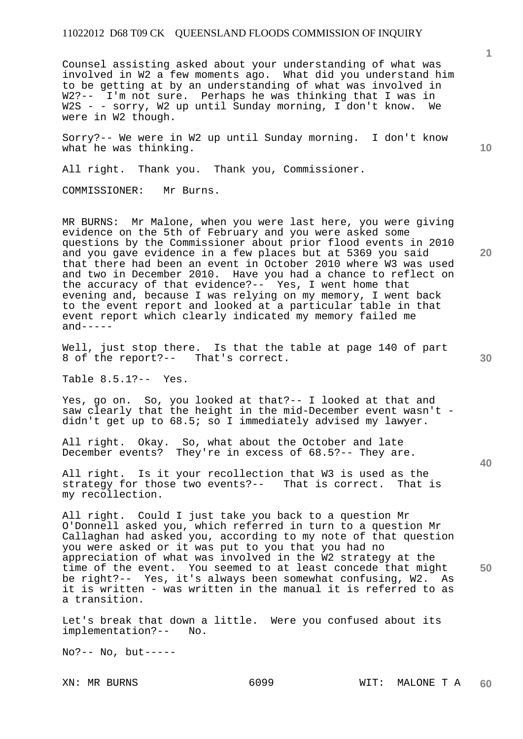Counsel assisting asked about your understanding of what was involved in W2 a few moments ago. What did you understand him to be getting at by an understanding of what was involved in W2?-- I'm not sure. Perhaps he was thinking that I was in W2S - - sorry, W2 up until Sunday morning, I don't know. We were in W2 though.

Sorry?-- We were in W2 up until Sunday morning. I don't know what he was thinking.

All right. Thank you. Thank you, Commissioner.

COMMISSIONER: Mr Burns.

MR BURNS: Mr Malone, when you were last here, you were giving evidence on the 5th of February and you were asked some questions by the Commissioner about prior flood events in 2010 and you gave evidence in a few places but at 5369 you said that there had been an event in October 2010 where W3 was used and two in December 2010. Have you had a chance to reflect on the accuracy of that evidence?-- Yes, I went home that evening and, because I was relying on my memory, I went back to the event report and looked at a particular table in that event report which clearly indicated my memory failed me  $and----$ 

Well, just stop there. Is that the table at page 140 of part 8 of the report?-- That's correct.

Table 8.5.1?-- Yes.

Yes, go on. So, you looked at that?-- I looked at that and saw clearly that the height in the mid-December event wasn't didn't get up to 68.5; so I immediately advised my lawyer.

All right. Okay. So, what about the October and late December events? They're in excess of 68.5?-- They are.

All right. Is it your recollection that W3 is used as the strategy for those two events?-- That is correct. That is my recollection.

All right. Could I just take you back to a question Mr O'Donnell asked you, which referred in turn to a question Mr Callaghan had asked you, according to my note of that question you were asked or it was put to you that you had no appreciation of what was involved in the W2 strategy at the time of the event. You seemed to at least concede that might be right?-- Yes, it's always been somewhat confusing, W2. As it is written - was written in the manual it is referred to as a transition.

Let's break that down a little. Were you confused about its implementation?-- No.

No?-- No, but-----

**10** 

**1**

**20** 

**30** 

**40**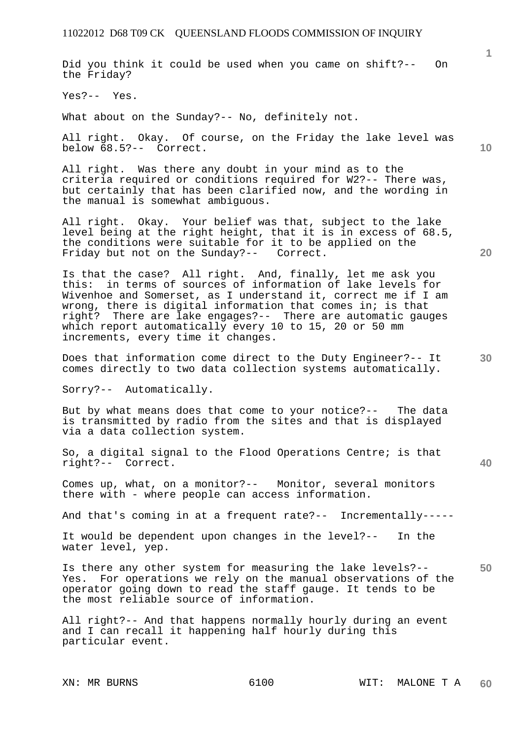Did you think it could be used when you came on shift?-- On the Friday?

Yes?-- Yes.

What about on the Sunday?-- No, definitely not.

All right. Okay. Of course, on the Friday the lake level was below 68.5?-- Correct.

All right. Was there any doubt in your mind as to the criteria required or conditions required for W2?-- There was, but certainly that has been clarified now, and the wording in the manual is somewhat ambiguous.

All right. Okay. Your belief was that, subject to the lake level being at the right height, that it is in excess of 68.5, the conditions were suitable for it to be applied on the Friday but not on the Sunday?-- Correct.

Is that the case? All right. And, finally, let me ask you this: in terms of sources of information of lake levels for Wivenhoe and Somerset, as I understand it, correct me if I am wrong, there is digital information that comes in; is that right? There are lake engages?-- There are automatic gauges which report automatically every 10 to 15, 20 or 50 mm increments, every time it changes.

Does that information come direct to the Duty Engineer?-- It comes directly to two data collection systems automatically.

Sorry?-- Automatically.

But by what means does that come to your notice?-- The data is transmitted by radio from the sites and that is displayed via a data collection system.

So, a digital signal to the Flood Operations Centre; is that right?-- Correct.

Comes up, what, on a monitor?-- Monitor, several monitors there with - where people can access information.

And that's coming in at a frequent rate?-- Incrementally-----

It would be dependent upon changes in the level?-- In the water level, yep.

**50**  Is there any other system for measuring the lake levels?-- Yes. For operations we rely on the manual observations of the operator going down to read the staff gauge. It tends to be the most reliable source of information.

All right?-- And that happens normally hourly during an event and I can recall it happening half hourly during this particular event.

**1**

**20**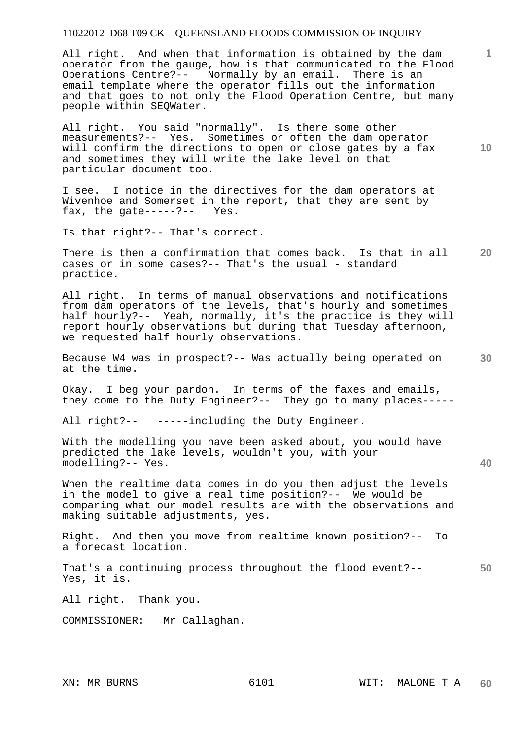All right. And when that information is obtained by the dam operator from the gauge, how is that communicated to the Flood Operations Centre?-- Normally by an email. There is an email template where the operator fills out the information and that goes to not only the Flood Operation Centre, but many people within SEQWater.

All right. You said "normally". Is there some other measurements?-- Yes. Sometimes or often the dam operator will confirm the directions to open or close gates by a fax and sometimes they will write the lake level on that particular document too.

I see. I notice in the directives for the dam operators at Wivenhoe and Somerset in the report, that they are sent by fax, the  $qate---?--$  Yes.

Is that right?-- That's correct.

**20**  There is then a confirmation that comes back. Is that in all cases or in some cases?-- That's the usual - standard practice.

All right. In terms of manual observations and notifications from dam operators of the levels, that's hourly and sometimes half hourly?-- Yeah, normally, it's the practice is they will report hourly observations but during that Tuesday afternoon, we requested half hourly observations.

**30**  Because W4 was in prospect?-- Was actually being operated on at the time.

Okay. I beg your pardon. In terms of the faxes and emails, they come to the Duty Engineer?-- They go to many places-----

All right?-- -----including the Duty Engineer.

With the modelling you have been asked about, you would have predicted the lake levels, wouldn't you, with your modelling?-- Yes.

When the realtime data comes in do you then adjust the levels in the model to give a real time position?-- We would be comparing what our model results are with the observations and making suitable adjustments, yes.

Right. And then you move from realtime known position?-- To a forecast location.

**50**  That's a continuing process throughout the flood event?-- Yes, it is.

All right. Thank you.

COMMISSIONER: Mr Callaghan.

**10** 

**1**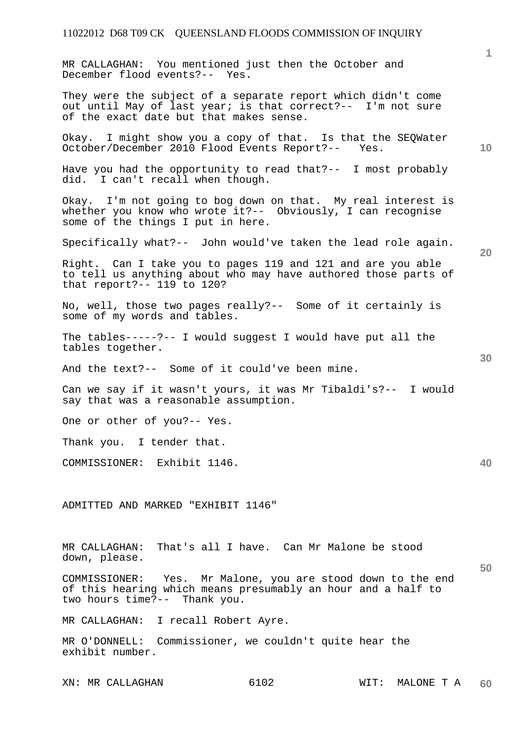MR CALLAGHAN: You mentioned just then the October and December flood events?-- Yes.

They were the subject of a separate report which didn't come out until May of last year; is that correct?-- I'm not sure of the exact date but that makes sense.

Okay. I might show you a copy of that. Is that the SEQWater October/December 2010 Flood Events Report?-- Yes.

Have you had the opportunity to read that?-- I most probably did. I can't recall when though.

Okay. I'm not going to bog down on that. My real interest is whether you know who wrote it?-- Obviously, I can recognise some of the things I put in here.

Specifically what?-- John would've taken the lead role again.

Right. Can I take you to pages 119 and 121 and are you able to tell us anything about who may have authored those parts of that report?-- 119 to 120?

No, well, those two pages really?-- Some of it certainly is some of my words and tables.

The tables-----?-- I would suggest I would have put all the tables together.

And the text?-- Some of it could've been mine.

Can we say if it wasn't yours, it was Mr Tibaldi's?-- I would say that was a reasonable assumption.

One or other of you?-- Yes.

Thank you. I tender that.

COMMISSIONER: Exhibit 1146.

ADMITTED AND MARKED "EXHIBIT 1146"

MR CALLAGHAN: That's all I have. Can Mr Malone be stood down, please.

COMMISSIONER: Yes. Mr Malone, you are stood down to the end of this hearing which means presumably an hour and a half to two hours time?-- Thank you.

MR CALLAGHAN: I recall Robert Ayre.

MR O'DONNELL: Commissioner, we couldn't quite hear the exhibit number.

**10** 

**20** 

**40**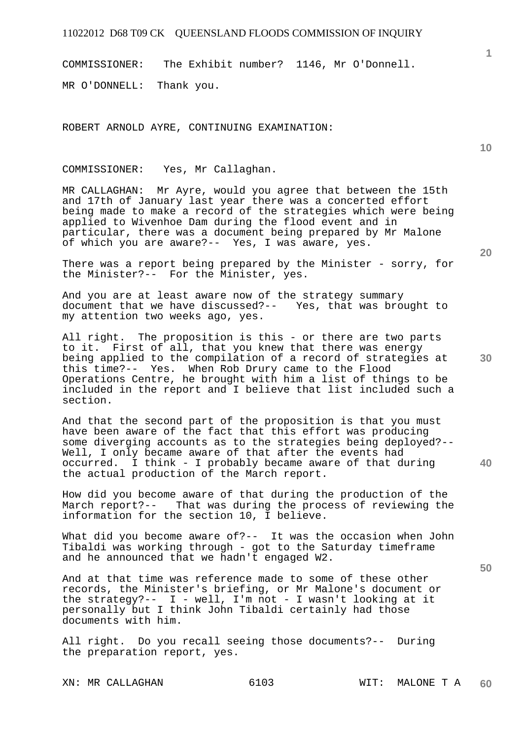COMMISSIONER: The Exhibit number? 1146, Mr O'Donnell. MR O'DONNELL: Thank you.

ROBERT ARNOLD AYRE, CONTINUING EXAMINATION:

COMMISSIONER: Yes, Mr Callaghan.

MR CALLAGHAN: Mr Ayre, would you agree that between the 15th and 17th of January last year there was a concerted effort being made to make a record of the strategies which were being applied to Wivenhoe Dam during the flood event and in particular, there was a document being prepared by Mr Malone of which you are aware?-- Yes, I was aware, yes.

There was a report being prepared by the Minister - sorry, for the Minister?-- For the Minister, yes.

And you are at least aware now of the strategy summary document that we have discussed?-- Yes, that was brought to my attention two weeks ago, yes.

All right. The proposition is this - or there are two parts to it. First of all, that you knew that there was energy being applied to the compilation of a record of strategies at this time?-- Yes. When Rob Drury came to the Flood Operations Centre, he brought with him a list of things to be included in the report and I believe that list included such a section.

And that the second part of the proposition is that you must have been aware of the fact that this effort was producing some diverging accounts as to the strategies being deployed?-- Well, I only became aware of that after the events had occurred. I think - I probably became aware of that during the actual production of the March report.

How did you become aware of that during the production of the March report?-- That was during the process of reviewing the information for the section 10, I believe.

What did you become aware of?-- It was the occasion when John Tibaldi was working through - got to the Saturday timeframe and he announced that we hadn't engaged W2.

And at that time was reference made to some of these other records, the Minister's briefing, or Mr Malone's document or the strategy?-- I - well, I'm not - I wasn't looking at it personally but I think John Tibaldi certainly had those documents with him.

All right. Do you recall seeing those documents?-- During the preparation report, yes.

XN: MR CALLAGHAN 6103 WIT: MALONE T A

**20** 

**10** 

**40** 

**30** 

**50**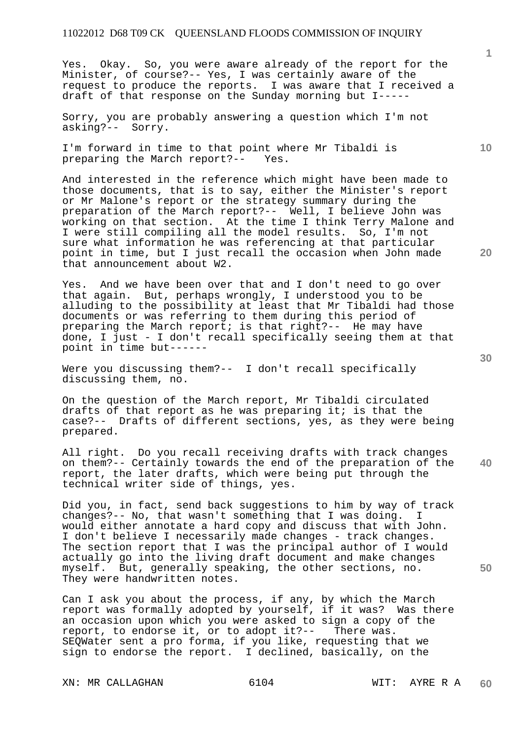Yes. Okay. So, you were aware already of the report for the Minister, of course?-- Yes, I was certainly aware of the request to produce the reports. I was aware that I received a draft of that response on the Sunday morning but I-----

Sorry, you are probably answering a question which I'm not asking?-- Sorry.

I'm forward in time to that point where Mr Tibaldi is preparing the March report?-- Yes.

And interested in the reference which might have been made to those documents, that is to say, either the Minister's report or Mr Malone's report or the strategy summary during the preparation of the March report?-- Well, I believe John was working on that section. At the time I think Terry Malone and I were still compiling all the model results. So, I'm not sure what information he was referencing at that particular point in time, but I just recall the occasion when John made that announcement about W2.

Yes. And we have been over that and I don't need to go over that again. But, perhaps wrongly, I understood you to be alluding to the possibility at least that Mr Tibaldi had those documents or was referring to them during this period of preparing the March report; is that right?-- He may have done, I just - I don't recall specifically seeing them at that point in time but------

Were you discussing them?-- I don't recall specifically discussing them, no.

On the question of the March report, Mr Tibaldi circulated drafts of that report as he was preparing it; is that the case?-- Drafts of different sections, yes, as they were being prepared.

**40**  All right. Do you recall receiving drafts with track changes on them?-- Certainly towards the end of the preparation of the report, the later drafts, which were being put through the technical writer side of things, yes.

Did you, in fact, send back suggestions to him by way of track changes?-- No, that wasn't something that I was doing. I would either annotate a hard copy and discuss that with John. I don't believe I necessarily made changes - track changes. The section report that I was the principal author of I would actually go into the living draft document and make changes myself. But, generally speaking, the other sections, no. They were handwritten notes.

Can I ask you about the process, if any, by which the March report was formally adopted by yourself, if it was? Was there an occasion upon which you were asked to sign a copy of the report, to endorse it, or to adopt it?-- There was. SEQWater sent a pro forma, if you like, requesting that we sign to endorse the report. I declined, basically, on the

XN: MR CALLAGHAN 6104 6104 WIT: AYRE R A

**10** 

**1**

**20**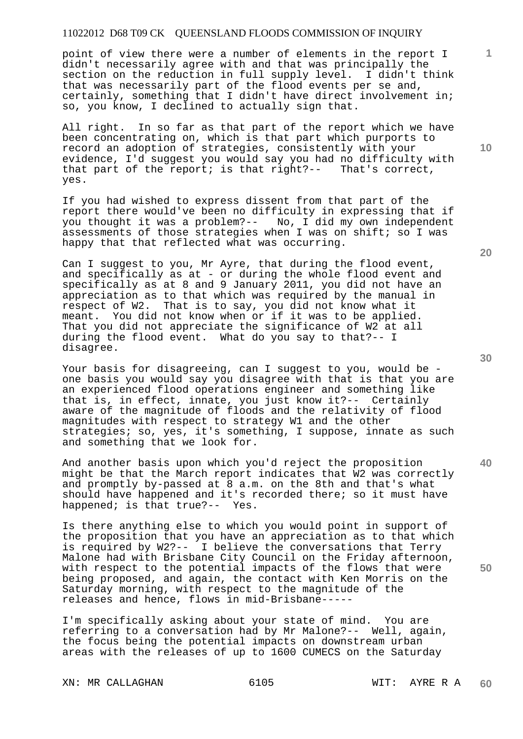point of view there were a number of elements in the report I didn't necessarily agree with and that was principally the section on the reduction in full supply level. I didn't think that was necessarily part of the flood events per se and, certainly, something that I didn't have direct involvement in; so, you know, I declined to actually sign that.

All right. In so far as that part of the report which we have been concentrating on, which is that part which purports to record an adoption of strategies, consistently with your evidence, I'd suggest you would say you had no difficulty with that part of the report; is that right?-- That's correct, yes.

If you had wished to express dissent from that part of the report there would've been no difficulty in expressing that if you thought it was a problem?-- No, I did my own independent assessments of those strategies when I was on shift; so I was happy that that reflected what was occurring.

Can I suggest to you, Mr Ayre, that during the flood event, and specifically as at - or during the whole flood event and specifically as at 8 and 9 January 2011, you did not have an appreciation as to that which was required by the manual in respect of W2. That is to say, you did not know what it meant. You did not know when or if it was to be applied. That you did not appreciate the significance of W2 at all during the flood event. What do you say to that?-- I disagree.

Your basis for disagreeing, can I suggest to you, would be one basis you would say you disagree with that is that you are an experienced flood operations engineer and something like that is, in effect, innate, you just know it?-- Certainly aware of the magnitude of floods and the relativity of flood magnitudes with respect to strategy W1 and the other strategies; so, yes, it's something, I suppose, innate as such and something that we look for.

And another basis upon which you'd reject the proposition might be that the March report indicates that W2 was correctly and promptly by-passed at 8 a.m. on the 8th and that's what should have happened and it's recorded there; so it must have happened; is that true?-- Yes.

Is there anything else to which you would point in support of the proposition that you have an appreciation as to that which is required by W2?-- I believe the conversations that Terry Malone had with Brisbane City Council on the Friday afternoon, with respect to the potential impacts of the flows that were being proposed, and again, the contact with Ken Morris on the Saturday morning, with respect to the magnitude of the releases and hence, flows in mid-Brisbane-----

I'm specifically asking about your state of mind. You are referring to a conversation had by Mr Malone?-- Well, again, the focus being the potential impacts on downstream urban areas with the releases of up to 1600 CUMECS on the Saturday

XN: MR CALLAGHAN 6105 6105 WIT: AYRE R A

**20** 

**1**

**10** 

**30** 

**50**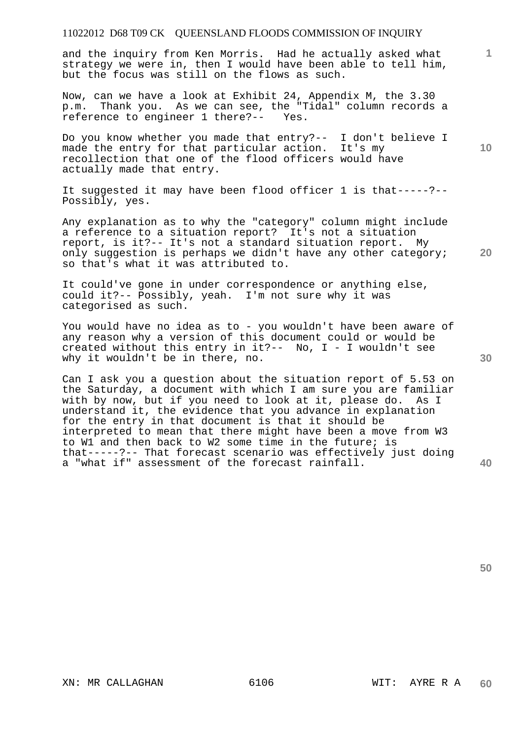and the inquiry from Ken Morris. Had he actually asked what strategy we were in, then I would have been able to tell him, but the focus was still on the flows as such.

Now, can we have a look at Exhibit 24, Appendix M, the 3.30 p.m. Thank you. As we can see, the "Tidal" column records a reference to engineer 1 there?-- Yes.

Do you know whether you made that entry?-- I don't believe I made the entry for that particular action. It's my recollection that one of the flood officers would have actually made that entry.

It suggested it may have been flood officer 1 is that-----?-- Possibly, yes.

Any explanation as to why the "category" column might include a reference to a situation report? It's not a situation report, is it?-- It's not a standard situation report. My only suggestion is perhaps we didn't have any other category; so that's what it was attributed to.

It could've gone in under correspondence or anything else, could it?-- Possibly, yeah. I'm not sure why it was categorised as such.

You would have no idea as to - you wouldn't have been aware of any reason why a version of this document could or would be created without this entry in it?-- No, I - I wouldn't see why it wouldn't be in there, no.

Can I ask you a question about the situation report of 5.53 on the Saturday, a document with which I am sure you are familiar with by now, but if you need to look at it, please do. As I understand it, the evidence that you advance in explanation for the entry in that document is that it should be interpreted to mean that there might have been a move from W3 to W1 and then back to W2 some time in the future; is that-----?-- That forecast scenario was effectively just doing a "what if" assessment of the forecast rainfall.

**30** 

**40** 

**50** 

**1**

**10**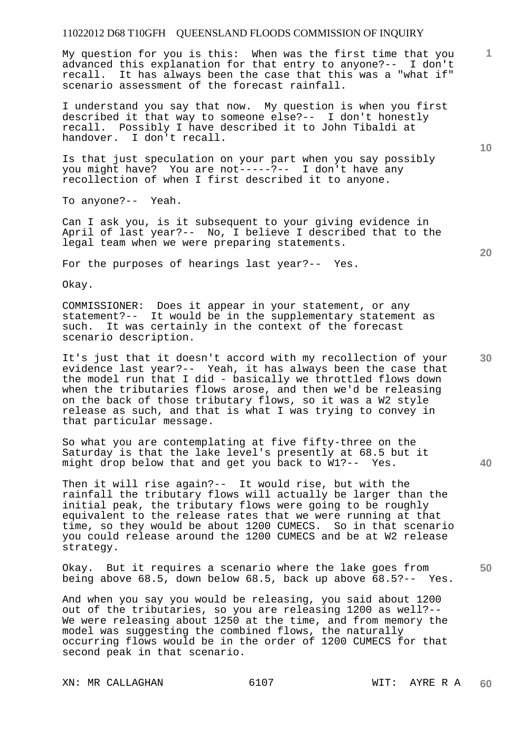My question for you is this: When was the first time that you advanced this explanation for that entry to anyone?-- I don't recall. It has always been the case that this was a "what if" scenario assessment of the forecast rainfall.

I understand you say that now. My question is when you first described it that way to someone else?-- I don't honestly recall. Possibly I have described it to John Tibaldi at handover. I don't recall.

Is that just speculation on your part when you say possibly you might have? You are not-----?-- I don't have any recollection of when I first described it to anyone.

To anyone?-- Yeah.

Can I ask you, is it subsequent to your giving evidence in April of last year?-- No, I believe I described that to the legal team when we were preparing statements.

For the purposes of hearings last year?-- Yes.

Okay.

COMMISSIONER: Does it appear in your statement, or any statement?-- It would be in the supplementary statement as such. It was certainly in the context of the forecast scenario description.

It's just that it doesn't accord with my recollection of your evidence last year?-- Yeah, it has always been the case that the model run that I did - basically we throttled flows down when the tributaries flows arose, and then we'd be releasing on the back of those tributary flows, so it was a W2 style release as such, and that is what I was trying to convey in that particular message.

So what you are contemplating at five fifty-three on the Saturday is that the lake level's presently at 68.5 but it might drop below that and get you back to W1?-- Yes.

Then it will rise again?-- It would rise, but with the rainfall the tributary flows will actually be larger than the initial peak, the tributary flows were going to be roughly equivalent to the release rates that we were running at that time, so they would be about 1200 CUMECS. So in that scenario you could release around the 1200 CUMECS and be at W2 release strategy.

Okay. But it requires a scenario where the lake goes from being above 68.5, down below 68.5, back up above 68.5?-- Yes.

And when you say you would be releasing, you said about 1200 out of the tributaries, so you are releasing 1200 as well?-- We were releasing about 1250 at the time, and from memory the model was suggesting the combined flows, the naturally occurring flows would be in the order of 1200 CUMECS for that second peak in that scenario.

XN: MR CALLAGHAN 6107 6107 WIT: AYRE R A

**10** 

**20** 

**1**

**30** 

**40**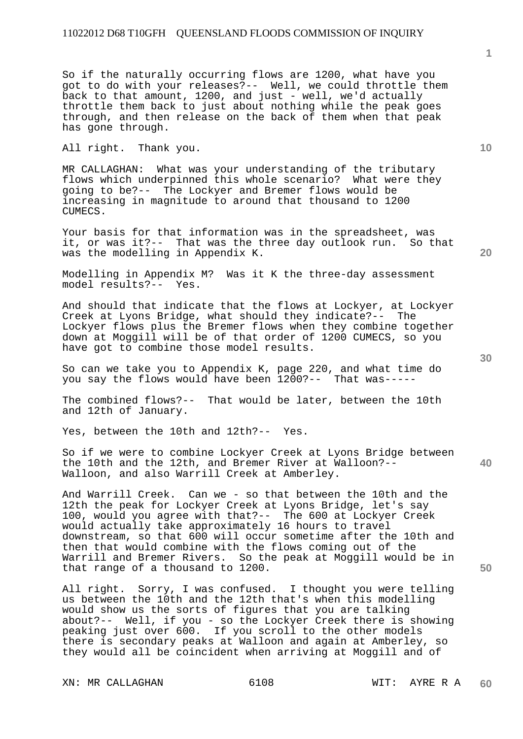So if the naturally occurring flows are 1200, what have you got to do with your releases?-- Well, we could throttle them back to that amount, 1200, and just - well, we'd actually throttle them back to just about nothing while the peak goes through, and then release on the back of them when that peak has gone through.

All right. Thank you.

MR CALLAGHAN: What was your understanding of the tributary flows which underpinned this whole scenario? What were they going to be?-- The Lockyer and Bremer flows would be increasing in magnitude to around that thousand to 1200 CUMECS.

Your basis for that information was in the spreadsheet, was it, or was it?-- That was the three day outlook run. So that was the modelling in Appendix K.

Modelling in Appendix M? Was it K the three-day assessment model results?-- Yes.

And should that indicate that the flows at Lockyer, at Lockyer Creek at Lyons Bridge, what should they indicate?-- The Lockyer flows plus the Bremer flows when they combine together down at Moggill will be of that order of 1200 CUMECS, so you have got to combine those model results.

So can we take you to Appendix K, page 220, and what time do you say the flows would have been 1200?-- That was-----

The combined flows?-- That would be later, between the 10th and 12th of January.

Yes, between the 10th and 12th?-- Yes.

**40**  So if we were to combine Lockyer Creek at Lyons Bridge between the 10th and the 12th, and Bremer River at Walloon?-- Walloon, and also Warrill Creek at Amberley.

And Warrill Creek. Can we - so that between the 10th and the 12th the peak for Lockyer Creek at Lyons Bridge, let's say 100, would you agree with that?-- The 600 at Lockyer Creek would actually take approximately 16 hours to travel downstream, so that 600 will occur sometime after the 10th and then that would combine with the flows coming out of the Warrill and Bremer Rivers. So the peak at Moggill would be in that range of a thousand to 1200.

All right. Sorry, I was confused. I thought you were telling us between the 10th and the 12th that's when this modelling would show us the sorts of figures that you are talking about?-- Well, if you - so the Lockyer Creek there is showing peaking just over 600. If you scroll to the other models there is secondary peaks at Walloon and again at Amberley, so they would all be coincident when arriving at Moggill and of

XN: MR CALLAGHAN 6108 WIT: AYRE R A

**1**

**30** 

**50**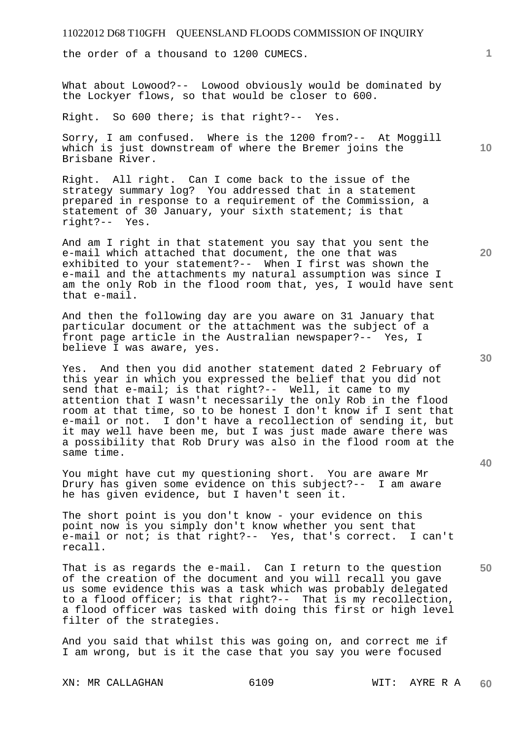the order of a thousand to 1200 CUMECS.

What about Lowood?-- Lowood obviously would be dominated by the Lockyer flows, so that would be closer to 600.

Right. So 600 there; is that right?-- Yes.

Sorry, I am confused. Where is the 1200 from?-- At Moggill which is just downstream of where the Bremer joins the Brisbane River.

Right. All right. Can I come back to the issue of the strategy summary log? You addressed that in a statement prepared in response to a requirement of the Commission, a statement of 30 January, your sixth statement; is that right?-- Yes.

And am I right in that statement you say that you sent the e-mail which attached that document, the one that was exhibited to your statement?-- When I first was shown the e-mail and the attachments my natural assumption was since I am the only Rob in the flood room that, yes, I would have sent that e-mail.

And then the following day are you aware on 31 January that particular document or the attachment was the subject of a front page article in the Australian newspaper?-- Yes, I believe I was aware, yes.

Yes. And then you did another statement dated 2 February of this year in which you expressed the belief that you did not send that e-mail; is that right?-- Well, it came to my attention that I wasn't necessarily the only Rob in the flood room at that time, so to be honest I don't know if I sent that e-mail or not. I don't have a recollection of sending it, but it may well have been me, but I was just made aware there was a possibility that Rob Drury was also in the flood room at the same time.

You might have cut my questioning short. You are aware Mr Drury has given some evidence on this subject?-- I am aware he has given evidence, but I haven't seen it.

The short point is you don't know - your evidence on this point now is you simply don't know whether you sent that e-mail or not; is that right?-- Yes, that's correct. I can't recall.

That is as regards the e-mail. Can I return to the question of the creation of the document and you will recall you gave us some evidence this was a task which was probably delegated to a flood officer; is that right?-- That is my recollection, a flood officer was tasked with doing this first or high level filter of the strategies.

And you said that whilst this was going on, and correct me if I am wrong, but is it the case that you say you were focused

XN: MR CALLAGHAN 6109 6109 WIT: AYRE R A

**20** 

**40** 

**50** 

**30** 

**10**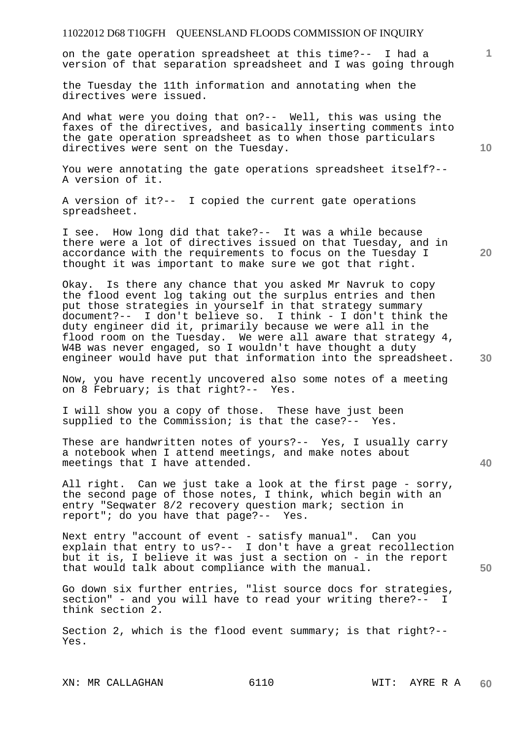on the gate operation spreadsheet at this time?-- I had a version of that separation spreadsheet and I was going through

the Tuesday the 11th information and annotating when the directives were issued.

And what were you doing that on?-- Well, this was using the faxes of the directives, and basically inserting comments into the gate operation spreadsheet as to when those particulars directives were sent on the Tuesday.

You were annotating the gate operations spreadsheet itself?-- A version of it.

A version of it?-- I copied the current gate operations spreadsheet.

I see. How long did that take?-- It was a while because there were a lot of directives issued on that Tuesday, and in accordance with the requirements to focus on the Tuesday I thought it was important to make sure we got that right.

Okay. Is there any chance that you asked Mr Navruk to copy the flood event log taking out the surplus entries and then put those strategies in yourself in that strategy summary document?-- I don't believe so. I think - I don't think the duty engineer did it, primarily because we were all in the flood room on the Tuesday. We were all aware that strategy 4, W4B was never engaged, so I wouldn't have thought a duty engineer would have put that information into the spreadsheet.

Now, you have recently uncovered also some notes of a meeting on 8 February; is that right?-- Yes.

I will show you a copy of those. These have just been supplied to the Commission; is that the case?-- Yes.

These are handwritten notes of yours?-- Yes, I usually carry a notebook when I attend meetings, and make notes about meetings that I have attended.

All right. Can we just take a look at the first page - sorry, the second page of those notes, I think, which begin with an entry "Seqwater 8/2 recovery question mark; section in report"; do you have that page?-- Yes.

Next entry "account of event - satisfy manual". Can you explain that entry to us?-- I don't have a great recollection but it is, I believe it was just a section on - in the report that would talk about compliance with the manual.

Go down six further entries, "list source docs for strategies, section" - and you will have to read your writing there?-- I think section 2.

Section 2, which is the flood event summary; is that right?-- Yes.

XN: MR CALLAGHAN 6110 WIT: AYRE R A

**10** 

**20** 

**1**

**40** 

**50**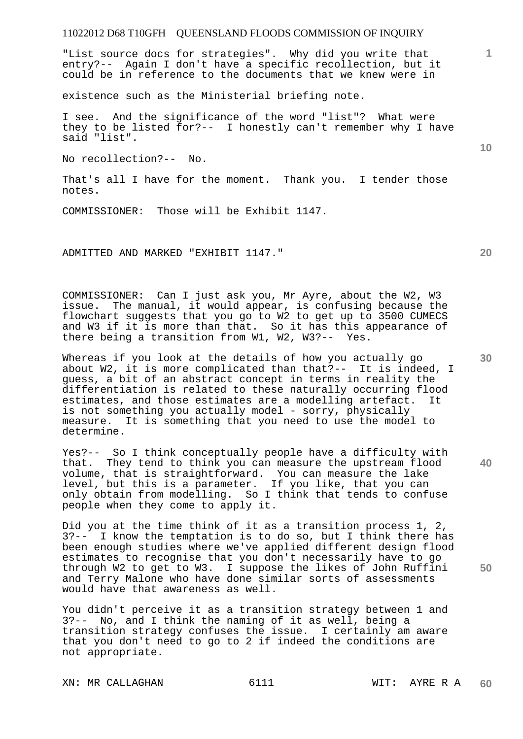"List source docs for strategies". Why did you write that entry?-- Again I don't have a specific recollection, but it could be in reference to the documents that we knew were in

existence such as the Ministerial briefing note.

I see. And the significance of the word "list"? What were they to be listed for?-- I honestly can't remember why I have said "list".

No recollection?-- No.

That's all I have for the moment. Thank you. I tender those notes.

COMMISSIONER: Those will be Exhibit 1147.

ADMITTED AND MARKED "EXHIBIT 1147."

COMMISSIONER: Can I just ask you, Mr Ayre, about the W2, W3 issue. The manual, it would appear, is confusing because the flowchart suggests that you go to W2 to get up to 3500 CUMECS and W3 if it is more than that. So it has this appearance of there being a transition from W1, W2, W3?-- Yes.

Whereas if you look at the details of how you actually go about W2, it is more complicated than that?-- It is indeed, I guess, a bit of an abstract concept in terms in reality the differentiation is related to these naturally occurring flood estimates, and those estimates are a modelling artefact. It is not something you actually model - sorry, physically measure. It is something that you need to use the model to determine.

Yes?-- So I think conceptually people have a difficulty with that. They tend to think you can measure the upstream flood volume, that is straightforward. You can measure the lake level, but this is a parameter. If you like, that you can only obtain from modelling. So I think that tends to confuse people when they come to apply it.

Did you at the time think of it as a transition process 1, 2, 3?-- I know the temptation is to do so, but I think there has been enough studies where we've applied different design flood estimates to recognise that you don't necessarily have to go through W2 to get to W3. I suppose the likes of John Ruffini and Terry Malone who have done similar sorts of assessments would have that awareness as well.

You didn't perceive it as a transition strategy between 1 and  $3?---$  No, and I think the naming of it as well, being a transition strategy confuses the issue. I certainly am aware that you don't need to go to 2 if indeed the conditions are not appropriate.

**20** 

**1**

**10** 

**30**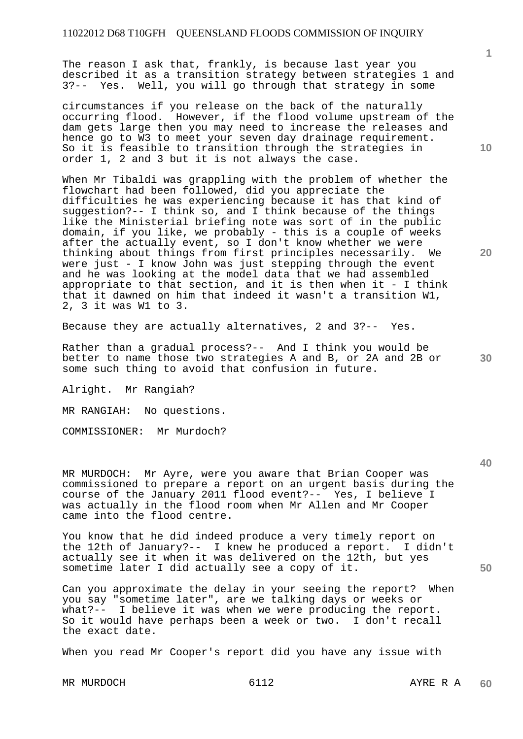The reason I ask that, frankly, is because last year you described it as a transition strategy between strategies 1 and 3?-- Yes. Well, you will go through that strategy in some

circumstances if you release on the back of the naturally occurring flood. However, if the flood volume upstream of the dam gets large then you may need to increase the releases and hence go to W3 to meet your seven day drainage requirement. So it is feasible to transition through the strategies in order 1, 2 and 3 but it is not always the case.

When Mr Tibaldi was grappling with the problem of whether the flowchart had been followed, did you appreciate the difficulties he was experiencing because it has that kind of suggestion?-- I think so, and I think because of the things like the Ministerial briefing note was sort of in the public domain, if you like, we probably - this is a couple of weeks after the actually event, so I don't know whether we were<br>thinking about things from first principles necessarily. We thinking about things from first principles necessarily. were just - I know John was just stepping through the event and he was looking at the model data that we had assembled appropriate to that section, and it is then when it - I think that it dawned on him that indeed it wasn't a transition W1, 2, 3 it was W1 to 3.

Because they are actually alternatives, 2 and 3?-- Yes.

Rather than a gradual process?-- And I think you would be better to name those two strategies A and B, or 2A and 2B or some such thing to avoid that confusion in future.

Alright. Mr Rangiah?

MR RANGIAH: No questions.

COMMISSIONER: Mr Murdoch?

MR MURDOCH: Mr Ayre, were you aware that Brian Cooper was commissioned to prepare a report on an urgent basis during the course of the January 2011 flood event?-- Yes, I believe I was actually in the flood room when Mr Allen and Mr Cooper came into the flood centre.

You know that he did indeed produce a very timely report on the 12th of January?-- I knew he produced a report. I didn't actually see it when it was delivered on the 12th, but yes sometime later I did actually see a copy of it.

Can you approximate the delay in your seeing the report? When you say "sometime later", are we talking days or weeks or what?-- I believe it was when we were producing the report. So it would have perhaps been a week or two. I don't recall the exact date.

When you read Mr Cooper's report did you have any issue with

MR MURDOCH 6112 6112 AYRE R A

**10** 

**1**

**20** 

**40** 

**50**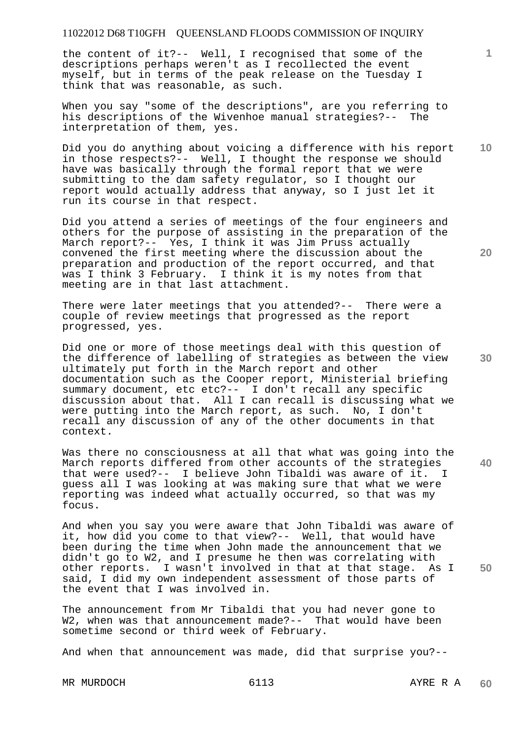the content of it?-- Well, I recognised that some of the descriptions perhaps weren't as I recollected the event myself, but in terms of the peak release on the Tuesday I think that was reasonable, as such.

When you say "some of the descriptions", are you referring to his descriptions of the Wivenhoe manual strategies?-- The interpretation of them, yes.

**10**  Did you do anything about voicing a difference with his report in those respects?-- Well, I thought the response we should have was basically through the formal report that we were submitting to the dam safety regulator, so I thought our report would actually address that anyway, so I just let it run its course in that respect.

Did you attend a series of meetings of the four engineers and others for the purpose of assisting in the preparation of the March report?-- Yes, I think it was Jim Pruss actually convened the first meeting where the discussion about the preparation and production of the report occurred, and that was I think 3 February. I think it is my notes from that meeting are in that last attachment.

There were later meetings that you attended?-- There were a couple of review meetings that progressed as the report progressed, yes.

Did one or more of those meetings deal with this question of the difference of labelling of strategies as between the view ultimately put forth in the March report and other documentation such as the Cooper report, Ministerial briefing summary document, etc etc?-- I don't recall any specific discussion about that. All I can recall is discussing what we were putting into the March report, as such. No, I don't recall any discussion of any of the other documents in that context.

Was there no consciousness at all that what was going into the March reports differed from other accounts of the strategies that were used?-- I believe John Tibaldi was aware of it. I guess all I was looking at was making sure that what we were reporting was indeed what actually occurred, so that was my focus.

And when you say you were aware that John Tibaldi was aware of it, how did you come to that view?-- Well, that would have been during the time when John made the announcement that we didn't go to W2, and I presume he then was correlating with other reports. I wasn't involved in that at that stage. As I said, I did my own independent assessment of those parts of the event that I was involved in.

The announcement from Mr Tibaldi that you had never gone to W2, when was that announcement made?-- That would have been sometime second or third week of February.

And when that announcement was made, did that surprise you?--

MR MURDOCH 6113 AYRE R A

**20** 

**1**

**30** 

**40**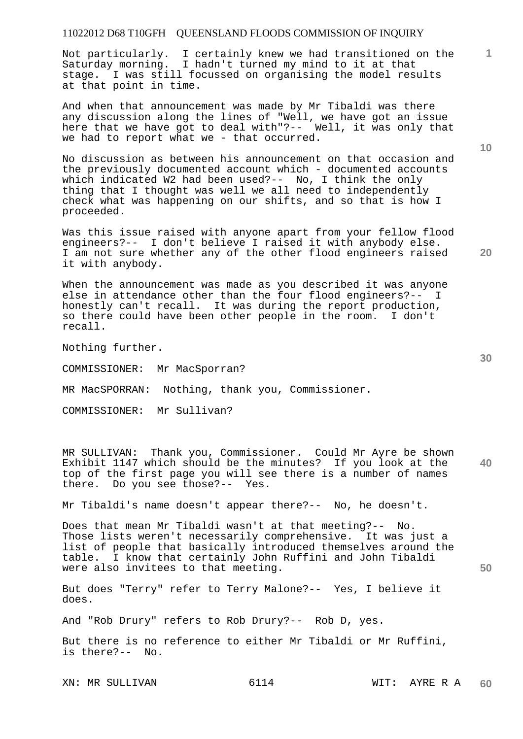Not particularly. I certainly knew we had transitioned on the Saturday morning. I hadn't turned my mind to it at that stage. I was still focussed on organising the model results at that point in time.

And when that announcement was made by Mr Tibaldi was there any discussion along the lines of "Well, we have got an issue here that we have got to deal with"?-- Well, it was only that we had to report what we - that occurred.

No discussion as between his announcement on that occasion and the previously documented account which - documented accounts which indicated W2 had been used?-- No, I think the only thing that I thought was well we all need to independently check what was happening on our shifts, and so that is how I proceeded.

Was this issue raised with anyone apart from your fellow flood engineers?-- I don't believe I raised it with anybody else. I am not sure whether any of the other flood engineers raised it with anybody.

When the announcement was made as you described it was anyone else in attendance other than the four flood engineers?-- I honestly can't recall. It was during the report production, so there could have been other people in the room. I don't recall.

Nothing further.

COMMISSIONER: Mr MacSporran?

MR MacSPORRAN: Nothing, thank you, Commissioner.

COMMISSIONER: Mr Sullivan?

**40**  MR SULLIVAN: Thank you, Commissioner. Could Mr Ayre be shown Exhibit 1147 which should be the minutes? If you look at the top of the first page you will see there is a number of names there. Do you see those?-- Yes.

Mr Tibaldi's name doesn't appear there?-- No, he doesn't.

Does that mean Mr Tibaldi wasn't at that meeting?-- No. Those lists weren't necessarily comprehensive. It was just a list of people that basically introduced themselves around the table. I know that certainly John Ruffini and John Tibaldi were also invitees to that meeting.

But does "Terry" refer to Terry Malone?-- Yes, I believe it does.

And "Rob Drury" refers to Rob Drury?-- Rob D, yes.

But there is no reference to either Mr Tibaldi or Mr Ruffini, is there?-- No.

**10** 

**1**

**30** 

**50**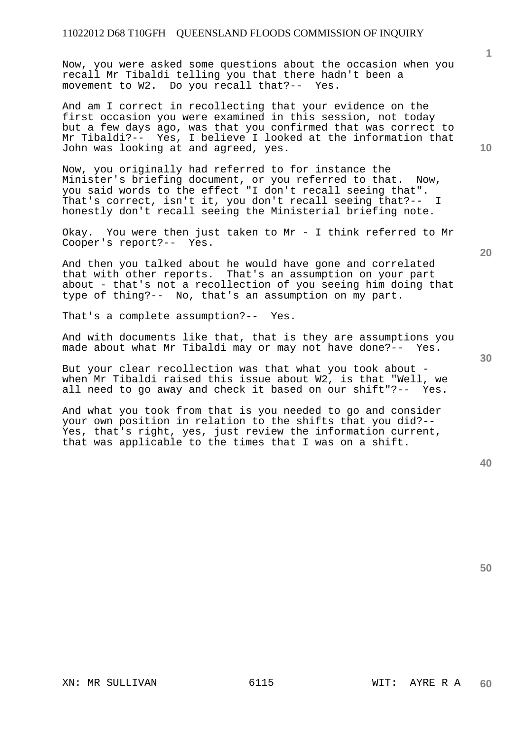Now, you were asked some questions about the occasion when you recall Mr Tibaldi telling you that there hadn't been a movement to W2. Do you recall that?-- Yes.

And am I correct in recollecting that your evidence on the first occasion you were examined in this session, not today but a few days ago, was that you confirmed that was correct to Mr Tibaldi?-- Yes, I believe I looked at the information that John was looking at and agreed, yes.

Now, you originally had referred to for instance the Minister's briefing document, or you referred to that. Now, you said words to the effect "I don't recall seeing that". That's correct, isn't it, you don't recall seeing that?-- I honestly don't recall seeing the Ministerial briefing note.

Okay. You were then just taken to Mr - I think referred to Mr Cooper's report?-- Yes.

And then you talked about he would have gone and correlated that with other reports. That's an assumption on your part about - that's not a recollection of you seeing him doing that type of thing?-- No, that's an assumption on my part.

That's a complete assumption?-- Yes.

And with documents like that, that is they are assumptions you made about what Mr Tibaldi may or may not have done?-- Yes.

But your clear recollection was that what you took about when Mr Tibaldi raised this issue about W2, is that "Well, we all need to go away and check it based on our shift"?-- Yes.

And what you took from that is you needed to go and consider your own position in relation to the shifts that you did?-- Yes, that's right, yes, just review the information current, that was applicable to the times that I was on a shift.

**40** 

**50** 

**10** 

**20** 

**1**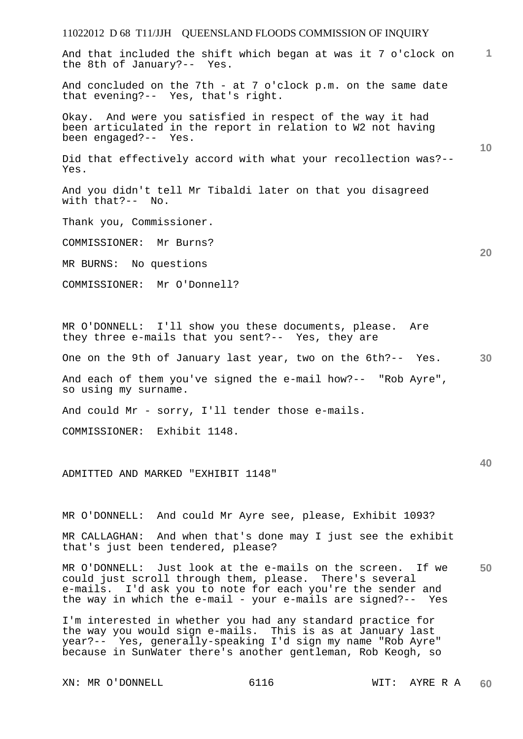# 11022012 D 68 T11/JJH QUEENSLAND FLOODS COMMISSION OF INQUIRY **1 10 20 30 40 50**  And that included the shift which began at was it 7 o'clock on the 8th of January?-- Yes. And concluded on the 7th - at 7 o'clock p.m. on the same date that evening?-- Yes, that's right. Okay. And were you satisfied in respect of the way it had been articulated in the report in relation to W2 not having been engaged?-- Yes. Did that effectively accord with what your recollection was?-- Yes. And you didn't tell Mr Tibaldi later on that you disagreed with that?-- No. Thank you, Commissioner. COMMISSIONER: Mr Burns? MR BURNS: No questions COMMISSIONER: Mr O'Donnell? MR O'DONNELL: I'll show you these documents, please. Are they three e-mails that you sent?-- Yes, they are One on the 9th of January last year, two on the 6th?-- Yes. And each of them you've signed the e-mail how?-- "Rob Ayre", so using my surname. And could Mr - sorry, I'll tender those e-mails. COMMISSIONER: Exhibit 1148. ADMITTED AND MARKED "EXHIBIT 1148" MR O'DONNELL: And could Mr Ayre see, please, Exhibit 1093? MR CALLAGHAN: And when that's done may I just see the exhibit that's just been tendered, please? MR O'DONNELL: Just look at the e-mails on the screen. If we could just scroll through them, please. There's several e-mails. I'd ask you to note for each you're the sender and the way in which the e-mail - your e-mails are signed?-- Yes I'm interested in whether you had any standard practice for the way you would sign e-mails. This is as at January last year?-- Yes, generally-speaking I'd sign my name "Rob Ayre"

XN: MR O'DONNELL 6116 WIT: AYRE R A

because in SunWater there's another gentleman, Rob Keogh, so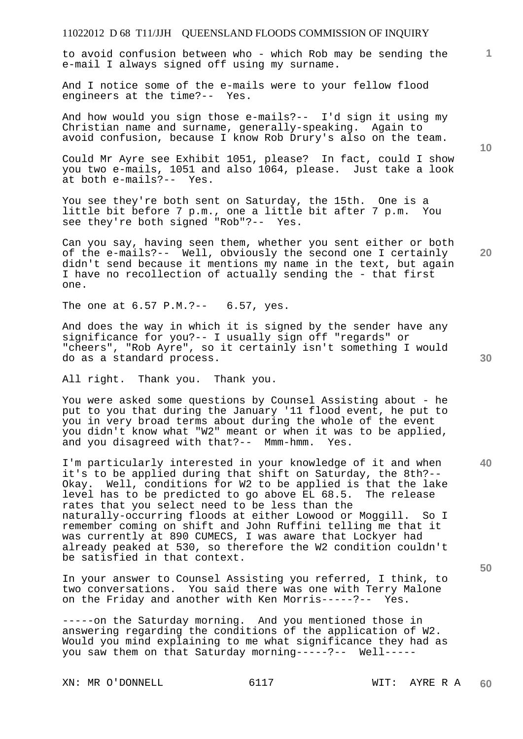to avoid confusion between who - which Rob may be sending the e-mail I always signed off using my surname.

And I notice some of the e-mails were to your fellow flood engineers at the time?-- Yes.

And how would you sign those e-mails?-- I'd sign it using my Christian name and surname, generally-speaking. Again to avoid confusion, because I know Rob Drury's also on the team.

Could Mr Ayre see Exhibit 1051, please? In fact, could I show you two e-mails, 1051 and also 1064, please. Just take a look at both e-mails?-- Yes.

You see they're both sent on Saturday, the 15th. One is a little bit before 7 p.m., one a little bit after 7 p.m. You see they're both signed "Rob"?-- Yes.

Can you say, having seen them, whether you sent either or both of the e-mails?-- Well, obviously the second one I certainly didn't send because it mentions my name in the text, but again I have no recollection of actually sending the - that first one.

The one at 6.57 P.M.?-- 6.57, yes.

And does the way in which it is signed by the sender have any significance for you?-- I usually sign off "regards" or "cheers", "Rob Ayre", so it certainly isn't something I would do as a standard process.

All right. Thank you. Thank you.

You were asked some questions by Counsel Assisting about - he put to you that during the January '11 flood event, he put to you in very broad terms about during the whole of the event you didn't know what "W2" meant or when it was to be applied, and you disagreed with that?-- Mmm-hmm. Yes.

I'm particularly interested in your knowledge of it and when it's to be applied during that shift on Saturday, the 8th?-- Okay. Well, conditions for W2 to be applied is that the lake level has to be predicted to go above EL 68.5. The release rates that you select need to be less than the naturally-occurring floods at either Lowood or Moggill. So I remember coming on shift and John Ruffini telling me that it was currently at 890 CUMECS, I was aware that Lockyer had already peaked at 530, so therefore the W2 condition couldn't be satisfied in that context.

In your answer to Counsel Assisting you referred, I think, to two conversations. You said there was one with Terry Malone on the Friday and another with Ken Morris-----?-- Yes.

-----on the Saturday morning. And you mentioned those in answering regarding the conditions of the application of W2. Would you mind explaining to me what significance they had as you saw them on that Saturday morning-----?-- Well-----

XN: MR O'DONNELL 6117 6117 WIT: AYRE R A

**10** 

**1**

**30** 

**20** 

**50**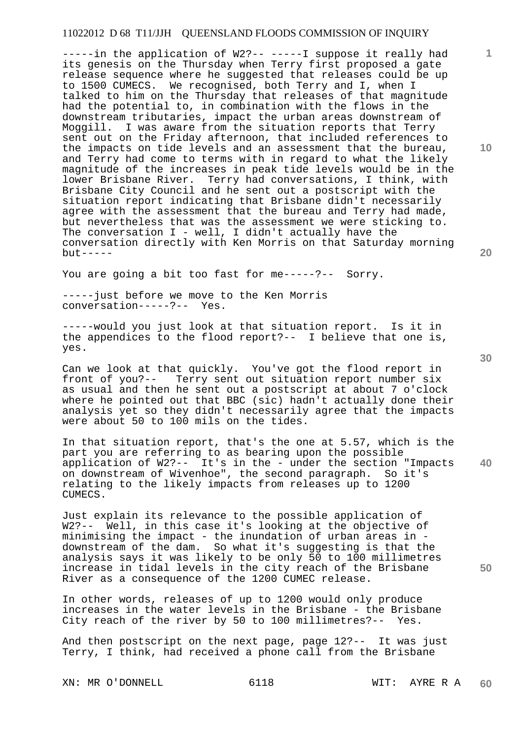-----in the application of W2?-- -----I suppose it really had its genesis on the Thursday when Terry first proposed a gate release sequence where he suggested that releases could be up to 1500 CUMECS. We recognised, both Terry and I, when I talked to him on the Thursday that releases of that magnitude had the potential to, in combination with the flows in the downstream tributaries, impact the urban areas downstream of Moggill. I was aware from the situation reports that Terry sent out on the Friday afternoon, that included references to the impacts on tide levels and an assessment that the bureau, and Terry had come to terms with in regard to what the likely magnitude of the increases in peak tide levels would be in the lower Brisbane River. Terry had conversations, I think, with Brisbane City Council and he sent out a postscript with the situation report indicating that Brisbane didn't necessarily agree with the assessment that the bureau and Terry had made, but nevertheless that was the assessment we were sticking to. The conversation  $I - well$ , I didn't actually have the conversation directly with Ken Morris on that Saturday morning but-----

You are going a bit too fast for me-----?-- Sorry.

-----just before we move to the Ken Morris conversation-----?-- Yes.

-----would you just look at that situation report. Is it in the appendices to the flood report?-- I believe that one is, yes.

Can we look at that quickly. You've got the flood report in front of you?-- Terry sent out situation report number six as usual and then he sent out a postscript at about 7 o'clock where he pointed out that BBC (sic) hadn't actually done their analysis yet so they didn't necessarily agree that the impacts were about 50 to 100 mils on the tides.

**40**  In that situation report, that's the one at 5.57, which is the part you are referring to as bearing upon the possible application of W2?-- It's in the - under the section "Impacts on downstream of Wivenhoe", the second paragraph. So it's relating to the likely impacts from releases up to 1200 CUMECS.

Just explain its relevance to the possible application of W2?-- Well, in this case it's looking at the objective of minimising the impact - the inundation of urban areas in downstream of the dam. So what it's suggesting is that the analysis says it was likely to be only 50 to 100 millimetres increase in tidal levels in the city reach of the Brisbane River as a consequence of the 1200 CUMEC release.

In other words, releases of up to 1200 would only produce increases in the water levels in the Brisbane - the Brisbane City reach of the river by 50 to 100 millimetres?-- Yes.

And then postscript on the next page, page 12?-- It was just Terry, I think, had received a phone call from the Brisbane

XN: MR O'DONNELL 6118 WIT: AYRE R A

**30** 

**20** 

**50** 

**10**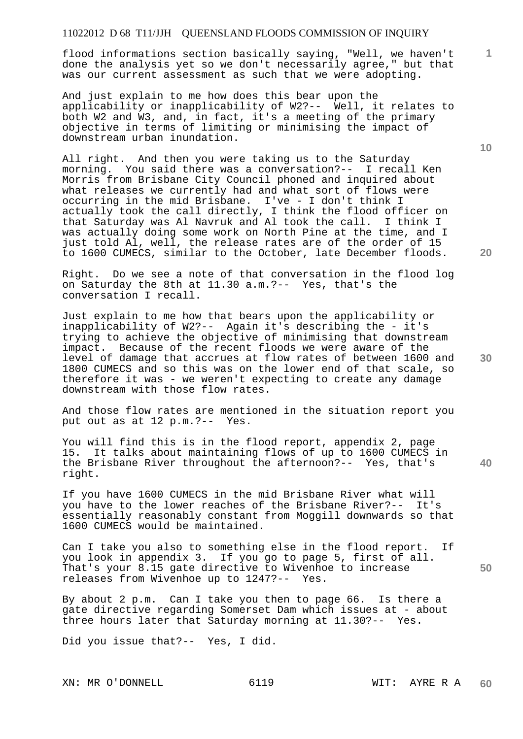flood informations section basically saying, "Well, we haven't done the analysis yet so we don't necessarily agree," but that was our current assessment as such that we were adopting.

And just explain to me how does this bear upon the applicability or inapplicability of W2?-- Well, it relates to both W2 and W3, and, in fact, it's a meeting of the primary objective in terms of limiting or minimising the impact of downstream urban inundation.

All right. And then you were taking us to the Saturday morning. You said there was a conversation?-- I recall Ken Morris from Brisbane City Council phoned and inquired about what releases we currently had and what sort of flows were occurring in the mid Brisbane. I've - I don't think I actually took the call directly, I think the flood officer on that Saturday was Al Navruk and Al took the call. I think I was actually doing some work on North Pine at the time, and I just told Al, well, the release rates are of the order of 15 to 1600 CUMECS, similar to the October, late December floods.

Right. Do we see a note of that conversation in the flood log on Saturday the 8th at 11.30 a.m.?-- Yes, that's the conversation I recall.

Just explain to me how that bears upon the applicability or inapplicability of W2?-- Again it's describing the - it's trying to achieve the objective of minimising that downstream impact. Because of the recent floods we were aware of the level of damage that accrues at flow rates of between 1600 and 1800 CUMECS and so this was on the lower end of that scale, so therefore it was - we weren't expecting to create any damage downstream with those flow rates.

And those flow rates are mentioned in the situation report you put out as at 12 p.m.?-- Yes.

You will find this is in the flood report, appendix 2, page 15. It talks about maintaining flows of up to 1600 CUMECS in the Brisbane River throughout the afternoon?-- Yes, that's right.

If you have 1600 CUMECS in the mid Brisbane River what will you have to the lower reaches of the Brisbane River?-- It's essentially reasonably constant from Moggill downwards so that 1600 CUMECS would be maintained.

Can I take you also to something else in the flood report. If you look in appendix 3. If you go to page 5, first of all. That's your 8.15 gate directive to Wivenhoe to increase releases from Wivenhoe up to 1247?-- Yes.

By about 2 p.m. Can I take you then to page 66. Is there a gate directive regarding Somerset Dam which issues at - about three hours later that Saturday morning at 11.30?-- Yes.

Did you issue that?-- Yes, I did.

XN: MR O'DONNELL 6119 WIT: AYRE R A

**10** 

**1**

**20** 

**30** 

**40**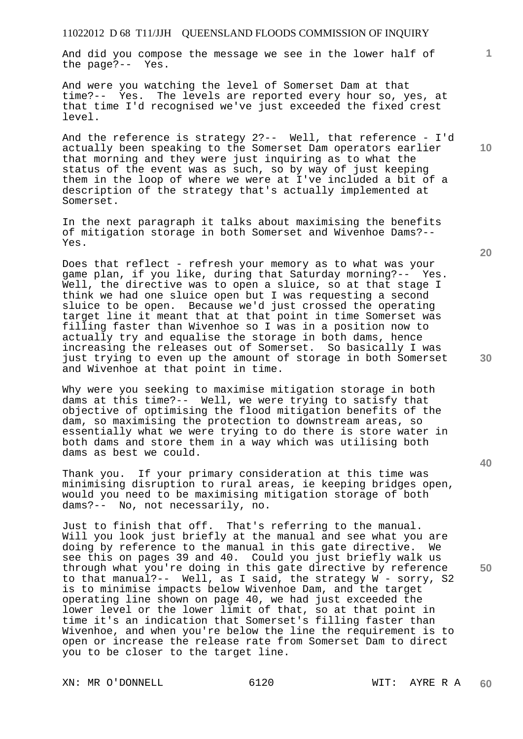And did you compose the message we see in the lower half of the page?-- Yes.

And were you watching the level of Somerset Dam at that time?-- Yes. The levels are reported every hour so, yes, at that time I'd recognised we've just exceeded the fixed crest level.

And the reference is strategy 2?-- Well, that reference - I'd actually been speaking to the Somerset Dam operators earlier that morning and they were just inquiring as to what the status of the event was as such, so by way of just keeping them in the loop of where we were at I've included a bit of a description of the strategy that's actually implemented at Somerset.

In the next paragraph it talks about maximising the benefits of mitigation storage in both Somerset and Wivenhoe Dams?-- Yes.

Does that reflect - refresh your memory as to what was your game plan, if you like, during that Saturday morning?-- Yes. Well, the directive was to open a sluice, so at that stage I think we had one sluice open but I was requesting a second sluice to be open. Because we'd just crossed the operating target line it meant that at that point in time Somerset was filling faster than Wivenhoe so I was in a position now to actually try and equalise the storage in both dams, hence increasing the releases out of Somerset. So basically I was just trying to even up the amount of storage in both Somerset and Wivenhoe at that point in time.

Why were you seeking to maximise mitigation storage in both dams at this time?-- Well, we were trying to satisfy that objective of optimising the flood mitigation benefits of the dam, so maximising the protection to downstream areas, so essentially what we were trying to do there is store water in both dams and store them in a way which was utilising both dams as best we could.

Thank you. If your primary consideration at this time was minimising disruption to rural areas, ie keeping bridges open, would you need to be maximising mitigation storage of both dams?-- No, not necessarily, no.

Just to finish that off. That's referring to the manual. Will you look just briefly at the manual and see what you are doing by reference to the manual in this gate directive. We see this on pages 39 and 40. Could you just briefly walk us through what you're doing in this gate directive by reference to that manual?-- Well, as I said, the strategy W - sorry, S2 is to minimise impacts below Wivenhoe Dam, and the target operating line shown on page 40, we had just exceeded the lower level or the lower limit of that, so at that point in time it's an indication that Somerset's filling faster than Wivenhoe, and when you're below the line the requirement is to open or increase the release rate from Somerset Dam to direct you to be closer to the target line.

**20** 

**40** 

**50** 

**10**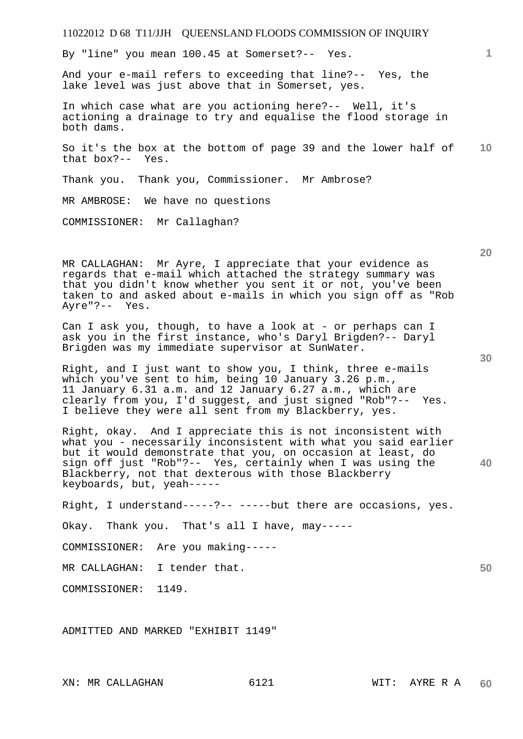By "line" you mean 100.45 at Somerset?-- Yes.

And your e-mail refers to exceeding that line?-- Yes, the lake level was just above that in Somerset, yes.

In which case what are you actioning here?-- Well, it's actioning a drainage to try and equalise the flood storage in both dams.

So it's the box at the bottom of page 39 and the lower half of 10 that box?-- Yes.

Thank you. Thank you, Commissioner. Mr Ambrose?

MR AMBROSE: We have no questions

COMMISSIONER: Mr Callaghan?

MR CALLAGHAN: Mr Ayre, I appreciate that your evidence as regards that e-mail which attached the strategy summary was that you didn't know whether you sent it or not, you've been taken to and asked about e-mails in which you sign off as "Rob Ayre"?-- Yes.

Can I ask you, though, to have a look at - or perhaps can I ask you in the first instance, who's Daryl Brigden?-- Daryl Brigden was my immediate supervisor at SunWater.

Right, and I just want to show you, I think, three e-mails which you've sent to him, being 10 January 3.26 p.m., 11 January 6.31 a.m. and 12 January 6.27 a.m., which are clearly from you, I'd suggest, and just signed "Rob"?-- Yes. I believe they were all sent from my Blackberry, yes.

**40**  Right, okay. And I appreciate this is not inconsistent with what you - necessarily inconsistent with what you said earlier but it would demonstrate that you, on occasion at least, do sign off just "Rob"?-- Yes, certainly when I was using the Blackberry, not that dexterous with those Blackberry keyboards, but, yeah-----

Right, I understand-----?-- -----but there are occasions, yes.

Okay. Thank you. That's all I have, may-----

COMMISSIONER: Are you making-----

MR CALLAGHAN: I tender that.

COMMISSIONER: 1149.

ADMITTED AND MARKED "EXHIBIT 1149"

**20** 

**1**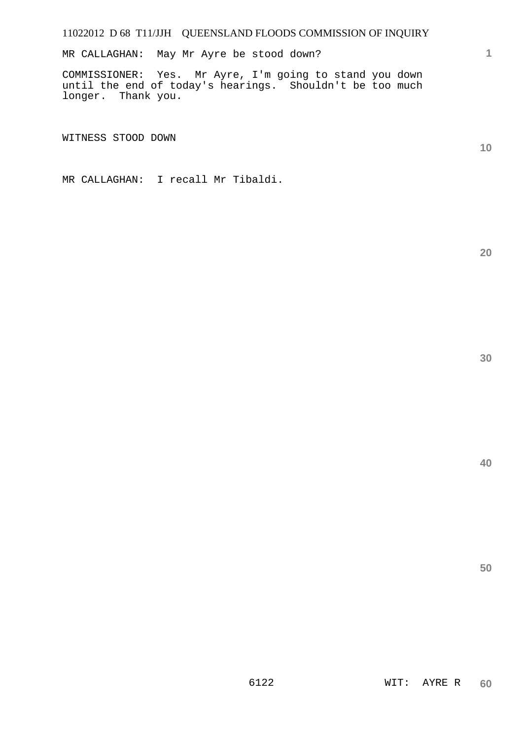MR CALLAGHAN: May Mr Ayre be stood down?

COMMISSIONER: Yes. Mr Ayre, I'm going to stand you down until the end of today's hearings. Shouldn't be too much longer. Thank you.

WITNESS STOOD DOWN

MR CALLAGHAN: I recall Mr Tibaldi.

**20** 

**1**

**10**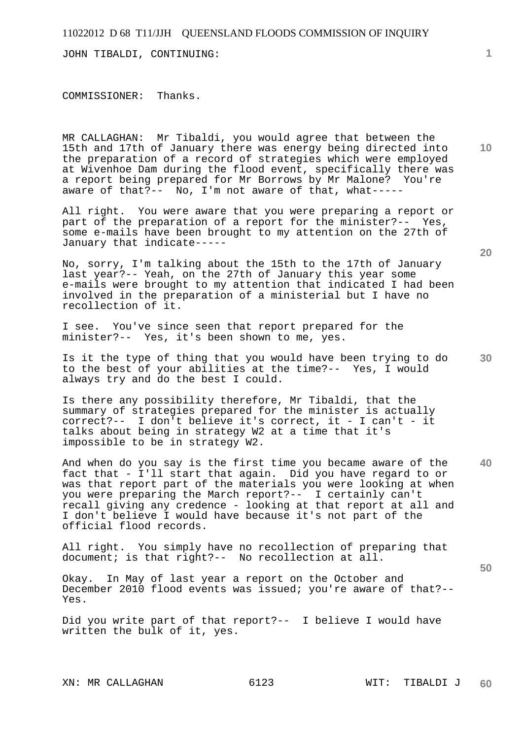JOHN TIBALDI, CONTINUING:

COMMISSIONER: Thanks.

MR CALLAGHAN: Mr Tibaldi, you would agree that between the 15th and 17th of January there was energy being directed into the preparation of a record of strategies which were employed at Wivenhoe Dam during the flood event, specifically there was a report being prepared for Mr Borrows by Mr Malone? You're aware of that?-- No, I'm not aware of that, what-----

All right. You were aware that you were preparing a report or part of the preparation of a report for the minister?-- Yes, some e-mails have been brought to my attention on the 27th of January that indicate-----

No, sorry, I'm talking about the 15th to the 17th of January last year?-- Yeah, on the 27th of January this year some e-mails were brought to my attention that indicated I had been involved in the preparation of a ministerial but I have no recollection of it.

I see. You've since seen that report prepared for the minister?-- Yes, it's been shown to me, yes.

Is it the type of thing that you would have been trying to do to the best of your abilities at the time?-- Yes, I would always try and do the best I could.

Is there any possibility therefore, Mr Tibaldi, that the summary of strategies prepared for the minister is actually correct?-- I don't believe it's correct, it - I can't - it talks about being in strategy W2 at a time that it's impossible to be in strategy W2.

**40**  And when do you say is the first time you became aware of the fact that - I'll start that again. Did you have regard to or was that report part of the materials you were looking at when you were preparing the March report?-- I certainly can't recall giving any credence - looking at that report at all and I don't believe I would have because it's not part of the official flood records.

All right. You simply have no recollection of preparing that document; is that right?-- No recollection at all.

Okay. In May of last year a report on the October and December 2010 flood events was issued; you're aware of that?-- Yes.

Did you write part of that report?-- I believe I would have written the bulk of it, yes.

**20** 

**10** 

**1**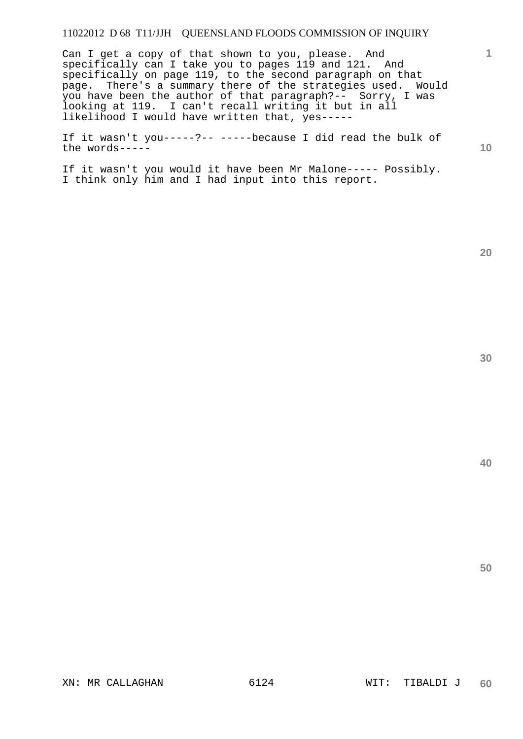Can I get a copy of that shown to you, please. And specifically can I take you to pages 119 and 121. And specifically on page 119, to the second paragraph on that page. There's a summary there of the strategies used. Would you have been the author of that paragraph?-- Sorry, I was looking at 119. I can't recall writing it but in all likelihood I would have written that, yes-----

If it wasn't you-----?-- -----because I did read the bulk of the words-----

If it wasn't you would it have been Mr Malone----- Possibly. I think only him and I had input into this report.

**20** 

**1**

**10** 

**40**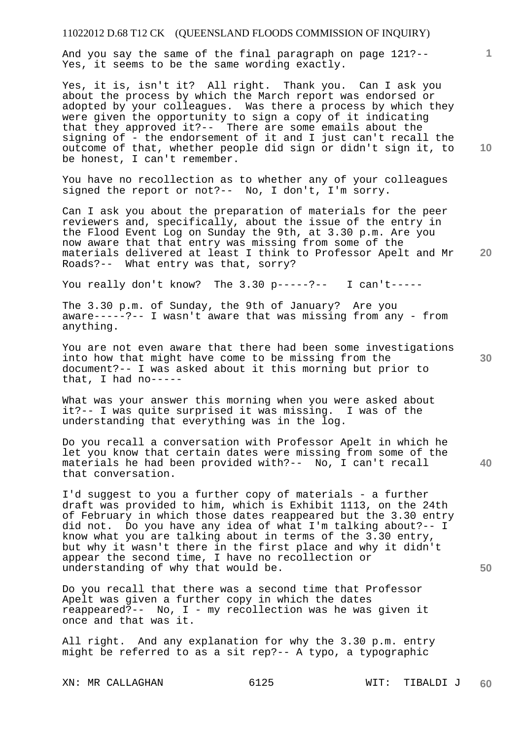And you say the same of the final paragraph on page 121?-- Yes, it seems to be the same wording exactly.

Yes, it is, isn't it? All right. Thank you. Can I ask you about the process by which the March report was endorsed or adopted by your colleagues. Was there a process by which they were given the opportunity to sign a copy of it indicating that they approved it?-- There are some emails about the signing of - the endorsement of it and I just can't recall the outcome of that, whether people did sign or didn't sign it, to be honest, I can't remember.

You have no recollection as to whether any of your colleagues signed the report or not?-- No, I don't, I'm sorry.

Can I ask you about the preparation of materials for the peer reviewers and, specifically, about the issue of the entry in the Flood Event Log on Sunday the 9th, at 3.30 p.m. Are you now aware that that entry was missing from some of the materials delivered at least I think to Professor Apelt and Mr Roads?-- What entry was that, sorry?

You really don't know? The 3.30 p-----?-- I can't-----

The 3.30 p.m. of Sunday, the 9th of January? Are you aware-----?-- I wasn't aware that was missing from any - from anything.

You are not even aware that there had been some investigations into how that might have come to be missing from the document?-- I was asked about it this morning but prior to that, I had no-----

What was your answer this morning when you were asked about it?-- I was quite surprised it was missing. I was of the understanding that everything was in the log.

Do you recall a conversation with Professor Apelt in which he let you know that certain dates were missing from some of the materials he had been provided with?-- No, I can't recall that conversation.

I'd suggest to you a further copy of materials - a further draft was provided to him, which is Exhibit 1113, on the 24th of February in which those dates reappeared but the 3.30 entry did not. Do you have any idea of what I'm talking about?-- I know what you are talking about in terms of the 3.30 entry, but why it wasn't there in the first place and why it didn't appear the second time, I have no recollection or understanding of why that would be.

Do you recall that there was a second time that Professor Apelt was given a further copy in which the dates reappeared?-- No, I - my recollection was he was given it once and that was it.

All right. And any explanation for why the 3.30 p.m. entry might be referred to as a sit rep?-- A typo, a typographic

XN: MR CALLAGHAN 6125 WIT: TIBALDI J

**10** 

**1**

**30** 

**20**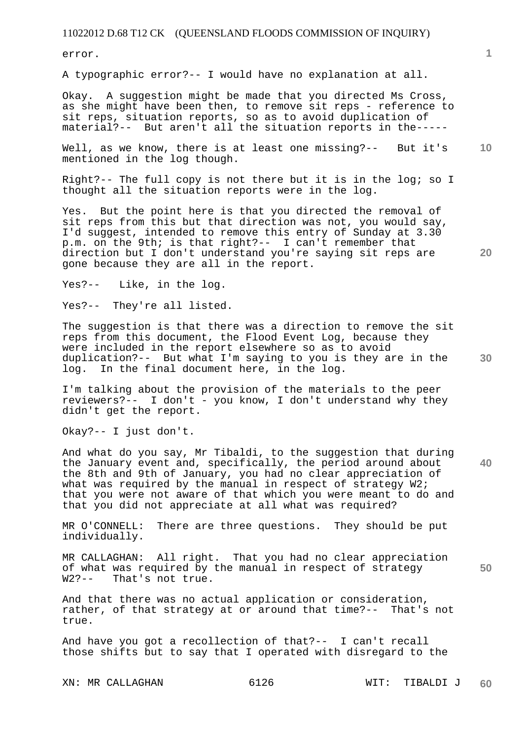error.

A typographic error?-- I would have no explanation at all.

Okay. A suggestion might be made that you directed Ms Cross, as she might have been then, to remove sit reps - reference to sit reps, situation reports, so as to avoid duplication of material?-- But aren't all the situation reports in the-----

**10**  Well, as we know, there is at least one missing?-- But it's mentioned in the log though.

Right?-- The full copy is not there but it is in the log; so I thought all the situation reports were in the log.

Yes. But the point here is that you directed the removal of sit reps from this but that direction was not, you would say, I'd suggest, intended to remove this entry of Sunday at 3.30 p.m. on the 9th; is that right?-- I can't remember that direction but I don't understand you're saying sit reps are gone because they are all in the report.

Yes?-- Like, in the log.

Yes?-- They're all listed.

The suggestion is that there was a direction to remove the sit reps from this document, the Flood Event Log, because they were included in the report elsewhere so as to avoid duplication?-- But what I'm saying to you is they are in the log. In the final document here, in the log.

I'm talking about the provision of the materials to the peer reviewers?-- I don't - you know, I don't understand why they didn't get the report.

Okay?-- I just don't.

And what do you say, Mr Tibaldi, to the suggestion that during the January event and, specifically, the period around about the 8th and 9th of January, you had no clear appreciation of what was required by the manual in respect of strategy W2; that you were not aware of that which you were meant to do and that you did not appreciate at all what was required?

MR O'CONNELL: There are three questions. They should be put individually.

MR CALLAGHAN: All right. That you had no clear appreciation of what was required by the manual in respect of strategy W2?-- That's not true.

And that there was no actual application or consideration, rather, of that strategy at or around that time?-- That's not true.

And have you got a recollection of that?-- I can't recall those shifts but to say that I operated with disregard to the

**1**

**20** 

**30** 

**40**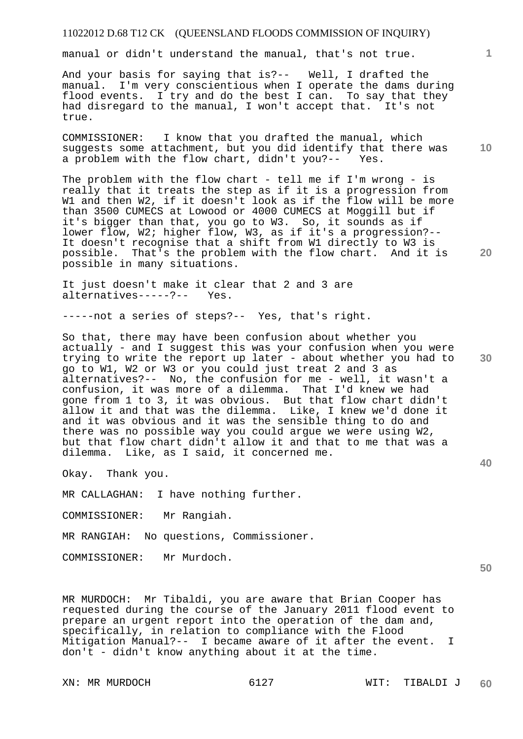manual or didn't understand the manual, that's not true.

And your basis for saying that is?-- Well, I drafted the manual. I'm very conscientious when I operate the dams during flood events. I try and do the best I can. To say that they had disregard to the manual, I won't accept that. It's not true.

**10**  COMMISSIONER: I know that you drafted the manual, which suggests some attachment, but you did identify that there was a problem with the flow chart, didn't you?-- Yes.

The problem with the flow chart - tell me if I'm wrong - is really that it treats the step as if it is a progression from W1 and then W2, if it doesn't look as if the flow will be more than 3500 CUMECS at Lowood or 4000 CUMECS at Moggill but if it's bigger than that, you go to W3. So, it sounds as if lower flow, W2; higher flow, W3, as if it's a progression?-- It doesn't recognise that a shift from W1 directly to W3 is possible. That's the problem with the flow chart. And it is possible in many situations.

It just doesn't make it clear that 2 and 3 are<br>alternatives-----?-- Yes. alternatives-----?--

-----not a series of steps?-- Yes, that's right.

**30**  So that, there may have been confusion about whether you actually - and I suggest this was your confusion when you were trying to write the report up later - about whether you had to go to W1, W2 or W3 or you could just treat 2 and 3 as alternatives?-- No, the confusion for me - well, it wasn't a confusion, it was more of a dilemma. That I'd knew we had gone from 1 to 3, it was obvious. But that flow chart didn't allow it and that was the dilemma. Like, I knew we'd done it and it was obvious and it was the sensible thing to do and there was no possible way you could argue we were using W2, but that flow chart didn't allow it and that to me that was a dilemma. Like, as I said, it concerned me.

Okay. Thank you.

MR CALLAGHAN: I have nothing further.

COMMISSIONER: Mr Rangiah.

MR RANGIAH: No questions, Commissioner.

COMMISSIONER: Mr Murdoch.

MR MURDOCH: Mr Tibaldi, you are aware that Brian Cooper has requested during the course of the January 2011 flood event to prepare an urgent report into the operation of the dam and, specifically, in relation to compliance with the Flood Mitigation Manual?-- I became aware of it after the event. I don't - didn't know anything about it at the time.

**1**

**20** 

**40**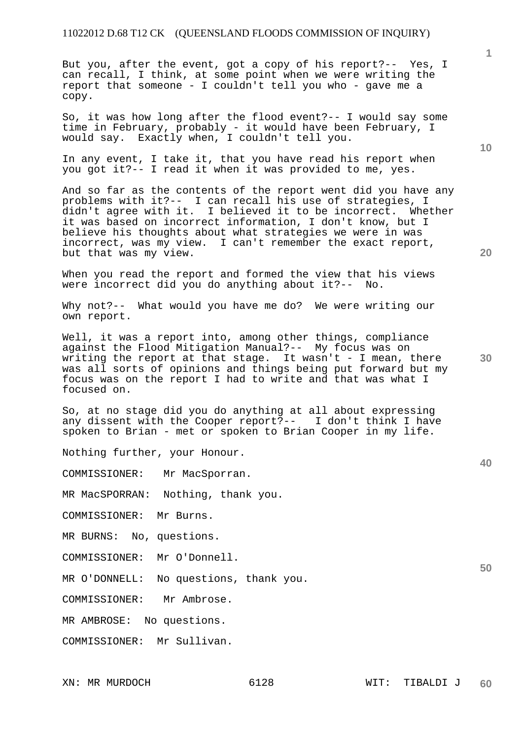But you, after the event, got a copy of his report?-- Yes, I can recall, I think, at some point when we were writing the report that someone - I couldn't tell you who - gave me a copy.

So, it was how long after the flood event?-- I would say some time in February, probably - it would have been February, I would say. Exactly when, I couldn't tell you.

In any event, I take it, that you have read his report when you got it?-- I read it when it was provided to me, yes.

And so far as the contents of the report went did you have any problems with it?-- I can recall his use of strategies, I didn't agree with it. I believed it to be incorrect. Whether it was based on incorrect information, I don't know, but I believe his thoughts about what strategies we were in was incorrect, was my view. I can't remember the exact report, but that was my view.

When you read the report and formed the view that his views were incorrect did you do anything about it?-- No.

Why not?-- What would you have me do? We were writing our own report.

Well, it was a report into, among other things, compliance against the Flood Mitigation Manual?-- My focus was on writing the report at that stage. It wasn't - I mean, there was all sorts of opinions and things being put forward but my focus was on the report I had to write and that was what I focused on.

So, at no stage did you do anything at all about expressing any dissent with the Cooper report?-- I don't think I have spoken to Brian - met or spoken to Brian Cooper in my life.

Nothing further, your Honour.

COMMISSIONER: Mr MacSporran.

MR MacSPORRAN: Nothing, thank you.

COMMISSIONER: Mr Burns.

MR BURNS: No, questions.

COMMISSIONER: Mr O'Donnell.

MR O'DONNELL: No questions, thank you.

COMMISSIONER: Mr Ambrose.

MR AMBROSE: No questions.

COMMISSIONER: Mr Sullivan.

**10** 

**1**

**30** 

**40**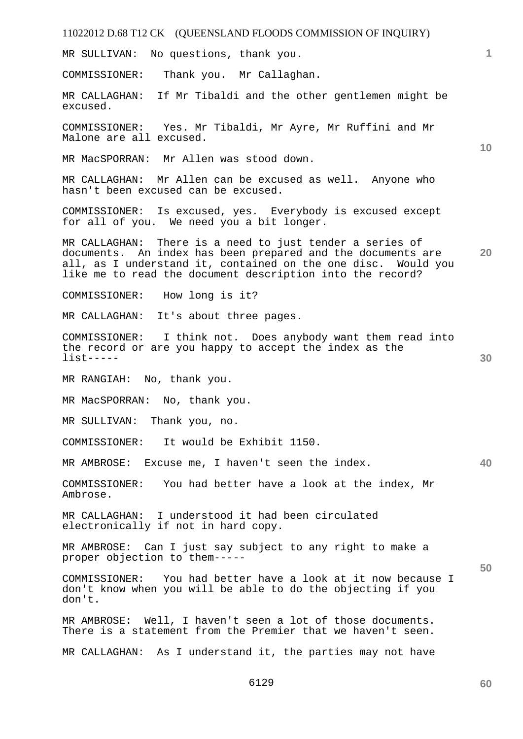MR SULLIVAN: No questions, thank you.

COMMISSIONER: Thank you. Mr Callaghan.

MR CALLAGHAN: If Mr Tibaldi and the other gentlemen might be excused.

COMMISSIONER: Yes. Mr Tibaldi, Mr Ayre, Mr Ruffini and Mr Malone are all excused.

MR MacSPORRAN: Mr Allen was stood down.

MR CALLAGHAN: Mr Allen can be excused as well. Anyone who hasn't been excused can be excused.

COMMISSIONER: Is excused, yes. Everybody is excused except for all of you. We need you a bit longer.

**20**  MR CALLAGHAN: There is a need to just tender a series of documents. An index has been prepared and the documents are all, as I understand it, contained on the one disc. Would you like me to read the document description into the record?

COMMISSIONER: How long is it?

MR CALLAGHAN: It's about three pages.

COMMISSIONER: I think not. Does anybody want them read into the record or are you happy to accept the index as the list-----

MR RANGIAH: No, thank you.

MR MacSPORRAN: No, thank you.

MR SULLIVAN: Thank you, no.

COMMISSIONER: It would be Exhibit 1150.

MR AMBROSE: Excuse me, I haven't seen the index.

COMMISSIONER: You had better have a look at the index, Mr Ambrose.

MR CALLAGHAN: I understood it had been circulated electronically if not in hard copy.

MR AMBROSE: Can I just say subject to any right to make a proper objection to them-----

COMMISSIONER: You had better have a look at it now because I don't know when you will be able to do the objecting if you don't.

MR AMBROSE: Well, I haven't seen a lot of those documents. There is a statement from the Premier that we haven't seen.

MR CALLAGHAN: As I understand it, the parties may not have

**60** 

**1**

**10** 

**30** 

**40**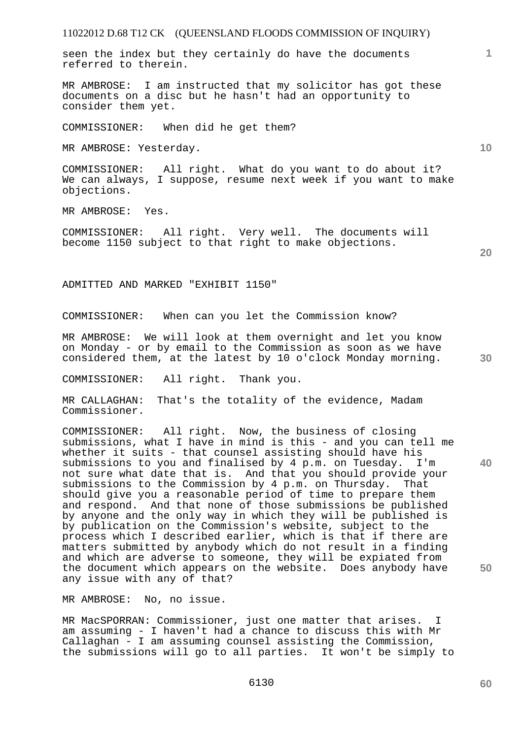seen the index but they certainly do have the documents referred to therein.

MR AMBROSE: I am instructed that my solicitor has got these documents on a disc but he hasn't had an opportunity to consider them yet.

COMMISSIONER: When did he get them?

MR AMBROSE: Yesterday.

COMMISSIONER: All right. What do you want to do about it? We can always, I suppose, resume next week if you want to make objections.

MR AMBROSE: Yes.

COMMISSIONER: All right. Very well. The documents will become 1150 subject to that right to make objections.

ADMITTED AND MARKED "EXHIBIT 1150"

COMMISSIONER: When can you let the Commission know?

MR AMBROSE: We will look at them overnight and let you know on Monday - or by email to the Commission as soon as we have considered them, at the latest by 10 o'clock Monday morning.

COMMISSIONER: All right. Thank you.

MR CALLAGHAN: That's the totality of the evidence, Madam Commissioner.

COMMISSIONER: All right. Now, the business of closing submissions, what I have in mind is this - and you can tell me whether it suits - that counsel assisting should have his submissions to you and finalised by 4 p.m. on Tuesday. I'm not sure what date that is. And that you should provide your submissions to the Commission by 4 p.m. on Thursday. That should give you a reasonable period of time to prepare them and respond. And that none of those submissions be published by anyone and the only way in which they will be published is by publication on the Commission's website, subject to the process which I described earlier, which is that if there are matters submitted by anybody which do not result in a finding and which are adverse to someone, they will be expiated from the document which appears on the website. Does anybody have any issue with any of that?

MR AMBROSE: No, no issue.

MR MacSPORRAN: Commissioner, just one matter that arises. I am assuming - I haven't had a chance to discuss this with Mr Callaghan - I am assuming counsel assisting the Commission, the submissions will go to all parties. It won't be simply to **10** 

**20** 

**1**

**30** 

**40**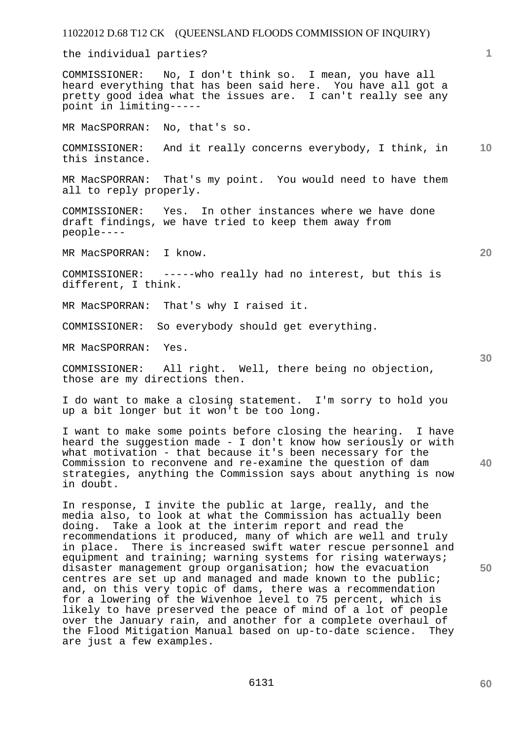the individual parties?

COMMISSIONER: No, I don't think so. I mean, you have all heard everything that has been said here. You have all got a pretty good idea what the issues are. I can't really see any point in limiting-----

MR MacSPORRAN: No, that's so.

**10**  COMMISSIONER: And it really concerns everybody, I think, in this instance.

MR MacSPORRAN: That's my point. You would need to have them all to reply properly.

COMMISSIONER: Yes. In other instances where we have done draft findings, we have tried to keep them away from people----

MR MacSPORRAN: I know.

COMMISSIONER: -----who really had no interest, but this is different, I think.

MR MacSPORRAN: That's why I raised it.

COMMISSIONER: So everybody should get everything.

MR MacSPORRAN: Yes.

COMMISSIONER: All right. Well, there being no objection, those are my directions then.

I do want to make a closing statement. I'm sorry to hold you up a bit longer but it won't be too long.

I want to make some points before closing the hearing. I have heard the suggestion made - I don't know how seriously or with what motivation - that because it's been necessary for the Commission to reconvene and re-examine the question of dam strategies, anything the Commission says about anything is now in doubt.

In response, I invite the public at large, really, and the media also, to look at what the Commission has actually been doing. Take a look at the interim report and read the recommendations it produced, many of which are well and truly in place. There is increased swift water rescue personnel and equipment and training; warning systems for rising waterways; disaster management group organisation; how the evacuation centres are set up and managed and made known to the public; and, on this very topic of dams, there was a recommendation for a lowering of the Wivenhoe level to 75 percent, which is likely to have preserved the peace of mind of a lot of people over the January rain, and another for a complete overhaul of the Flood Mitigation Manual based on up-to-date science. They are just a few examples.

**50** 

**60** 

**40** 

**20**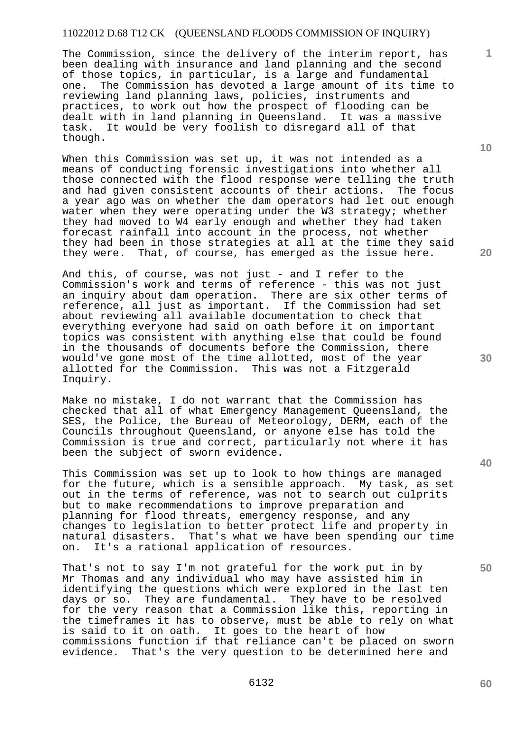The Commission, since the delivery of the interim report, has been dealing with insurance and land planning and the second of those topics, in particular, is a large and fundamental one. The Commission has devoted a large amount of its time to reviewing land planning laws, policies, instruments and practices, to work out how the prospect of flooding can be dealt with in land planning in Queensland. It was a massive task. It would be very foolish to disregard all of that though.

When this Commission was set up, it was not intended as a means of conducting forensic investigations into whether all those connected with the flood response were telling the truth and had given consistent accounts of their actions. The focus a year ago was on whether the dam operators had let out enough water when they were operating under the W3 strategy; whether they had moved to W4 early enough and whether they had taken forecast rainfall into account in the process, not whether they had been in those strategies at all at the time they said they were. That, of course, has emerged as the issue here.

And this, of course, was not just - and I refer to the Commission's work and terms of reference - this was not just an inquiry about dam operation. There are six other terms of reference, all just as important. If the Commission had set about reviewing all available documentation to check that everything everyone had said on oath before it on important topics was consistent with anything else that could be found in the thousands of documents before the Commission, there would've gone most of the time allotted, most of the year allotted for the Commission. This was not a Fitzgerald Inquiry.

Make no mistake, I do not warrant that the Commission has checked that all of what Emergency Management Queensland, the SES, the Police, the Bureau of Meteorology, DERM, each of the Councils throughout Queensland, or anyone else has told the Commission is true and correct, particularly not where it has been the subject of sworn evidence.

This Commission was set up to look to how things are managed for the future, which is a sensible approach. My task, as set out in the terms of reference, was not to search out culprits but to make recommendations to improve preparation and planning for flood threats, emergency response, and any changes to legislation to better protect life and property in natural disasters. That's what we have been spending our time on. It's a rational application of resources.

That's not to say I'm not grateful for the work put in by Mr Thomas and any individual who may have assisted him in identifying the questions which were explored in the last ten days or so. They are fundamental. They have to be resolved for the very reason that a Commission like this, reporting in the timeframes it has to observe, must be able to rely on what is said to it on oath. It goes to the heart of how commissions function if that reliance can't be placed on sworn evidence. That's the very question to be determined here and

**10** 

**1**

**20** 

**30** 

**50**